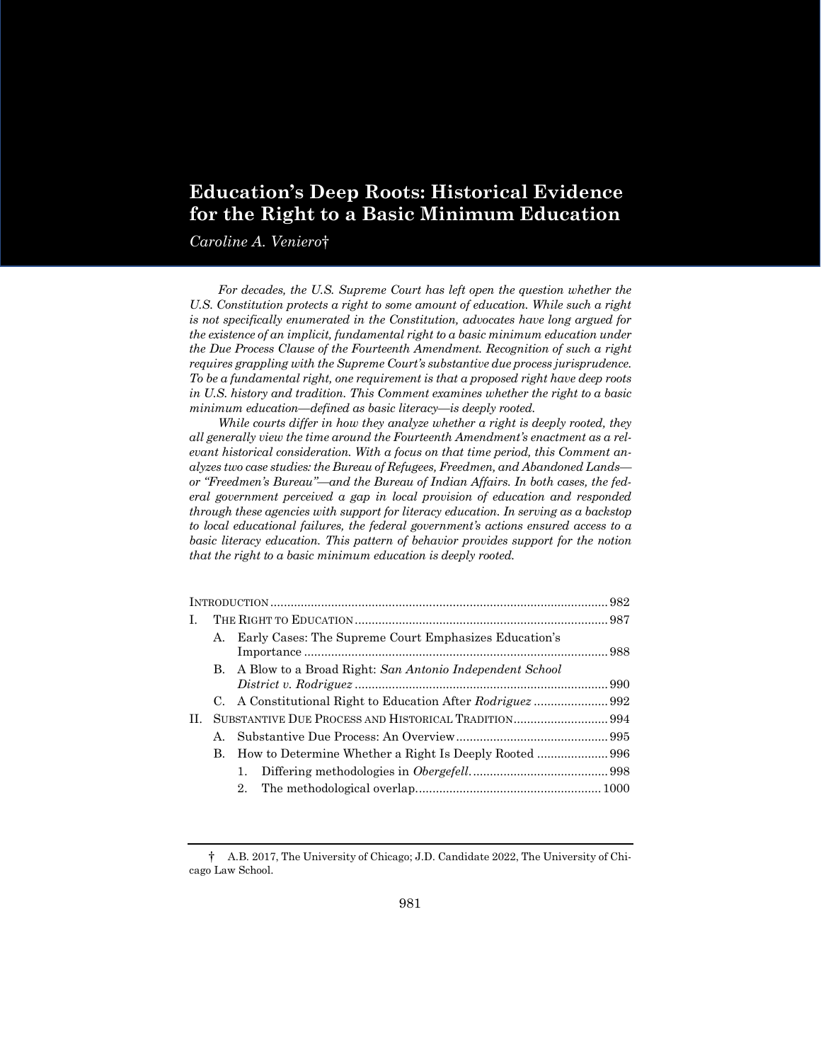# **Education's Deep Roots: Historical Evidence for the Right to a Basic Minimum Education**

*Caroline A. Veniero*†

For decades, the U.S. Supreme Court has left open the question whether the *U.S. Constitution protects a right to some amount of education. While such a right is not specifically enumerated in the Constitution, advocates have long argued for the existence of an implicit, fundamental right to a basic minimum education under the Due Process Clause of the Fourteenth Amendment. Recognition of such a right requires grappling with the Supreme Court's substantive due process jurisprudence. To be a fundamental right, one requirement is that a proposed right have deep roots in U.S. history and tradition. This Comment examines whether the right to a basic minimum education—defined as basic literacy—is deeply rooted.*

*While courts differ in how they analyze whether a right is deeply rooted, they all generally view the time around the Fourteenth Amendment's enactment as a relevant historical consideration. With a focus on that time period, this Comment analyzes two case studies: the Bureau of Refugees, Freedmen, and Abandoned Lands or "Freedmen's Bureau"—and the Bureau of Indian Affairs. In both cases, the federal government perceived a gap in local provision of education and responded through these agencies with support for literacy education. In serving as a backstop to local educational failures, the federal government's actions ensured access to a basic literacy education. This pattern of behavior provides support for the notion that the right to a basic minimum education is deeply rooted.*

| L. |    |                                                            |  |  |
|----|----|------------------------------------------------------------|--|--|
|    | A. | Early Cases: The Supreme Court Emphasizes Education's      |  |  |
|    |    | B. A Blow to a Broad Right: San Antonio Independent School |  |  |
|    |    |                                                            |  |  |
| П. |    |                                                            |  |  |
|    |    |                                                            |  |  |
|    | В. |                                                            |  |  |
|    |    | 1.                                                         |  |  |
|    |    | 2.                                                         |  |  |
|    |    |                                                            |  |  |

<sup>†</sup> A.B. 2017, The University of Chicago; J.D. Candidate 2022, The University of Chicago Law School.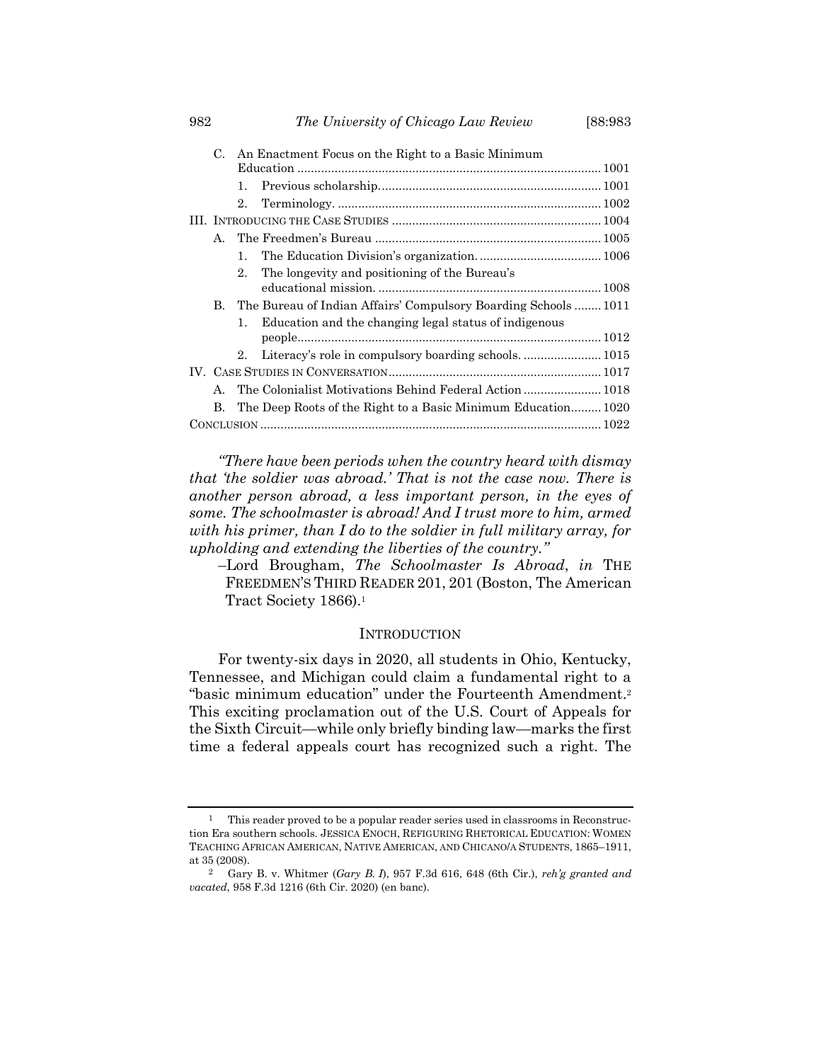|  | C.           |                | An Enactment Focus on the Right to a Basic Minimum             |  |  |
|--|--------------|----------------|----------------------------------------------------------------|--|--|
|  |              |                |                                                                |  |  |
|  |              | 1.             |                                                                |  |  |
|  |              | 2.             |                                                                |  |  |
|  |              |                |                                                                |  |  |
|  | $A_{\cdot}$  |                |                                                                |  |  |
|  |              | 1.             |                                                                |  |  |
|  |              | $2_{-}$        | The longevity and positioning of the Bureau's                  |  |  |
|  |              |                |                                                                |  |  |
|  | В.           |                | The Bureau of Indian Affairs' Compulsory Boarding Schools 1011 |  |  |
|  |              | $\mathbf{1}$ . | Education and the changing legal status of indigenous          |  |  |
|  |              |                |                                                                |  |  |
|  |              | 2.             |                                                                |  |  |
|  |              |                |                                                                |  |  |
|  | $\mathbf{A}$ |                |                                                                |  |  |
|  | B.           |                | The Deep Roots of the Right to a Basic Minimum Education 1020  |  |  |
|  |              |                |                                                                |  |  |

*"There have been periods when the country heard with dismay that 'the soldier was abroad.' That is not the case now. There is another person abroad, a less important person, in the eyes of some. The schoolmaster is abroad! And I trust more to him, armed with his primer, than I do to the soldier in full military array, for upholding and extending the liberties of the country."*

–Lord Brougham, *The Schoolmaster Is Abroad*, *in* THE FREEDMEN'S THIRD READER 201, 201 (Boston, The American Tract Society 1866). 1

### **INTRODUCTION**

For twenty-six days in 2020, all students in Ohio, Kentucky, Tennessee, and Michigan could claim a fundamental right to a "basic minimum education" under the Fourteenth Amendment.<sup>2</sup> This exciting proclamation out of the U.S. Court of Appeals for the Sixth Circuit—while only briefly binding law—marks the first time a federal appeals court has recognized such a right. The

<sup>1</sup> This reader proved to be a popular reader series used in classrooms in Reconstruction Era southern schools. JESSICA ENOCH, REFIGURING RHETORICAL EDUCATION: WOMEN TEACHING AFRICAN AMERICAN, NATIVE AMERICAN, AND CHICANO/A STUDENTS, 1865–1911, at 35 (2008).

<sup>2</sup> Gary B. v. Whitmer (*Gary B. I*), 957 F.3d 616, 648 (6th Cir.), *reh'g granted and vacated*, 958 F.3d 1216 (6th Cir. 2020) (en banc).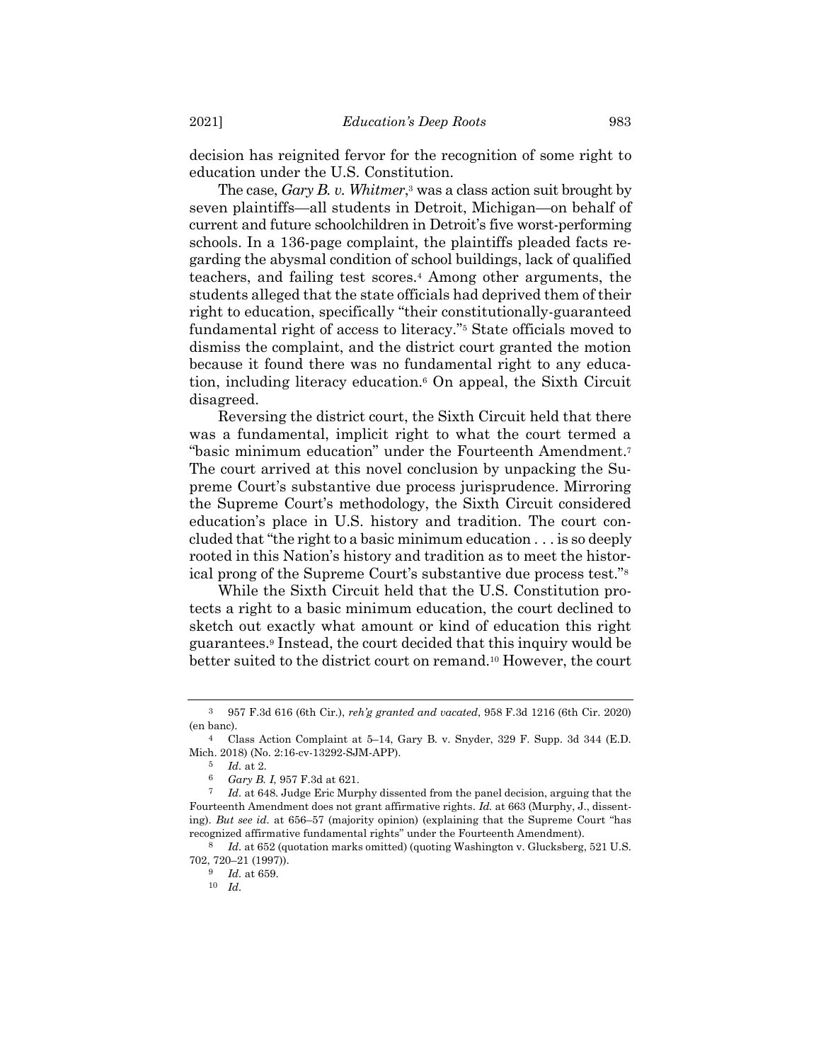decision has reignited fervor for the recognition of some right to education under the U.S. Constitution.

The case, *Gary B. v. Whitmer*, <sup>3</sup> was a class action suit brought by seven plaintiffs—all students in Detroit, Michigan—on behalf of current and future schoolchildren in Detroit's five worst-performing schools. In a 136-page complaint, the plaintiffs pleaded facts regarding the abysmal condition of school buildings, lack of qualified teachers, and failing test scores.<sup>4</sup> Among other arguments, the students alleged that the state officials had deprived them of their right to education, specifically "their constitutionally-guaranteed fundamental right of access to literacy."<sup>5</sup> State officials moved to dismiss the complaint, and the district court granted the motion because it found there was no fundamental right to any education, including literacy education.<sup>6</sup> On appeal, the Sixth Circuit disagreed.

Reversing the district court, the Sixth Circuit held that there was a fundamental, implicit right to what the court termed a "basic minimum education" under the Fourteenth Amendment.<sup>7</sup> The court arrived at this novel conclusion by unpacking the Supreme Court's substantive due process jurisprudence. Mirroring the Supreme Court's methodology, the Sixth Circuit considered education's place in U.S. history and tradition. The court concluded that "the right to a basic minimum education . . . is so deeply rooted in this Nation's history and tradition as to meet the historical prong of the Supreme Court's substantive due process test."<sup>8</sup>

While the Sixth Circuit held that the U.S. Constitution protects a right to a basic minimum education, the court declined to sketch out exactly what amount or kind of education this right guarantees.<sup>9</sup> Instead, the court decided that this inquiry would be better suited to the district court on remand.<sup>10</sup> However, the court

<sup>3</sup> 957 F.3d 616 (6th Cir.), *reh'g granted and vacated*, 958 F.3d 1216 (6th Cir. 2020) (en banc).

<sup>4</sup> Class Action Complaint at 5–14, Gary B. v. Snyder, 329 F. Supp. 3d 344 (E.D. Mich. 2018) (No. 2:16-cv-13292-SJM-APP).

<sup>5</sup> *Id.* at 2.

<sup>6</sup> *Gary B. I*, 957 F.3d at 621.

<sup>7</sup> *Id.* at 648. Judge Eric Murphy dissented from the panel decision, arguing that the Fourteenth Amendment does not grant affirmative rights. *Id.* at 663 (Murphy, J., dissenting). *But see id.* at 656–57 (majority opinion) (explaining that the Supreme Court "has recognized affirmative fundamental rights" under the Fourteenth Amendment).

<sup>8</sup> *Id.* at 652 (quotation marks omitted) (quoting Washington v. Glucksberg, 521 U.S. 702, 720–21 (1997)).

<sup>9</sup> *Id.* at 659.

<sup>10</sup> *Id.*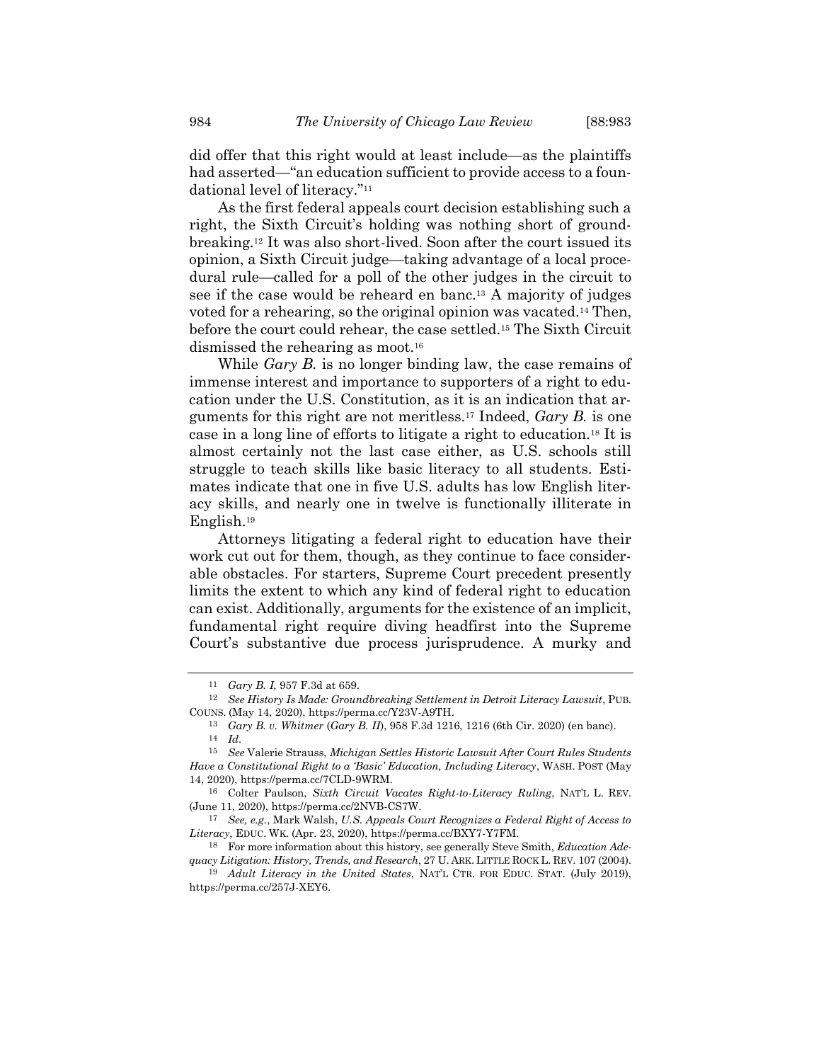did offer that this right would at least include—as the plaintiffs had asserted—"an education sufficient to provide access to a foundational level of literacy."<sup>11</sup>

As the first federal appeals court decision establishing such a right, the Sixth Circuit's holding was nothing short of groundbreaking.<sup>12</sup> It was also short-lived. Soon after the court issued its opinion, a Sixth Circuit judge—taking advantage of a local procedural rule—called for a poll of the other judges in the circuit to see if the case would be reheard en banc.<sup>13</sup> A majority of judges voted for a rehearing, so the original opinion was vacated.<sup>14</sup> Then, before the court could rehear, the case settled.<sup>15</sup> The Sixth Circuit dismissed the rehearing as moot.<sup>16</sup>

While *Gary B.* is no longer binding law, the case remains of immense interest and importance to supporters of a right to education under the U.S. Constitution, as it is an indication that arguments for this right are not meritless.<sup>17</sup> Indeed, *Gary B.* is one case in a long line of efforts to litigate a right to education.<sup>18</sup> It is almost certainly not the last case either, as U.S. schools still struggle to teach skills like basic literacy to all students. Estimates indicate that one in five U.S. adults has low English literacy skills, and nearly one in twelve is functionally illiterate in English.<sup>19</sup>

<span id="page-3-0"></span>Attorneys litigating a federal right to education have their work cut out for them, though, as they continue to face considerable obstacles. For starters, Supreme Court precedent presently limits the extent to which any kind of federal right to education can exist. Additionally, arguments for the existence of an implicit, fundamental right require diving headfirst into the Supreme Court's substantive due process jurisprudence. A murky and

<sup>11</sup> *Gary B. I*, 957 F.3d at 659.

<sup>12</sup> *See History Is Made: Groundbreaking Settlement in Detroit Literacy Lawsuit*, PUB. COUNS. (May 14, 2020), https://perma.cc/Y23V-A9TH.

<sup>13</sup> *Gary B. v. Whitmer* (*Gary B. II*), 958 F.3d 1216, 1216 (6th Cir. 2020) (en banc).

<sup>14</sup> *Id.*

<sup>15</sup> *See* Valerie Strauss, *Michigan Settles Historic Lawsuit After Court Rules Students Have a Constitutional Right to a 'Basic' Education, Including Literacy*, WASH. POST (May 14, 2020), https://perma.cc/7CLD-9WRM.

<sup>16</sup> Colter Paulson, *Sixth Circuit Vacates Right-to-Literacy Ruling*, NAT'L L. REV. (June 11, 2020), https://perma.cc/2NVB-CS7W.

<sup>17</sup> *See, e.g.*, Mark Walsh, *U.S. Appeals Court Recognizes a Federal Right of Access to Literacy*, EDUC. WK. (Apr. 23, 2020), https://perma.cc/BXY7-Y7FM.

<sup>18</sup> For more information about this history, see generally Steve Smith, *Education Adequacy Litigation: History, Trends, and Research*, 27 U. ARK. LITTLE ROCK L. REV. 107 (2004).

<sup>19</sup> *Adult Literacy in the United States*, NAT'L CTR. FOR EDUC. STAT. (July 2019), https://perma.cc/257J-XEY6.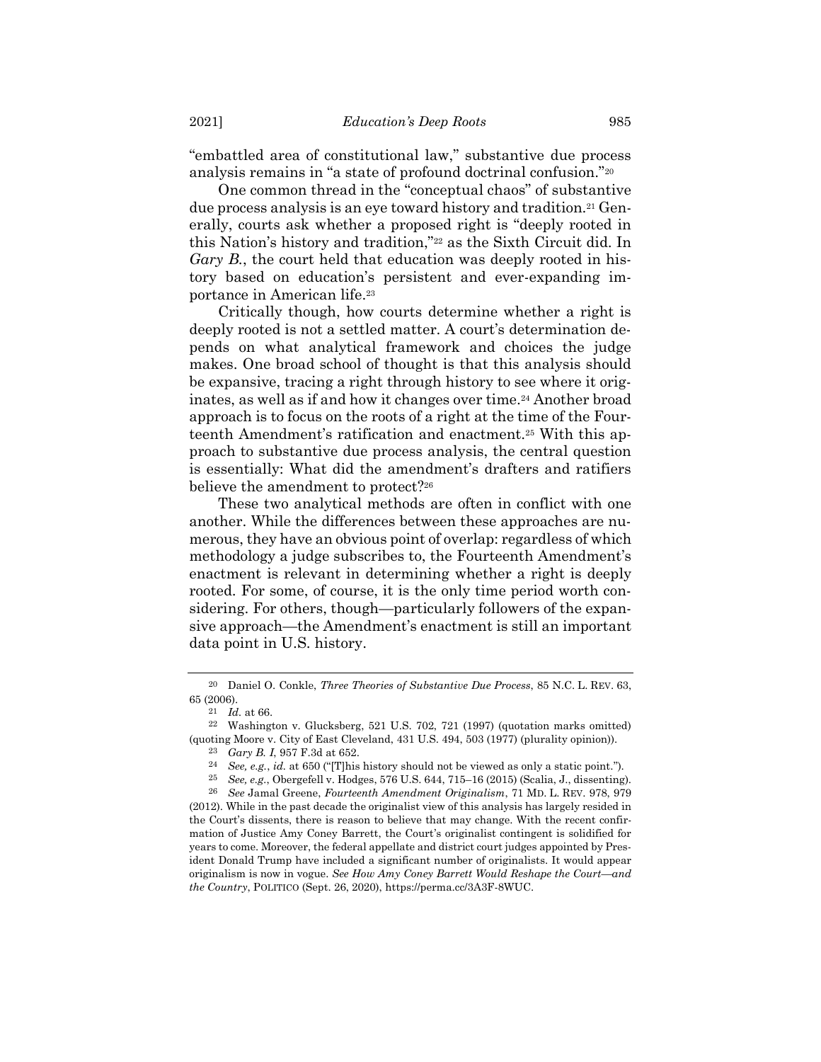<span id="page-4-0"></span>"embattled area of constitutional law," substantive due process analysis remains in "a state of profound doctrinal confusion."<sup>20</sup>

One common thread in the "conceptual chaos" of substantive due process analysis is an eye toward history and tradition.<sup>21</sup> Generally, courts ask whether a proposed right is "deeply rooted in this Nation's history and tradition,"<sup>22</sup> as the Sixth Circuit did. In *Gary B.*, the court held that education was deeply rooted in history based on education's persistent and ever-expanding importance in American life.<sup>23</sup>

Critically though, how courts determine whether a right is deeply rooted is not a settled matter. A court's determination depends on what analytical framework and choices the judge makes. One broad school of thought is that this analysis should be expansive, tracing a right through history to see where it originates, as well as if and how it changes over time.<sup>24</sup> Another broad approach is to focus on the roots of a right at the time of the Fourteenth Amendment's ratification and enactment.<sup>25</sup> With this approach to substantive due process analysis, the central question is essentially: What did the amendment's drafters and ratifiers believe the amendment to protect?<sup>26</sup>

These two analytical methods are often in conflict with one another. While the differences between these approaches are numerous, they have an obvious point of overlap: regardless of which methodology a judge subscribes to, the Fourteenth Amendment's enactment is relevant in determining whether a right is deeply rooted. For some, of course, it is the only time period worth considering. For others, though—particularly followers of the expansive approach—the Amendment's enactment is still an important data point in U.S. history.

<sup>20</sup> Daniel O. Conkle, *Three Theories of Substantive Due Process*, 85 N.C. L. REV. 63, 65 (2006).

<sup>21</sup> *Id.* at 66.

<sup>22</sup> Washington v. Glucksberg, 521 U.S. 702, 721 (1997) (quotation marks omitted) (quoting Moore v. City of East Cleveland, 431 U.S. 494, 503 (1977) (plurality opinion)).

<sup>23</sup> *Gary B. I*, 957 F.3d at 652.

<sup>24</sup> *See, e.g.*, *id.* at 650 ("[T]his history should not be viewed as only a static point.").

<sup>25</sup> *See, e.g.*, Obergefell v. Hodges, 576 U.S. 644, 715–16 (2015) (Scalia, J., dissenting).

<sup>26</sup> *See* Jamal Greene, *Fourteenth Amendment Originalism*, 71 MD. L. REV. 978, 979 (2012). While in the past decade the originalist view of this analysis has largely resided in the Court's dissents, there is reason to believe that may change. With the recent confirmation of Justice Amy Coney Barrett, the Court's originalist contingent is solidified for years to come. Moreover, the federal appellate and district court judges appointed by President Donald Trump have included a significant number of originalists. It would appear originalism is now in vogue. *See How Amy Coney Barrett Would Reshape the Court—and the Country*, POLITICO (Sept. 26, 2020), https://perma.cc/3A3F-8WUC.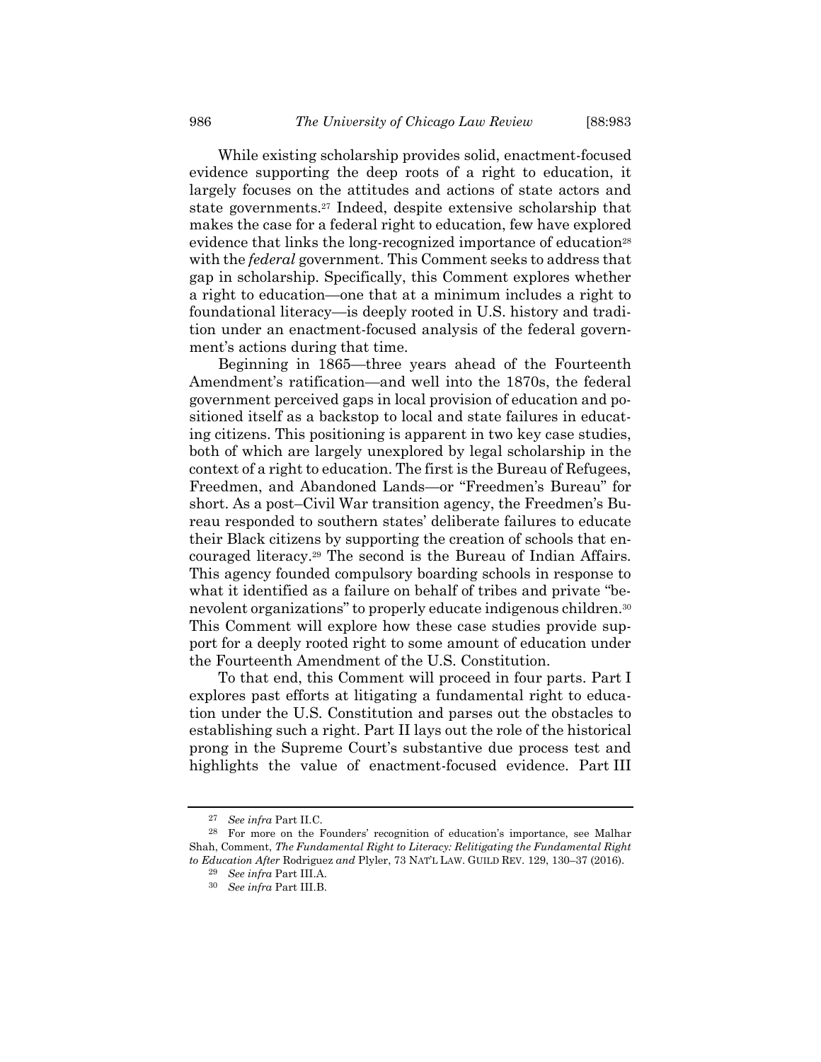<span id="page-5-0"></span>While existing scholarship provides solid, enactment-focused evidence supporting the deep roots of a right to education, it largely focuses on the attitudes and actions of state actors and state governments.<sup>27</sup> Indeed, despite extensive scholarship that makes the case for a federal right to education, few have explored evidence that links the long-recognized importance of education<sup>28</sup> with the *federal* government. This Comment seeks to address that gap in scholarship. Specifically, this Comment explores whether a right to education—one that at a minimum includes a right to foundational literacy—is deeply rooted in U.S. history and tradition under an enactment-focused analysis of the federal government's actions during that time.

Beginning in 1865—three years ahead of the Fourteenth Amendment's ratification—and well into the 1870s, the federal government perceived gaps in local provision of education and positioned itself as a backstop to local and state failures in educating citizens. This positioning is apparent in two key case studies, both of which are largely unexplored by legal scholarship in the context of a right to education. The first is the Bureau of Refugees, Freedmen, and Abandoned Lands—or "Freedmen's Bureau" for short. As a post–Civil War transition agency, the Freedmen's Bureau responded to southern states' deliberate failures to educate their Black citizens by supporting the creation of schools that encouraged literacy.<sup>29</sup> The second is the Bureau of Indian Affairs. This agency founded compulsory boarding schools in response to what it identified as a failure on behalf of tribes and private "benevolent organizations" to properly educate indigenous children.<sup>30</sup> This Comment will explore how these case studies provide support for a deeply rooted right to some amount of education under the Fourteenth Amendment of the U.S. Constitution.

To that end, this Comment will proceed in four parts. Part I explores past efforts at litigating a fundamental right to education under the U.S. Constitution and parses out the obstacles to establishing such a right. Part II lays out the role of the historical prong in the Supreme Court's substantive due process test and highlights the value of enactment-focused evidence. Part III

<sup>27</sup> *See infra* Part II.C.

<sup>28</sup> For more on the Founders' recognition of education's importance, see Malhar Shah, Comment, *The Fundamental Right to Literacy: Relitigating the Fundamental Right to Education After* Rodriguez *and* Plyler, 73 NAT'L LAW. GUILD REV. 129, 130–37 (2016).

<sup>29</sup> *See infra* Part III.A.

<sup>30</sup> *See infra* Part III.B.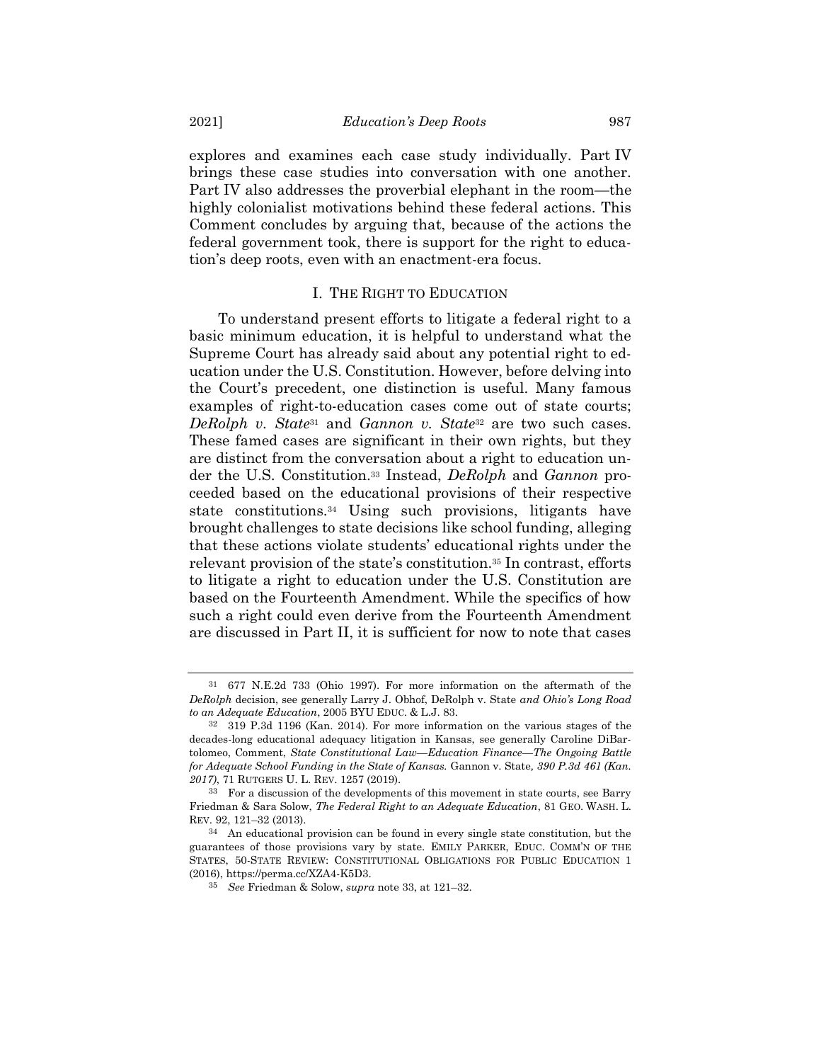explores and examines each case study individually. Part IV brings these case studies into conversation with one another. Part IV also addresses the proverbial elephant in the room—the highly colonialist motivations behind these federal actions. This Comment concludes by arguing that, because of the actions the federal government took, there is support for the right to education's deep roots, even with an enactment-era focus.

#### <span id="page-6-1"></span><span id="page-6-0"></span>I. THE RIGHT TO EDUCATION

To understand present efforts to litigate a federal right to a basic minimum education, it is helpful to understand what the Supreme Court has already said about any potential right to education under the U.S. Constitution. However, before delving into the Court's precedent, one distinction is useful. Many famous examples of right-to-education cases come out of state courts; *DeRolph v. State*<sup>31</sup> and *Gannon v. State*<sup>32</sup> are two such cases. These famed cases are significant in their own rights, but they are distinct from the conversation about a right to education under the U.S. Constitution.<sup>33</sup> Instead, *DeRolph* and *Gannon* proceeded based on the educational provisions of their respective state constitutions.<sup>34</sup> Using such provisions, litigants have brought challenges to state decisions like school funding, alleging that these actions violate students' educational rights under the relevant provision of the state's constitution.<sup>35</sup> In contrast, efforts to litigate a right to education under the U.S. Constitution are based on the Fourteenth Amendment. While the specifics of how such a right could even derive from the Fourteenth Amendment are discussed in Part II, it is sufficient for now to note that cases

<sup>31</sup> 677 N.E.2d 733 (Ohio 1997). For more information on the aftermath of the *DeRolph* decision, see generally Larry J. Obhof, DeRolph v. State *and Ohio's Long Road to an Adequate Education*, 2005 BYU EDUC. & L.J. 83.

<sup>32</sup> 319 P.3d 1196 (Kan. 2014). For more information on the various stages of the decades-long educational adequacy litigation in Kansas, see generally Caroline DiBartolomeo, Comment, *State Constitutional Law—Education Finance—The Ongoing Battle for Adequate School Funding in the State of Kansas.* Gannon v. State*, 390 P.3d 461 (Kan. 2017)*, 71 RUTGERS U. L. REV. 1257 (2019).

<sup>33</sup> For a discussion of the developments of this movement in state courts, see Barry Friedman & Sara Solow, *The Federal Right to an Adequate Education*, 81 GEO. WASH. L. REV. 92, 121–32 (2013).

<sup>34</sup> An educational provision can be found in every single state constitution, but the guarantees of those provisions vary by state. EMILY PARKER, EDUC. COMM'N OF THE STATES, 50-STATE REVIEW: CONSTITUTIONAL OBLIGATIONS FOR PUBLIC EDUCATION 1 (2016), https://perma.cc/XZA4-K5D3.

<sup>35</sup> *See* Friedman & Solow, *supra* note [33,](#page-6-0) at 121–32.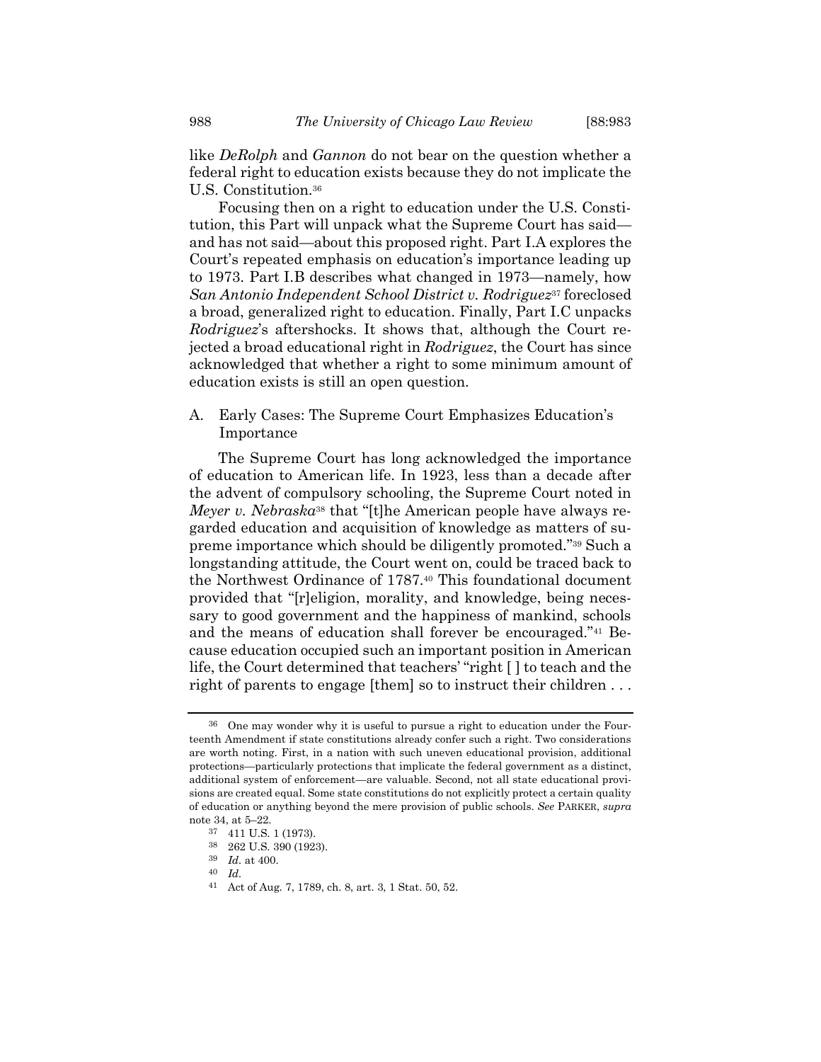like *DeRolph* and *Gannon* do not bear on the question whether a federal right to education exists because they do not implicate the U.S. Constitution.<sup>36</sup>

Focusing then on a right to education under the U.S. Constitution, this Part will unpack what the Supreme Court has said and has not said—about this proposed right. Part I.A explores the Court's repeated emphasis on education's importance leading up to 1973. Part I.B describes what changed in 1973—namely, how *San Antonio Independent School District v. Rodriguez*<sup>37</sup> foreclosed a broad, generalized right to education. Finally, Part I.C unpacks *Rodriguez*'s aftershocks. It shows that, although the Court rejected a broad educational right in *Rodriguez*, the Court has since acknowledged that whether a right to some minimum amount of education exists is still an open question.

A. Early Cases: The Supreme Court Emphasizes Education's Importance

The Supreme Court has long acknowledged the importance of education to American life. In 1923, less than a decade after the advent of compulsory schooling, the Supreme Court noted in *Meyer v. Nebraska*<sup>38</sup> that "[t]he American people have always regarded education and acquisition of knowledge as matters of supreme importance which should be diligently promoted."<sup>39</sup> Such a longstanding attitude, the Court went on, could be traced back to the Northwest Ordinance of 1787.<sup>40</sup> This foundational document provided that "[r]eligion, morality, and knowledge, being necessary to good government and the happiness of mankind, schools and the means of education shall forever be encouraged."<sup>41</sup> Because education occupied such an important position in American life, the Court determined that teachers' "right [ ] to teach and the right of parents to engage [them] so to instruct their children . . .

<sup>36</sup> One may wonder why it is useful to pursue a right to education under the Fourteenth Amendment if state constitutions already confer such a right. Two considerations are worth noting. First, in a nation with such uneven educational provision, additional protections—particularly protections that implicate the federal government as a distinct, additional system of enforcement—are valuable. Second, not all state educational provisions are created equal. Some state constitutions do not explicitly protect a certain quality of education or anything beyond the mere provision of public schools. *See* PARKER, *supra* note [34,](#page-6-1) at 5–22.

<sup>37</sup> 411 U.S. 1 (1973).

<sup>38</sup> 262 U.S. 390 (1923).

<sup>39</sup> *Id.* at 400.

<sup>40</sup> *Id.*

<sup>41</sup> Act of Aug. 7, 1789, ch. 8, art. 3, 1 Stat. 50, 52.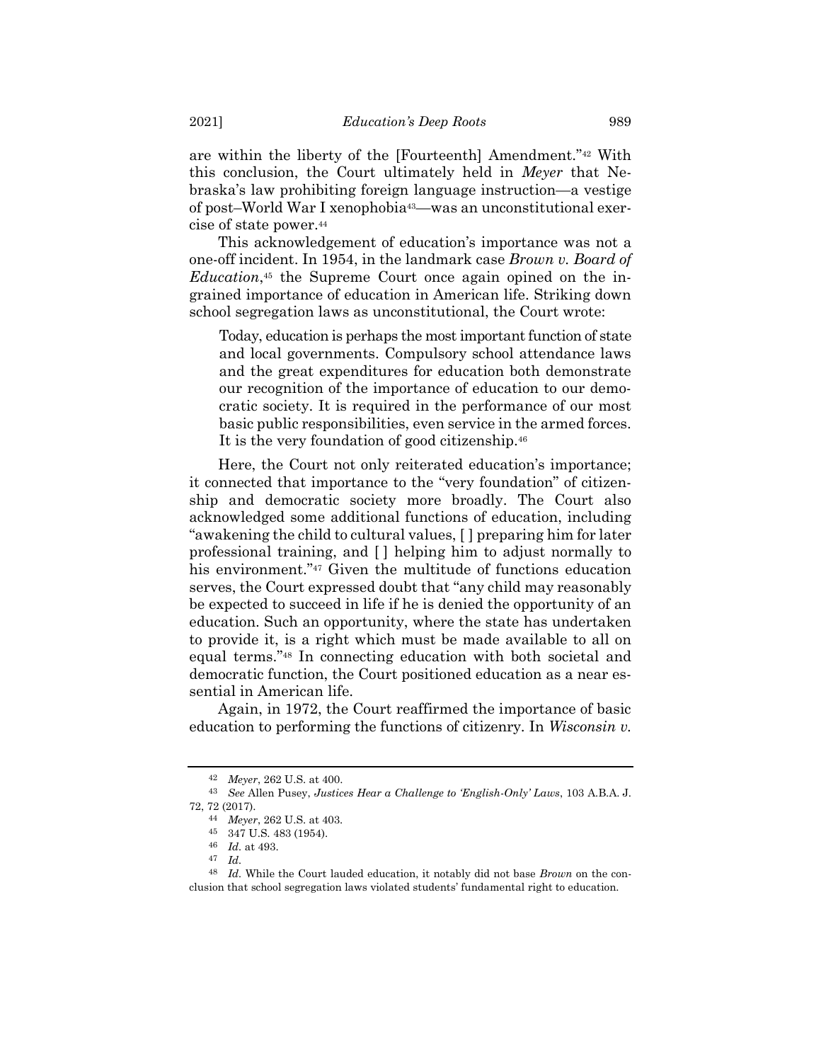are within the liberty of the [Fourteenth] Amendment."<sup>42</sup> With this conclusion, the Court ultimately held in *Meyer* that Nebraska's law prohibiting foreign language instruction—a vestige of post–World War I xenophobia43—was an unconstitutional exercise of state power.<sup>44</sup>

This acknowledgement of education's importance was not a one-off incident. In 1954, in the landmark case *Brown v. Board of Education*, <sup>45</sup> the Supreme Court once again opined on the ingrained importance of education in American life. Striking down school segregation laws as unconstitutional, the Court wrote:

Today, education is perhaps the most important function of state and local governments. Compulsory school attendance laws and the great expenditures for education both demonstrate our recognition of the importance of education to our democratic society. It is required in the performance of our most basic public responsibilities, even service in the armed forces. It is the very foundation of good citizenship.<sup>46</sup>

Here, the Court not only reiterated education's importance; it connected that importance to the "very foundation" of citizenship and democratic society more broadly. The Court also acknowledged some additional functions of education, including "awakening the child to cultural values, [ ] preparing him for later professional training, and [ ] helping him to adjust normally to his environment."<sup>47</sup> Given the multitude of functions education serves, the Court expressed doubt that "any child may reasonably be expected to succeed in life if he is denied the opportunity of an education. Such an opportunity, where the state has undertaken to provide it, is a right which must be made available to all on equal terms."<sup>48</sup> In connecting education with both societal and democratic function, the Court positioned education as a near essential in American life.

Again, in 1972, the Court reaffirmed the importance of basic education to performing the functions of citizenry. In *Wisconsin v.*

<sup>42</sup> *Meyer*, 262 U.S. at 400.

<sup>43</sup> *See* Allen Pusey, *Justices Hear a Challenge to 'English-Only' Laws*, 103 A.B.A. J. 72, 72 (2017).

<sup>44</sup> *Meyer*, 262 U.S. at 403.

<sup>45</sup> 347 U.S. 483 (1954).

<sup>46</sup> *Id.* at 493.

<sup>47</sup> *Id.*

<sup>48</sup> *Id.* While the Court lauded education, it notably did not base *Brown* on the conclusion that school segregation laws violated students' fundamental right to education.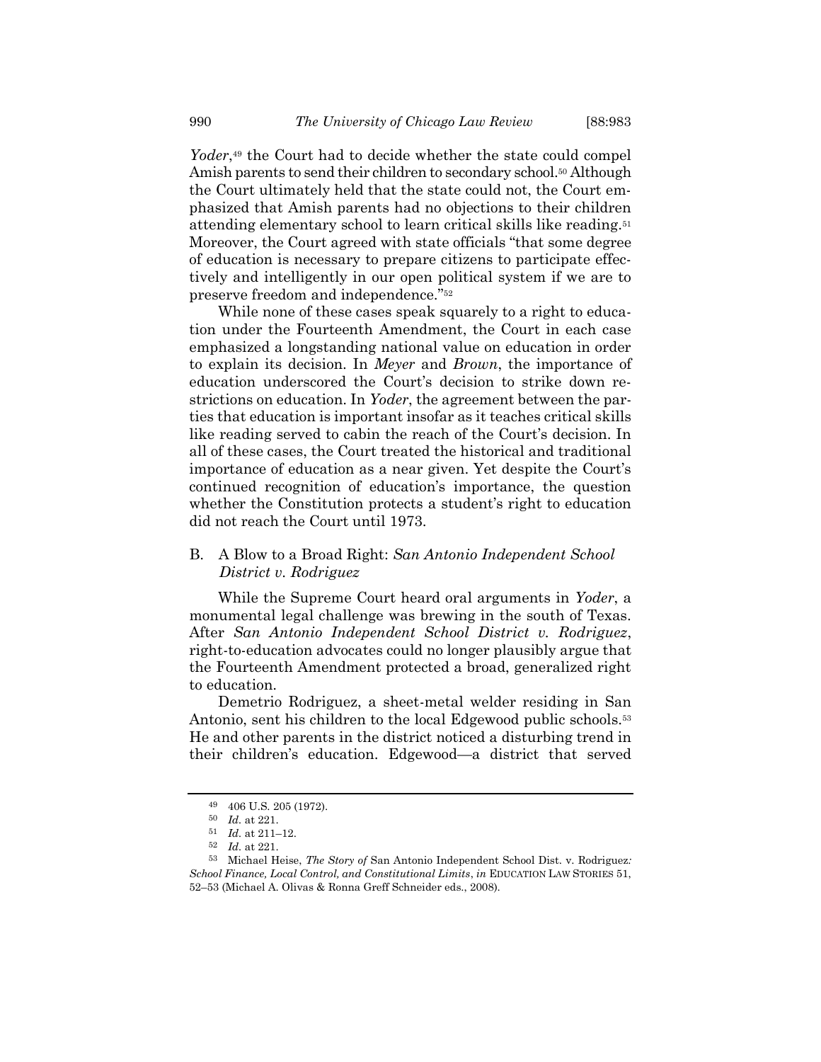Yoder,<sup>49</sup> the Court had to decide whether the state could compel Amish parents to send their children to secondary school.<sup>50</sup> Although the Court ultimately held that the state could not, the Court emphasized that Amish parents had no objections to their children attending elementary school to learn critical skills like reading.<sup>51</sup> Moreover, the Court agreed with state officials "that some degree of education is necessary to prepare citizens to participate effectively and intelligently in our open political system if we are to preserve freedom and independence."<sup>52</sup>

While none of these cases speak squarely to a right to education under the Fourteenth Amendment, the Court in each case emphasized a longstanding national value on education in order to explain its decision. In *Meyer* and *Brown*, the importance of education underscored the Court's decision to strike down restrictions on education. In *Yoder*, the agreement between the parties that education is important insofar as it teaches critical skills like reading served to cabin the reach of the Court's decision. In all of these cases, the Court treated the historical and traditional importance of education as a near given. Yet despite the Court's continued recognition of education's importance, the question whether the Constitution protects a student's right to education did not reach the Court until 1973.

# B. A Blow to a Broad Right: *San Antonio Independent School District v. Rodriguez*

While the Supreme Court heard oral arguments in *Yoder*, a monumental legal challenge was brewing in the south of Texas. After *San Antonio Independent School District v. Rodriguez*, right-to-education advocates could no longer plausibly argue that the Fourteenth Amendment protected a broad, generalized right to education.

Demetrio Rodriguez, a sheet-metal welder residing in San Antonio, sent his children to the local Edgewood public schools.<sup>53</sup> He and other parents in the district noticed a disturbing trend in their children's education. Edgewood—a district that served

<span id="page-9-0"></span><sup>49</sup> 406 U.S. 205 (1972).

<sup>50</sup> *Id.* at 221.

<sup>51</sup> *Id.* at 211–12.

<sup>52</sup> *Id.* at 221.

<sup>53</sup> Michael Heise, *The Story of* San Antonio Independent School Dist. v. Rodriguez*: School Finance, Local Control, and Constitutional Limits*, *in* EDUCATION LAW STORIES 51, 52–53 (Michael A. Olivas & Ronna Greff Schneider eds., 2008).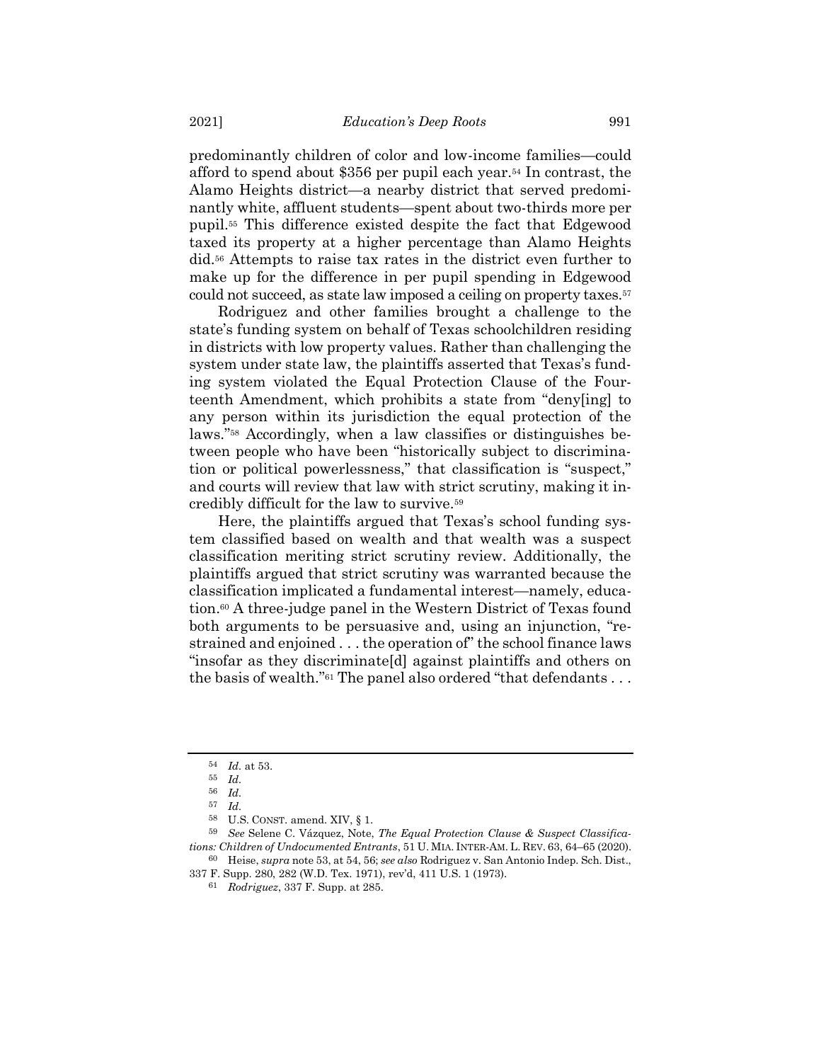predominantly children of color and low-income families—could afford to spend about \$356 per pupil each year.<sup>54</sup> In contrast, the Alamo Heights district—a nearby district that served predominantly white, affluent students—spent about two-thirds more per pupil.<sup>55</sup> This difference existed despite the fact that Edgewood taxed its property at a higher percentage than Alamo Heights did.<sup>56</sup> Attempts to raise tax rates in the district even further to make up for the difference in per pupil spending in Edgewood could not succeed, as state law imposed a ceiling on property taxes.<sup>57</sup>

Rodriguez and other families brought a challenge to the state's funding system on behalf of Texas schoolchildren residing in districts with low property values. Rather than challenging the system under state law, the plaintiffs asserted that Texas's funding system violated the Equal Protection Clause of the Fourteenth Amendment, which prohibits a state from "deny[ing] to any person within its jurisdiction the equal protection of the laws."<sup>58</sup> Accordingly, when a law classifies or distinguishes between people who have been "historically subject to discrimination or political powerlessness," that classification is "suspect," and courts will review that law with strict scrutiny, making it incredibly difficult for the law to survive.<sup>59</sup>

Here, the plaintiffs argued that Texas's school funding system classified based on wealth and that wealth was a suspect classification meriting strict scrutiny review. Additionally, the plaintiffs argued that strict scrutiny was warranted because the classification implicated a fundamental interest—namely, education.<sup>60</sup> A three-judge panel in the Western District of Texas found both arguments to be persuasive and, using an injunction, "restrained and enjoined . . . the operation of" the school finance laws "insofar as they discriminate[d] against plaintiffs and others on the basis of wealth."<sup>61</sup> The panel also ordered "that defendants . . .

59 *See* Selene C. Vázquez, Note, *The Equal Protection Clause & Suspect Classifications: Children of Undocumented Entrants*, 51 U. MIA. INTER-AM. L. REV. 63, 64–65 (2020). 60 Heise, *supra* note [53,](#page-9-0) at 54, 56; *see also* Rodriguez v. San Antonio Indep. Sch. Dist.,

- 337 F. Supp. 280, 282 (W.D. Tex. 1971), rev'd, 411 U.S. 1 (1973).
	- 61 *Rodriguez*, 337 F. Supp. at 285.

<sup>54</sup> *Id.* at 53.

<sup>55</sup> *Id.*

<sup>56</sup> *Id.*

<sup>57</sup> *Id.*

<sup>58</sup> U.S. CONST. amend. XIV, § 1.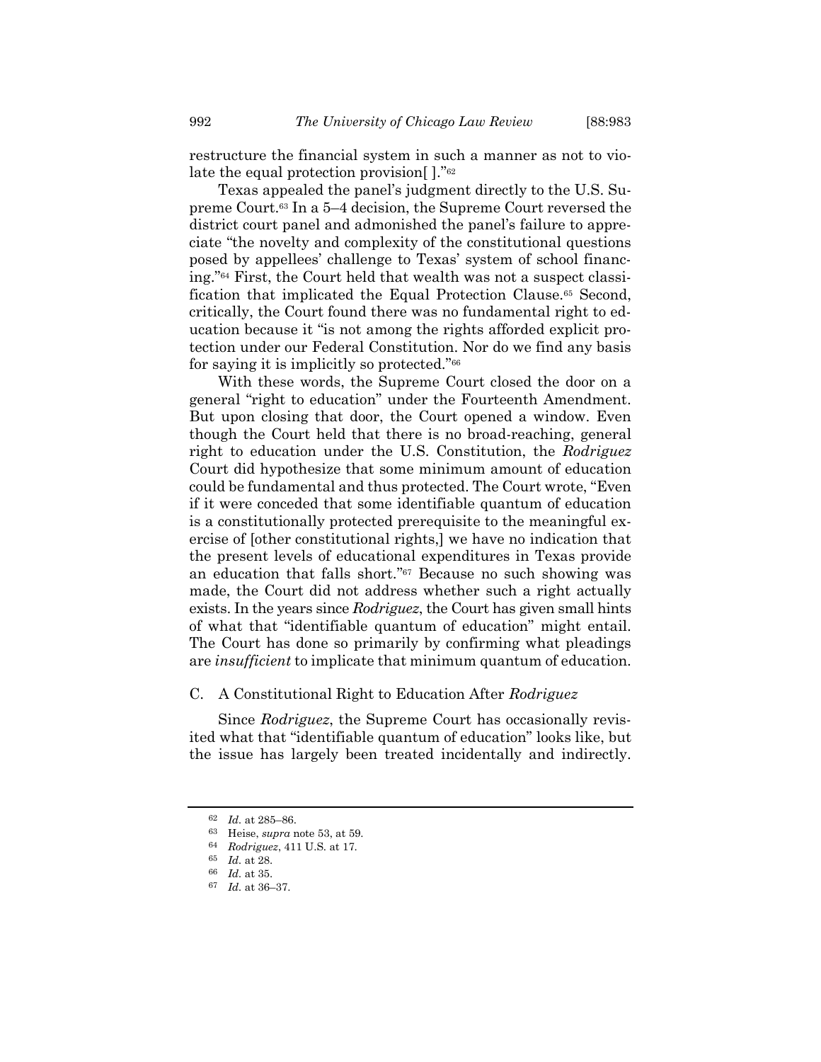restructure the financial system in such a manner as not to violate the equal protection provision[ ]."<sup>62</sup>

Texas appealed the panel's judgment directly to the U.S. Supreme Court.<sup>63</sup> In a 5–4 decision, the Supreme Court reversed the district court panel and admonished the panel's failure to appreciate "the novelty and complexity of the constitutional questions posed by appellees' challenge to Texas' system of school financing."<sup>64</sup> First, the Court held that wealth was not a suspect classification that implicated the Equal Protection Clause.<sup>65</sup> Second, critically, the Court found there was no fundamental right to education because it "is not among the rights afforded explicit protection under our Federal Constitution. Nor do we find any basis for saying it is implicitly so protected."<sup>66</sup>

With these words, the Supreme Court closed the door on a general "right to education" under the Fourteenth Amendment. But upon closing that door, the Court opened a window. Even though the Court held that there is no broad-reaching, general right to education under the U.S. Constitution, the *Rodriguez* Court did hypothesize that some minimum amount of education could be fundamental and thus protected. The Court wrote, "Even if it were conceded that some identifiable quantum of education is a constitutionally protected prerequisite to the meaningful exercise of [other constitutional rights,] we have no indication that the present levels of educational expenditures in Texas provide an education that falls short." <sup>67</sup> Because no such showing was made, the Court did not address whether such a right actually exists. In the years since *Rodriguez*, the Court has given small hints of what that "identifiable quantum of education" might entail. The Court has done so primarily by confirming what pleadings are *insufficient* to implicate that minimum quantum of education.

### C. A Constitutional Right to Education After *Rodriguez*

Since *Rodriguez*, the Supreme Court has occasionally revisited what that "identifiable quantum of education" looks like, but the issue has largely been treated incidentally and indirectly.

<sup>62</sup> *Id.* at 285–86.

<sup>63</sup> Heise, *supra* note [53,](#page-9-0) at 59.

<sup>64</sup> *Rodriguez*, 411 U.S. at 17.

<sup>65</sup> *Id.* at 28.

<sup>66</sup> *Id.* at 35.

<sup>67</sup> *Id.* at 36–37.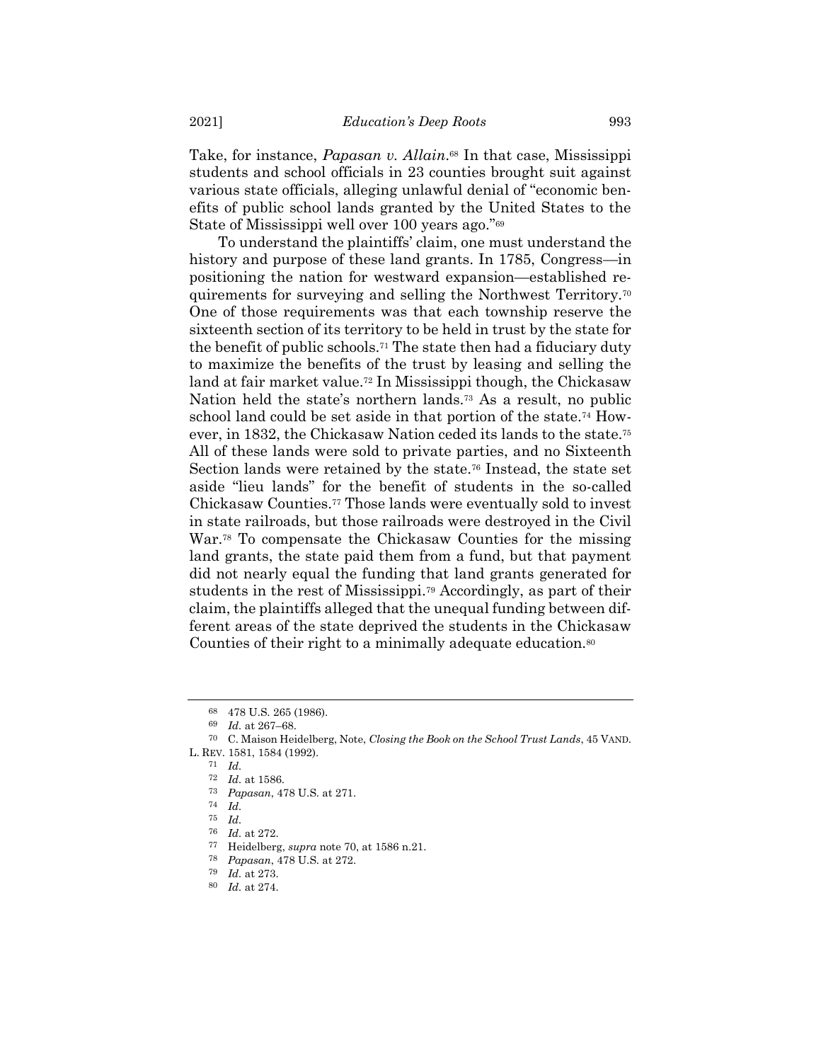Take, for instance, *Papasan v. Allain*. <sup>68</sup> In that case, Mississippi students and school officials in 23 counties brought suit against various state officials, alleging unlawful denial of "economic benefits of public school lands granted by the United States to the State of Mississippi well over 100 years ago."<sup>69</sup>

<span id="page-12-0"></span>To understand the plaintiffs' claim, one must understand the history and purpose of these land grants. In 1785, Congress—in positioning the nation for westward expansion—established requirements for surveying and selling the Northwest Territory.<sup>70</sup> One of those requirements was that each township reserve the sixteenth section of its territory to be held in trust by the state for the benefit of public schools.<sup>71</sup> The state then had a fiduciary duty to maximize the benefits of the trust by leasing and selling the land at fair market value.<sup>72</sup> In Mississippi though, the Chickasaw Nation held the state's northern lands.<sup>73</sup> As a result, no public school land could be set aside in that portion of the state.<sup>74</sup> However, in 1832, the Chickasaw Nation ceded its lands to the state.<sup>75</sup> All of these lands were sold to private parties, and no Sixteenth Section lands were retained by the state.<sup>76</sup> Instead, the state set aside "lieu lands" for the benefit of students in the so-called Chickasaw Counties.<sup>77</sup> Those lands were eventually sold to invest in state railroads, but those railroads were destroyed in the Civil War.<sup>78</sup> To compensate the Chickasaw Counties for the missing land grants, the state paid them from a fund, but that payment did not nearly equal the funding that land grants generated for students in the rest of Mississippi.<sup>79</sup> Accordingly, as part of their claim, the plaintiffs alleged that the unequal funding between different areas of the state deprived the students in the Chickasaw Counties of their right to a minimally adequate education.<sup>80</sup>

<sup>68</sup> 478 U.S. 265 (1986).

<sup>69</sup> *Id.* at 267–68.

<sup>70</sup> C. Maison Heidelberg, Note, *Closing the Book on the School Trust Lands*, 45 VAND. L. REV. 1581, 1584 (1992).

<sup>71</sup> *Id.*

<sup>72</sup> *Id.* at 1586.

<sup>73</sup> *Papasan*, 478 U.S. at 271.

<sup>74</sup> *Id.*

<sup>75</sup> *Id.*

<sup>76</sup> *Id.* at 272.

<sup>77</sup> Heidelberg, *supra* note [70,](#page-12-0) at 1586 n.21.

<sup>78</sup> *Papasan*, 478 U.S. at 272.

<sup>79</sup> *Id.* at 273.

<sup>80</sup> *Id.* at 274.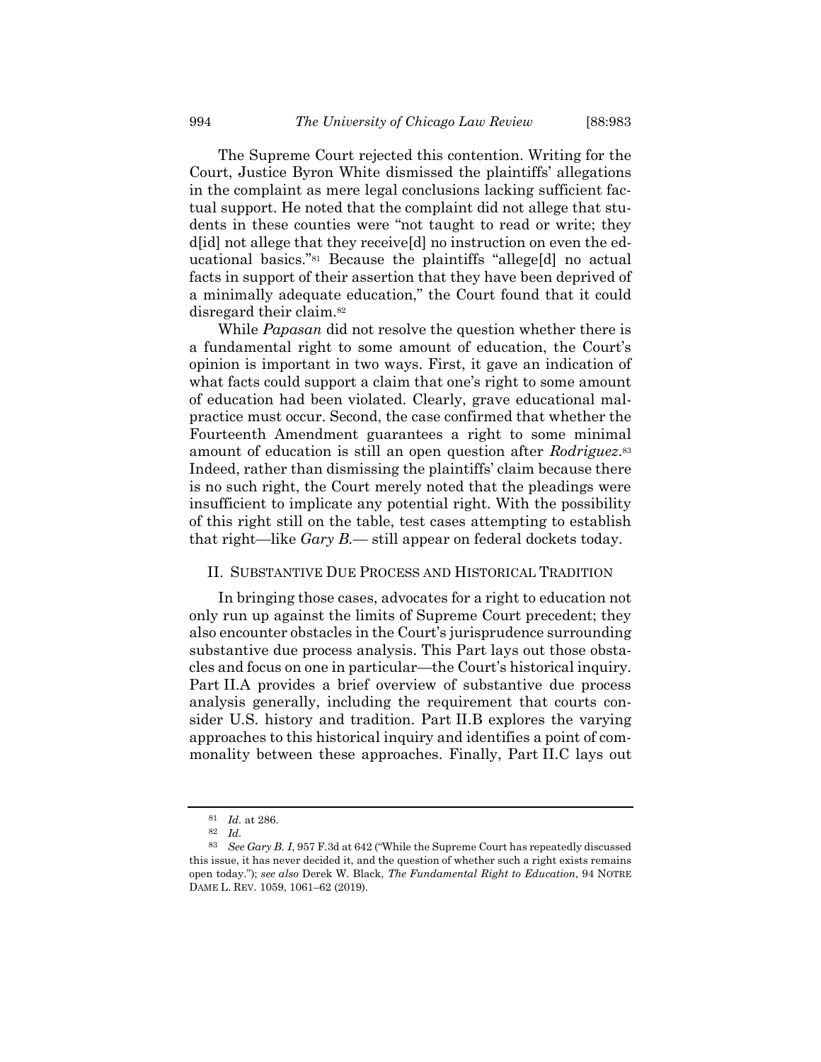The Supreme Court rejected this contention. Writing for the Court, Justice Byron White dismissed the plaintiffs' allegations in the complaint as mere legal conclusions lacking sufficient factual support. He noted that the complaint did not allege that students in these counties were "not taught to read or write; they d[id] not allege that they receive[d] no instruction on even the educational basics."<sup>81</sup> Because the plaintiffs "allege[d] no actual facts in support of their assertion that they have been deprived of a minimally adequate education," the Court found that it could disregard their claim.<sup>82</sup>

While *Papasan* did not resolve the question whether there is a fundamental right to some amount of education, the Court's opinion is important in two ways. First, it gave an indication of what facts could support a claim that one's right to some amount of education had been violated. Clearly, grave educational malpractice must occur. Second, the case confirmed that whether the Fourteenth Amendment guarantees a right to some minimal amount of education is still an open question after *Rodriguez*. 83 Indeed, rather than dismissing the plaintiffs' claim because there is no such right, the Court merely noted that the pleadings were insufficient to implicate any potential right. With the possibility of this right still on the table, test cases attempting to establish that right—like *Gary B.*— still appear on federal dockets today.

### <span id="page-13-0"></span>II. SUBSTANTIVE DUE PROCESS AND HISTORICAL TRADITION

In bringing those cases, advocates for a right to education not only run up against the limits of Supreme Court precedent; they also encounter obstacles in the Court's jurisprudence surrounding substantive due process analysis. This Part lays out those obstacles and focus on one in particular—the Court's historical inquiry. Part II.A provides a brief overview of substantive due process analysis generally, including the requirement that courts consider U.S. history and tradition. Part II.B explores the varying approaches to this historical inquiry and identifies a point of commonality between these approaches. Finally, Part II.C lays out

<sup>81</sup> *Id.* at 286.

<sup>82</sup> *Id.*

<sup>83</sup> *See Gary B. I*, 957 F.3d at 642 ("While the Supreme Court has repeatedly discussed this issue, it has never decided it, and the question of whether such a right exists remains open today."); *see also* Derek W. Black, *The Fundamental Right to Education*, 94 NOTRE DAME L. REV. 1059, 1061–62 (2019).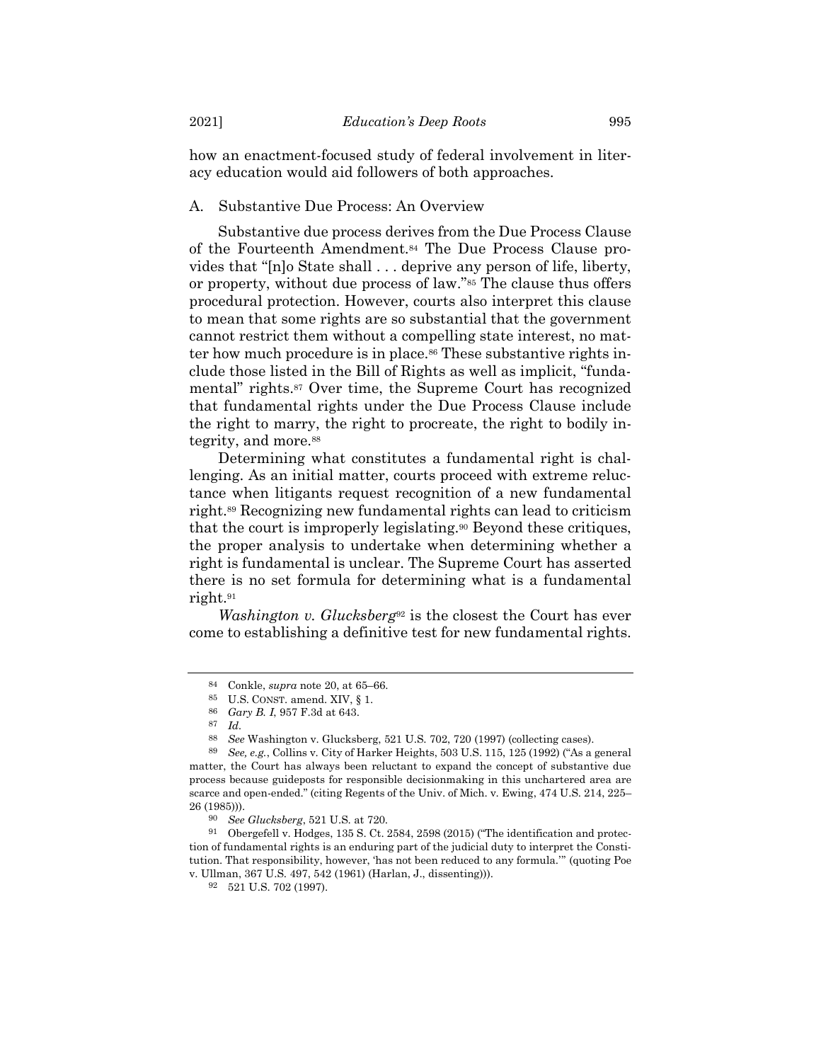how an enactment-focused study of federal involvement in literacy education would aid followers of both approaches.

# A. Substantive Due Process: An Overview

Substantive due process derives from the Due Process Clause of the Fourteenth Amendment.<sup>84</sup> The Due Process Clause provides that "[n]o State shall . . . deprive any person of life, liberty, or property, without due process of law."<sup>85</sup> The clause thus offers procedural protection. However, courts also interpret this clause to mean that some rights are so substantial that the government cannot restrict them without a compelling state interest, no matter how much procedure is in place.<sup>86</sup> These substantive rights include those listed in the Bill of Rights as well as implicit, "fundamental" rights.<sup>87</sup> Over time, the Supreme Court has recognized that fundamental rights under the Due Process Clause include the right to marry, the right to procreate, the right to bodily integrity, and more.<sup>88</sup>

Determining what constitutes a fundamental right is challenging. As an initial matter, courts proceed with extreme reluctance when litigants request recognition of a new fundamental right.<sup>89</sup> Recognizing new fundamental rights can lead to criticism that the court is improperly legislating.<sup>90</sup> Beyond these critiques, the proper analysis to undertake when determining whether a right is fundamental is unclear. The Supreme Court has asserted there is no set formula for determining what is a fundamental right.<sup>91</sup>

*Washington v. Glucksberg*<sup>92</sup> is the closest the Court has ever come to establishing a definitive test for new fundamental rights.

<sup>84</sup> Conkle, *supra* note [20,](#page-4-0) at 65–66.

<sup>85</sup> U.S. CONST. amend. XIV, § 1.

<sup>86</sup> *Gary B. I*, 957 F.3d at 643.

 $\frac{87}{88}$  *Id.* 

<sup>88</sup> *See* Washington v. Glucksberg, 521 U.S. 702, 720 (1997) (collecting cases).

<sup>89</sup> *See, e.g.*, Collins v. City of Harker Heights, 503 U.S. 115, 125 (1992) ("As a general matter, the Court has always been reluctant to expand the concept of substantive due process because guideposts for responsible decisionmaking in this unchartered area are scarce and open-ended." (citing Regents of the Univ. of Mich. v. Ewing, 474 U.S. 214, 225– 26 (1985))).

<sup>90</sup> *See Glucksberg*, 521 U.S. at 720.

<sup>91</sup> Obergefell v. Hodges, 135 S. Ct. 2584, 2598 (2015) ("The identification and protection of fundamental rights is an enduring part of the judicial duty to interpret the Constitution. That responsibility, however, 'has not been reduced to any formula.'" (quoting Poe v. Ullman, 367 U.S. 497, 542 (1961) (Harlan, J., dissenting))).

<sup>92</sup> 521 U.S. 702 (1997).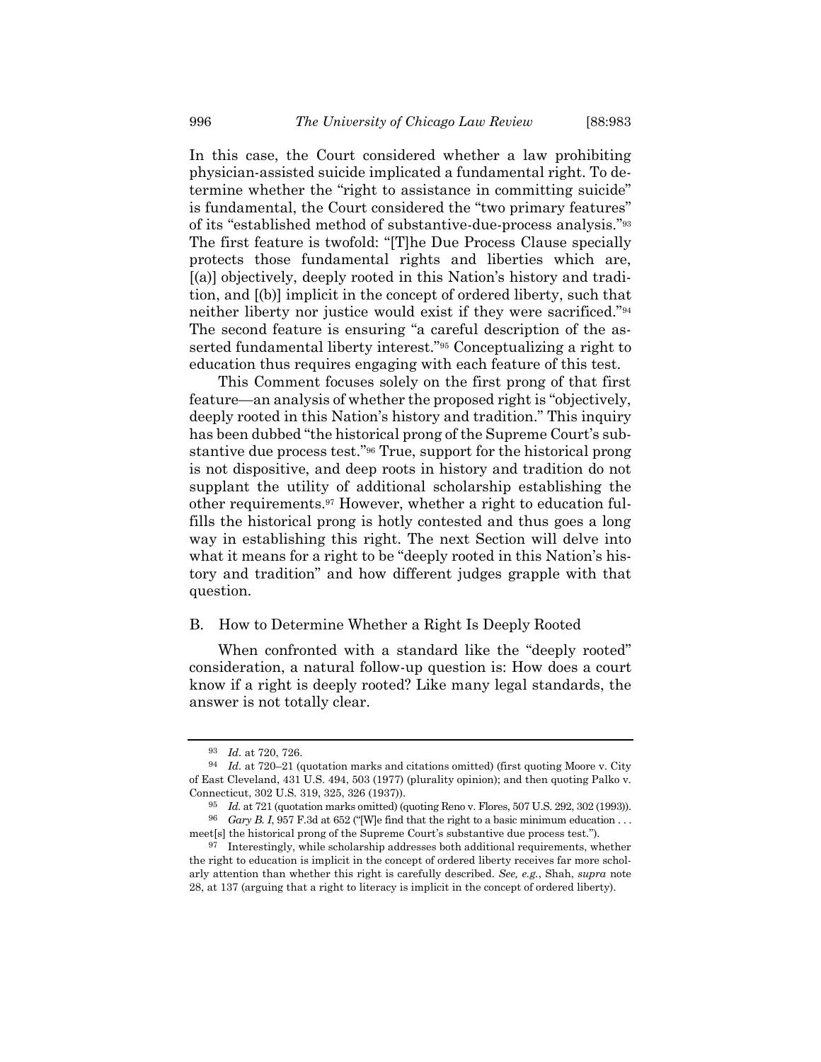In this case, the Court considered whether a law prohibiting physician-assisted suicide implicated a fundamental right. To determine whether the "right to assistance in committing suicide" is fundamental, the Court considered the "two primary features" of its "established method of substantive-due-process analysis."<sup>93</sup> The first feature is twofold: "[T]he Due Process Clause specially protects those fundamental rights and liberties which are, [(a)] objectively, deeply rooted in this Nation's history and tradition, and [(b)] implicit in the concept of ordered liberty, such that neither liberty nor justice would exist if they were sacrificed."<sup>94</sup> The second feature is ensuring "a careful description of the asserted fundamental liberty interest."<sup>95</sup> Conceptualizing a right to education thus requires engaging with each feature of this test.

This Comment focuses solely on the first prong of that first feature—an analysis of whether the proposed right is "objectively, deeply rooted in this Nation's history and tradition." This inquiry has been dubbed "the historical prong of the Supreme Court's substantive due process test."<sup>96</sup> True, support for the historical prong is not dispositive, and deep roots in history and tradition do not supplant the utility of additional scholarship establishing the other requirements.<sup>97</sup> However, whether a right to education fulfills the historical prong is hotly contested and thus goes a long way in establishing this right. The next Section will delve into what it means for a right to be "deeply rooted in this Nation's history and tradition" and how different judges grapple with that question.

# B. How to Determine Whether a Right Is Deeply Rooted

When confronted with a standard like the "deeply rooted" consideration, a natural follow-up question is: How does a court know if a right is deeply rooted? Like many legal standards, the answer is not totally clear.

<sup>93</sup> *Id.* at 720, 726.

<sup>94</sup> *Id.* at 720–21 (quotation marks and citations omitted) (first quoting Moore v. City of East Cleveland, 431 U.S. 494, 503 (1977) (plurality opinion); and then quoting Palko v. Connecticut, 302 U.S. 319, 325, 326 (1937)).

<sup>95</sup> *Id.* at 721 (quotation marks omitted) (quoting Reno v. Flores, 507 U.S. 292, 302 (1993)).  $^{96}$   $\,$   $G\!ary$   $B.$   $I,$   $957$   $\rm F.3d$  at 652 ("[W]e find that the right to a basic minimum education . . .

meet[s] the historical prong of the Supreme Court's substantive due process test.").

<sup>97</sup> Interestingly, while scholarship addresses both additional requirements, whether the right to education is implicit in the concept of ordered liberty receives far more scholarly attention than whether this right is carefully described. *See, e.g.*, Shah, *supra* note [28,](#page-5-0) at 137 (arguing that a right to literacy is implicit in the concept of ordered liberty).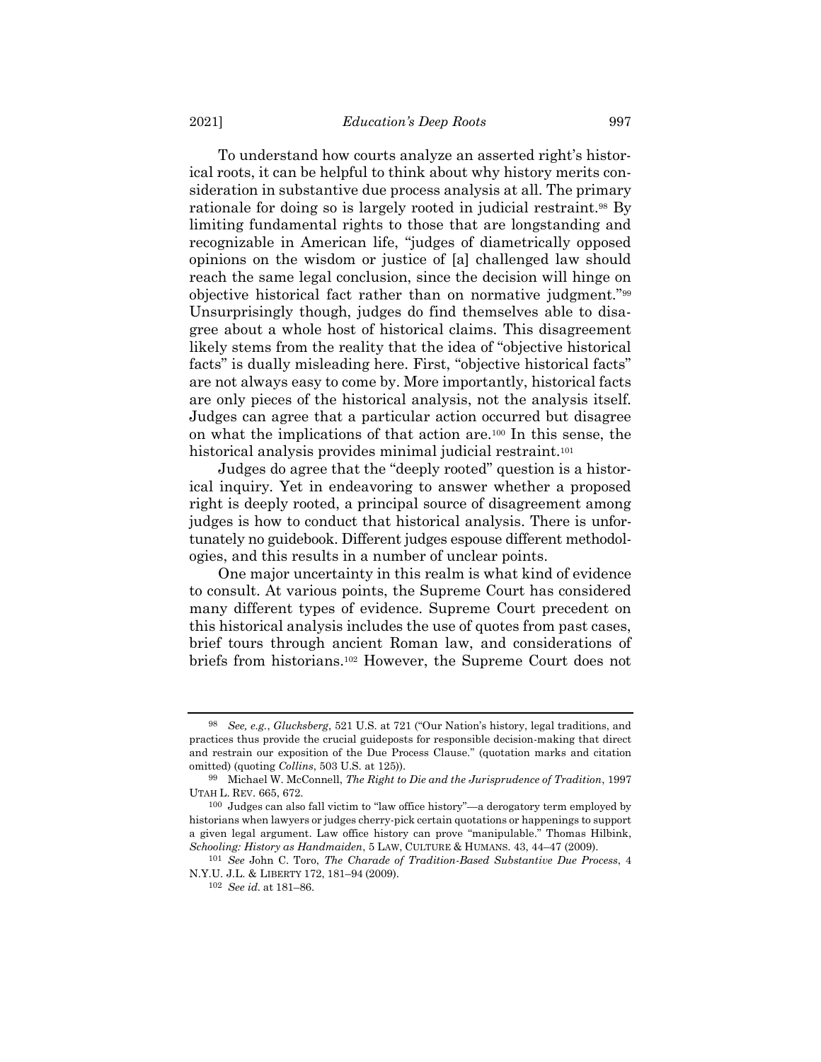To understand how courts analyze an asserted right's historical roots, it can be helpful to think about why history merits consideration in substantive due process analysis at all. The primary rationale for doing so is largely rooted in judicial restraint.<sup>98</sup> By limiting fundamental rights to those that are longstanding and recognizable in American life, "judges of diametrically opposed opinions on the wisdom or justice of [a] challenged law should reach the same legal conclusion, since the decision will hinge on objective historical fact rather than on normative judgment."<sup>99</sup> Unsurprisingly though, judges do find themselves able to disagree about a whole host of historical claims. This disagreement likely stems from the reality that the idea of "objective historical facts" is dually misleading here. First, "objective historical facts" are not always easy to come by. More importantly, historical facts are only pieces of the historical analysis, not the analysis itself. Judges can agree that a particular action occurred but disagree on what the implications of that action are.<sup>100</sup> In this sense, the historical analysis provides minimal judicial restraint.<sup>101</sup>

<span id="page-16-0"></span>Judges do agree that the "deeply rooted" question is a historical inquiry. Yet in endeavoring to answer whether a proposed right is deeply rooted, a principal source of disagreement among judges is how to conduct that historical analysis. There is unfortunately no guidebook. Different judges espouse different methodologies, and this results in a number of unclear points.

One major uncertainty in this realm is what kind of evidence to consult. At various points, the Supreme Court has considered many different types of evidence. Supreme Court precedent on this historical analysis includes the use of quotes from past cases, brief tours through ancient Roman law, and considerations of briefs from historians.<sup>102</sup> However, the Supreme Court does not

<sup>98</sup> *See, e.g.*, *Glucksberg*, 521 U.S. at 721 ("Our Nation's history, legal traditions, and practices thus provide the crucial guideposts for responsible decision-making that direct and restrain our exposition of the Due Process Clause." (quotation marks and citation omitted) (quoting *Collins*, 503 U.S. at 125)).

<sup>99</sup> Michael W. McConnell, *The Right to Die and the Jurisprudence of Tradition*, 1997 UTAH L. REV. 665, 672.

<sup>100</sup> Judges can also fall victim to "law office history"—a derogatory term employed by historians when lawyers or judges cherry-pick certain quotations or happenings to support a given legal argument. Law office history can prove "manipulable." Thomas Hilbink, *Schooling: History as Handmaiden*, 5 LAW, CULTURE & HUMANS. 43, 44–47 (2009).

<sup>101</sup> *See* John C. Toro, *The Charade of Tradition-Based Substantive Due Process*, 4 N.Y.U. J.L. & LIBERTY 172, 181–94 (2009).

<sup>102</sup> *See id.* at 181–86.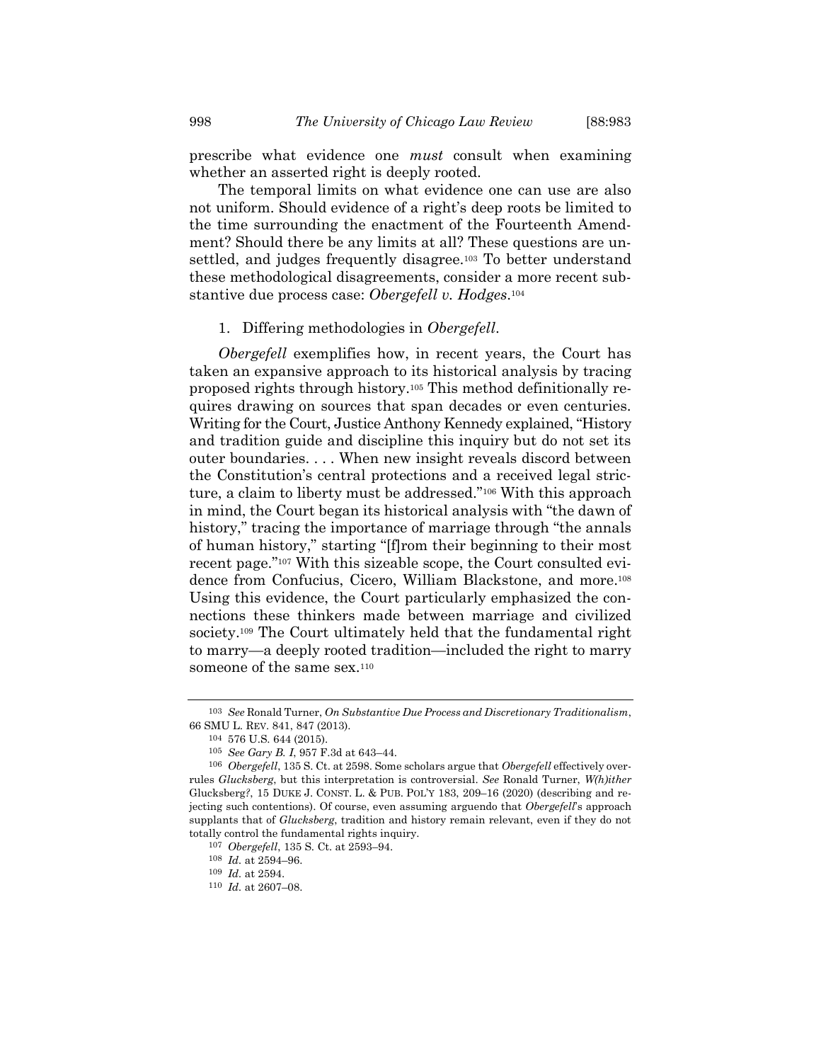prescribe what evidence one *must* consult when examining whether an asserted right is deeply rooted.

The temporal limits on what evidence one can use are also not uniform. Should evidence of a right's deep roots be limited to the time surrounding the enactment of the Fourteenth Amendment? Should there be any limits at all? These questions are unsettled, and judges frequently disagree.<sup>103</sup> To better understand these methodological disagreements, consider a more recent substantive due process case: *Obergefell v. Hodges*. 104

### 1. Differing methodologies in *Obergefell*.

*Obergefell* exemplifies how, in recent years, the Court has taken an expansive approach to its historical analysis by tracing proposed rights through history.<sup>105</sup> This method definitionally requires drawing on sources that span decades or even centuries. Writing for the Court, Justice Anthony Kennedy explained, "History and tradition guide and discipline this inquiry but do not set its outer boundaries. . . . When new insight reveals discord between the Constitution's central protections and a received legal stricture, a claim to liberty must be addressed."<sup>106</sup> With this approach in mind, the Court began its historical analysis with "the dawn of history," tracing the importance of marriage through "the annals" of human history," starting "[f]rom their beginning to their most recent page."<sup>107</sup> With this sizeable scope, the Court consulted evidence from Confucius, Cicero, William Blackstone, and more.<sup>108</sup> Using this evidence, the Court particularly emphasized the connections these thinkers made between marriage and civilized society.<sup>109</sup> The Court ultimately held that the fundamental right to marry—a deeply rooted tradition—included the right to marry someone of the same sex.<sup>110</sup>

<sup>103</sup> *See* Ronald Turner, *On Substantive Due Process and Discretionary Traditionalism*, 66 SMU L. REV. 841, 847 (2013).

<sup>104</sup> 576 U.S. 644 (2015).

<sup>105</sup> *See Gary B. I*, 957 F.3d at 643–44.

<sup>106</sup> *Obergefell*, 135 S. Ct. at 2598. Some scholars argue that *Obergefell* effectively overrules *Glucksberg*, but this interpretation is controversial. *See* Ronald Turner, *W(h)ither*  Glucksberg*?*, 15 DUKE J. CONST. L. & PUB. POL'Y 183, 209–16 (2020) (describing and rejecting such contentions). Of course, even assuming arguendo that *Obergefell*'s approach supplants that of *Glucksberg*, tradition and history remain relevant, even if they do not totally control the fundamental rights inquiry.

<sup>107</sup> *Obergefell*, 135 S. Ct. at 2593–94.

<sup>108</sup> *Id.* at 2594–96.

<sup>109</sup> *Id.* at 2594.

<sup>110</sup> *Id.* at 2607–08.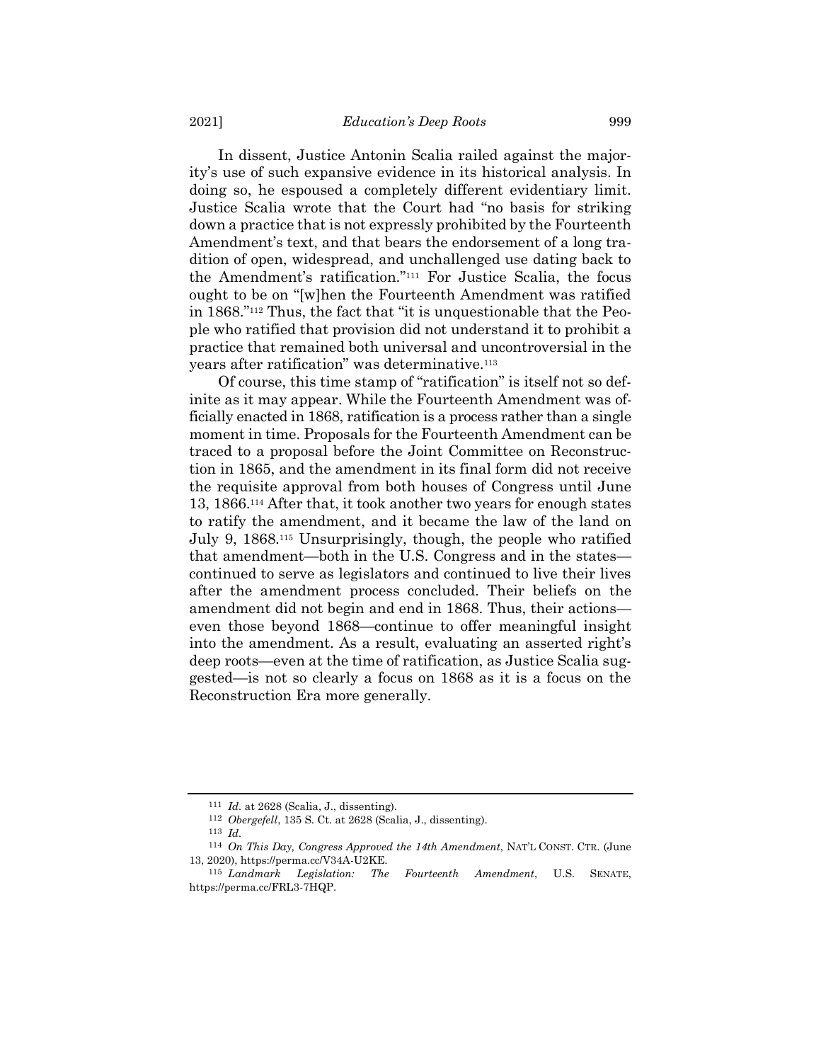In dissent, Justice Antonin Scalia railed against the majority's use of such expansive evidence in its historical analysis. In doing so, he espoused a completely different evidentiary limit. Justice Scalia wrote that the Court had "no basis for striking down a practice that is not expressly prohibited by the Fourteenth Amendment's text, and that bears the endorsement of a long tradition of open, widespread, and unchallenged use dating back to the Amendment's ratification."<sup>111</sup> For Justice Scalia, the focus ought to be on "[w]hen the Fourteenth Amendment was ratified in 1868."<sup>112</sup> Thus, the fact that "it is unquestionable that the People who ratified that provision did not understand it to prohibit a practice that remained both universal and uncontroversial in the years after ratification" was determinative.<sup>113</sup>

<span id="page-18-0"></span>Of course, this time stamp of "ratification" is itself not so definite as it may appear. While the Fourteenth Amendment was officially enacted in 1868, ratification is a process rather than a single moment in time. Proposals for the Fourteenth Amendment can be traced to a proposal before the Joint Committee on Reconstruction in 1865, and the amendment in its final form did not receive the requisite approval from both houses of Congress until June 13, 1866.<sup>114</sup> After that, it took another two years for enough states to ratify the amendment, and it became the law of the land on July 9, 1868.<sup>115</sup> Unsurprisingly, though, the people who ratified that amendment—both in the U.S. Congress and in the states continued to serve as legislators and continued to live their lives after the amendment process concluded. Their beliefs on the amendment did not begin and end in 1868. Thus, their actions even those beyond 1868—continue to offer meaningful insight into the amendment. As a result, evaluating an asserted right's deep roots—even at the time of ratification, as Justice Scalia suggested—is not so clearly a focus on 1868 as it is a focus on the Reconstruction Era more generally.

<sup>111</sup> *Id.* at 2628 (Scalia, J., dissenting).

<sup>112</sup> *Obergefell*, 135 S. Ct. at 2628 (Scalia, J., dissenting).

<sup>113</sup> *Id.*

<sup>114</sup> *On This Day, Congress Approved the 14th Amendment*, NAT'L CONST. CTR. (June 13, 2020), https://perma.cc/V34A-U2KE.

<sup>115</sup> *Landmark Legislation: The Fourteenth Amendment*, U.S. SENATE, https://perma.cc/FRL3-7HQP.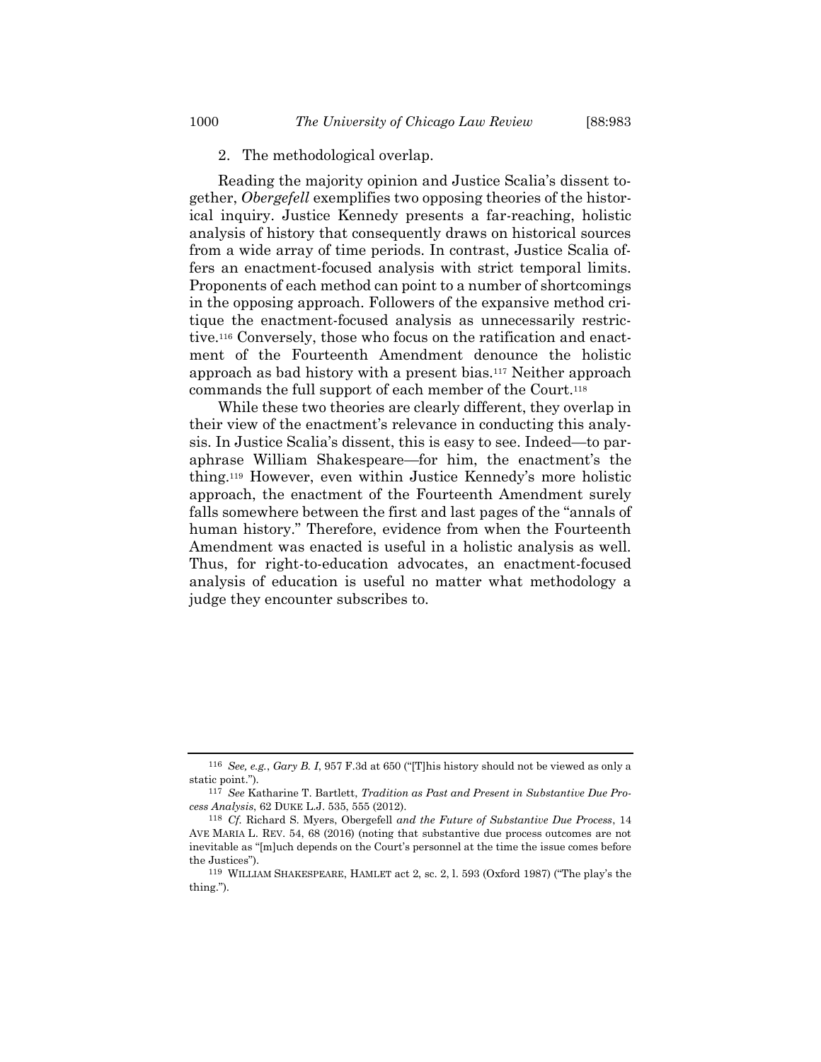2. The methodological overlap.

Reading the majority opinion and Justice Scalia's dissent together, *Obergefell* exemplifies two opposing theories of the historical inquiry. Justice Kennedy presents a far-reaching, holistic analysis of history that consequently draws on historical sources from a wide array of time periods. In contrast, Justice Scalia offers an enactment-focused analysis with strict temporal limits. Proponents of each method can point to a number of shortcomings in the opposing approach. Followers of the expansive method critique the enactment-focused analysis as unnecessarily restrictive.<sup>116</sup> Conversely, those who focus on the ratification and enactment of the Fourteenth Amendment denounce the holistic approach as bad history with a present bias.<sup>117</sup> Neither approach commands the full support of each member of the Court.<sup>118</sup>

While these two theories are clearly different, they overlap in their view of the enactment's relevance in conducting this analysis. In Justice Scalia's dissent, this is easy to see. Indeed—to paraphrase William Shakespeare—for him, the enactment's the thing.<sup>119</sup> However, even within Justice Kennedy's more holistic approach, the enactment of the Fourteenth Amendment surely falls somewhere between the first and last pages of the "annals of human history." Therefore, evidence from when the Fourteenth Amendment was enacted is useful in a holistic analysis as well. Thus, for right-to-education advocates, an enactment-focused analysis of education is useful no matter what methodology a judge they encounter subscribes to.

<sup>116</sup> *See, e.g.*, *Gary B. I*, 957 F.3d at 650 ("[T]his history should not be viewed as only a static point.").

<sup>117</sup> *See* Katharine T. Bartlett, *Tradition as Past and Present in Substantive Due Process Analysis*, 62 DUKE L.J. 535, 555 (2012).

<sup>118</sup> *Cf.* Richard S. Myers, Obergefell *and the Future of Substantive Due Process*, 14 AVE MARIA L. REV. 54, 68 (2016) (noting that substantive due process outcomes are not inevitable as "[m]uch depends on the Court's personnel at the time the issue comes before the Justices").

<sup>119</sup> WILLIAM SHAKESPEARE, HAMLET act 2, sc. 2, l. 593 (Oxford 1987) ("The play's the thing.").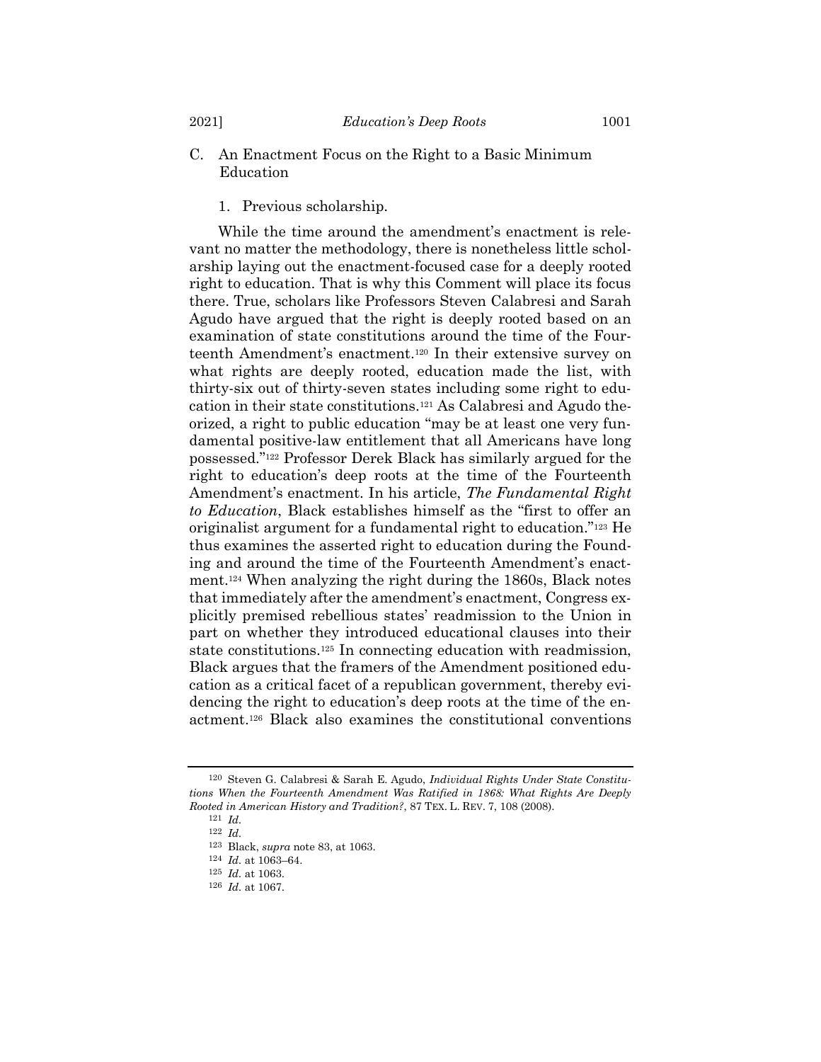# C. An Enactment Focus on the Right to a Basic Minimum Education

<span id="page-20-0"></span>1. Previous scholarship.

While the time around the amendment's enactment is relevant no matter the methodology, there is nonetheless little scholarship laying out the enactment-focused case for a deeply rooted right to education. That is why this Comment will place its focus there. True, scholars like Professors Steven Calabresi and Sarah Agudo have argued that the right is deeply rooted based on an examination of state constitutions around the time of the Fourteenth Amendment's enactment.<sup>120</sup> In their extensive survey on what rights are deeply rooted, education made the list, with thirty-six out of thirty-seven states including some right to education in their state constitutions.<sup>121</sup> As Calabresi and Agudo theorized, a right to public education "may be at least one very fundamental positive-law entitlement that all Americans have long possessed."<sup>122</sup> Professor Derek Black has similarly argued for the right to education's deep roots at the time of the Fourteenth Amendment's enactment. In his article, *The Fundamental Right to Education*, Black establishes himself as the "first to offer an originalist argument for a fundamental right to education."<sup>123</sup> He thus examines the asserted right to education during the Founding and around the time of the Fourteenth Amendment's enactment.<sup>124</sup> When analyzing the right during the 1860s, Black notes that immediately after the amendment's enactment, Congress explicitly premised rebellious states' readmission to the Union in part on whether they introduced educational clauses into their state constitutions.<sup>125</sup> In connecting education with readmission, Black argues that the framers of the Amendment positioned education as a critical facet of a republican government, thereby evidencing the right to education's deep roots at the time of the enactment.<sup>126</sup> Black also examines the constitutional conventions

<sup>120</sup> Steven G. Calabresi & Sarah E. Agudo, *Individual Rights Under State Constitutions When the Fourteenth Amendment Was Ratified in 1868: What Rights Are Deeply Rooted in American History and Tradition?*, 87 TEX. L. REV. 7, 108 (2008).

<sup>121</sup> *Id.*

<sup>122</sup> *Id.*

<sup>123</sup> Black, *supra* note [83,](#page-13-0) at 1063.

<sup>124</sup> *Id.* at 1063–64.

<sup>125</sup> *Id.* at 1063.

<sup>126</sup> *Id.* at 1067.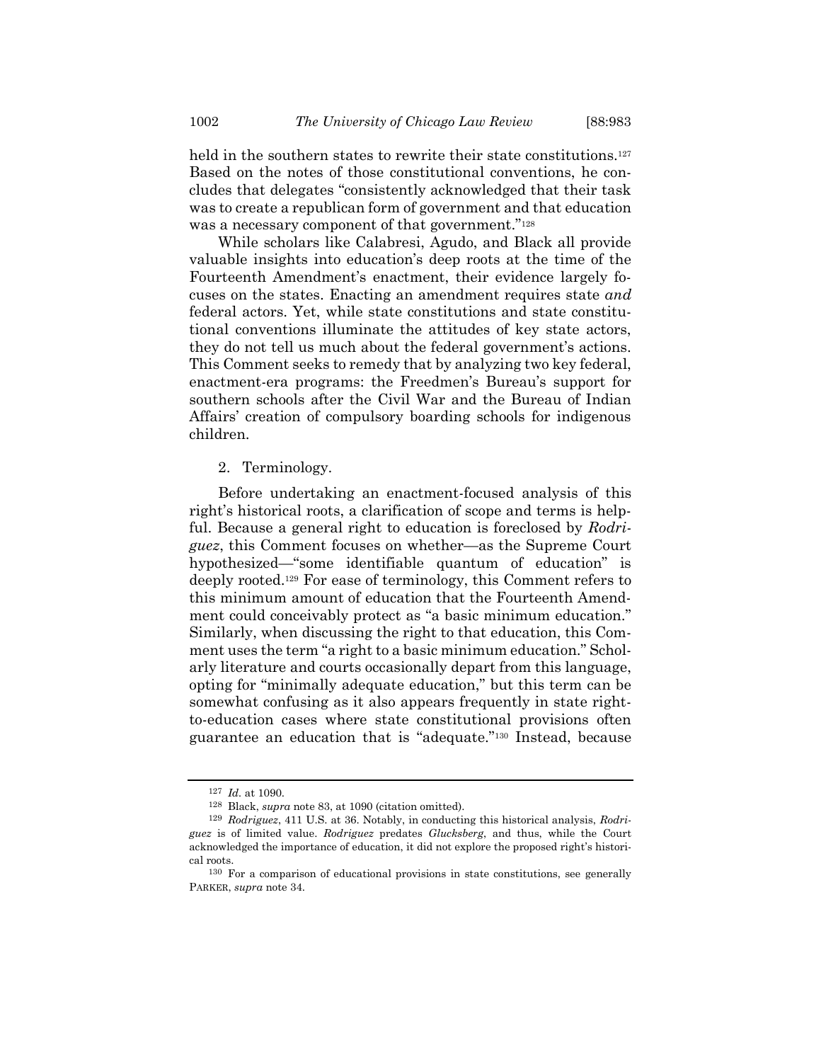held in the southern states to rewrite their state constitutions.<sup>127</sup> Based on the notes of those constitutional conventions, he concludes that delegates "consistently acknowledged that their task was to create a republican form of government and that education was a necessary component of that government."<sup>128</sup>

While scholars like Calabresi, Agudo, and Black all provide valuable insights into education's deep roots at the time of the Fourteenth Amendment's enactment, their evidence largely focuses on the states. Enacting an amendment requires state *and* federal actors. Yet, while state constitutions and state constitutional conventions illuminate the attitudes of key state actors, they do not tell us much about the federal government's actions. This Comment seeks to remedy that by analyzing two key federal, enactment-era programs: the Freedmen's Bureau's support for southern schools after the Civil War and the Bureau of Indian Affairs' creation of compulsory boarding schools for indigenous children.

### 2. Terminology.

Before undertaking an enactment-focused analysis of this right's historical roots, a clarification of scope and terms is helpful. Because a general right to education is foreclosed by *Rodriguez*, this Comment focuses on whether—as the Supreme Court hypothesized—"some identifiable quantum of education" is deeply rooted.<sup>129</sup> For ease of terminology, this Comment refers to this minimum amount of education that the Fourteenth Amendment could conceivably protect as "a basic minimum education." Similarly, when discussing the right to that education, this Comment uses the term "a right to a basic minimum education." Scholarly literature and courts occasionally depart from this language, opting for "minimally adequate education," but this term can be somewhat confusing as it also appears frequently in state rightto-education cases where state constitutional provisions often guarantee an education that is "adequate."<sup>130</sup> Instead, because

<sup>127</sup> *Id.* at 1090.

<sup>128</sup> Black, *supra* note [83,](#page-13-0) at 1090 (citation omitted).

<sup>129</sup> *Rodriguez*, 411 U.S. at 36. Notably, in conducting this historical analysis, *Rodriguez* is of limited value. *Rodriguez* predates *Glucksberg*, and thus, while the Court acknowledged the importance of education, it did not explore the proposed right's historical roots.

<sup>130</sup> For a comparison of educational provisions in state constitutions, see generally PARKER, *supra* note [34.](#page-6-1)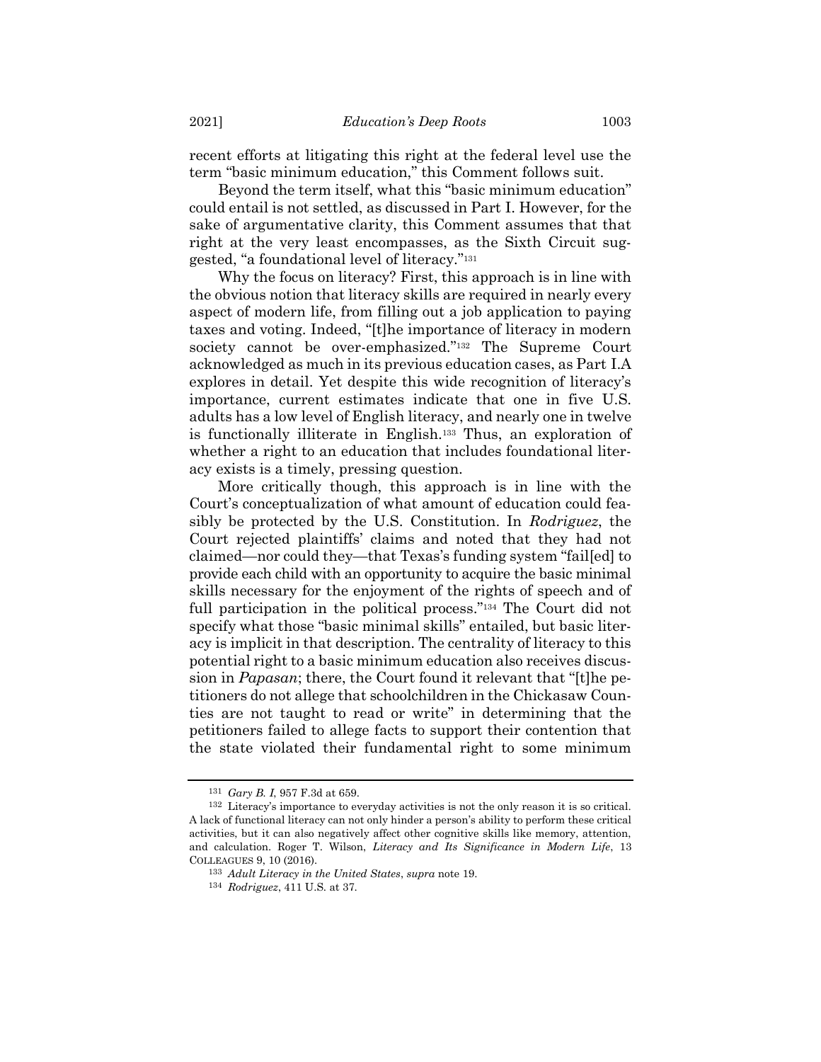recent efforts at litigating this right at the federal level use the term "basic minimum education," this Comment follows suit.

Beyond the term itself, what this "basic minimum education" could entail is not settled, as discussed in Part I. However, for the sake of argumentative clarity, this Comment assumes that that right at the very least encompasses, as the Sixth Circuit suggested, "a foundational level of literacy."<sup>131</sup>

Why the focus on literacy? First, this approach is in line with the obvious notion that literacy skills are required in nearly every aspect of modern life, from filling out a job application to paying taxes and voting. Indeed, "[t]he importance of literacy in modern society cannot be over-emphasized."<sup>132</sup> The Supreme Court acknowledged as much in its previous education cases, as Part I.A explores in detail. Yet despite this wide recognition of literacy's importance, current estimates indicate that one in five U.S. adults has a low level of English literacy, and nearly one in twelve is functionally illiterate in English.<sup>133</sup> Thus, an exploration of whether a right to an education that includes foundational literacy exists is a timely, pressing question.

More critically though, this approach is in line with the Court's conceptualization of what amount of education could feasibly be protected by the U.S. Constitution. In *Rodriguez*, the Court rejected plaintiffs' claims and noted that they had not claimed—nor could they—that Texas's funding system "fail[ed] to provide each child with an opportunity to acquire the basic minimal skills necessary for the enjoyment of the rights of speech and of full participation in the political process."<sup>134</sup> The Court did not specify what those "basic minimal skills" entailed, but basic literacy is implicit in that description. The centrality of literacy to this potential right to a basic minimum education also receives discussion in *Papasan*; there, the Court found it relevant that "[t]he petitioners do not allege that schoolchildren in the Chickasaw Counties are not taught to read or write" in determining that the petitioners failed to allege facts to support their contention that the state violated their fundamental right to some minimum

<sup>131</sup> *Gary B. I*, 957 F.3d at 659.

<sup>132</sup> Literacy's importance to everyday activities is not the only reason it is so critical. A lack of functional literacy can not only hinder a person's ability to perform these critical activities, but it can also negatively affect other cognitive skills like memory, attention, and calculation. Roger T. Wilson, *Literacy and Its Significance in Modern Life*, 13 COLLEAGUES 9, 10 (2016).

<sup>133</sup> *Adult Literacy in the United States*, *supra* note [19.](#page-3-0)

<sup>134</sup> *Rodriguez*, 411 U.S. at 37.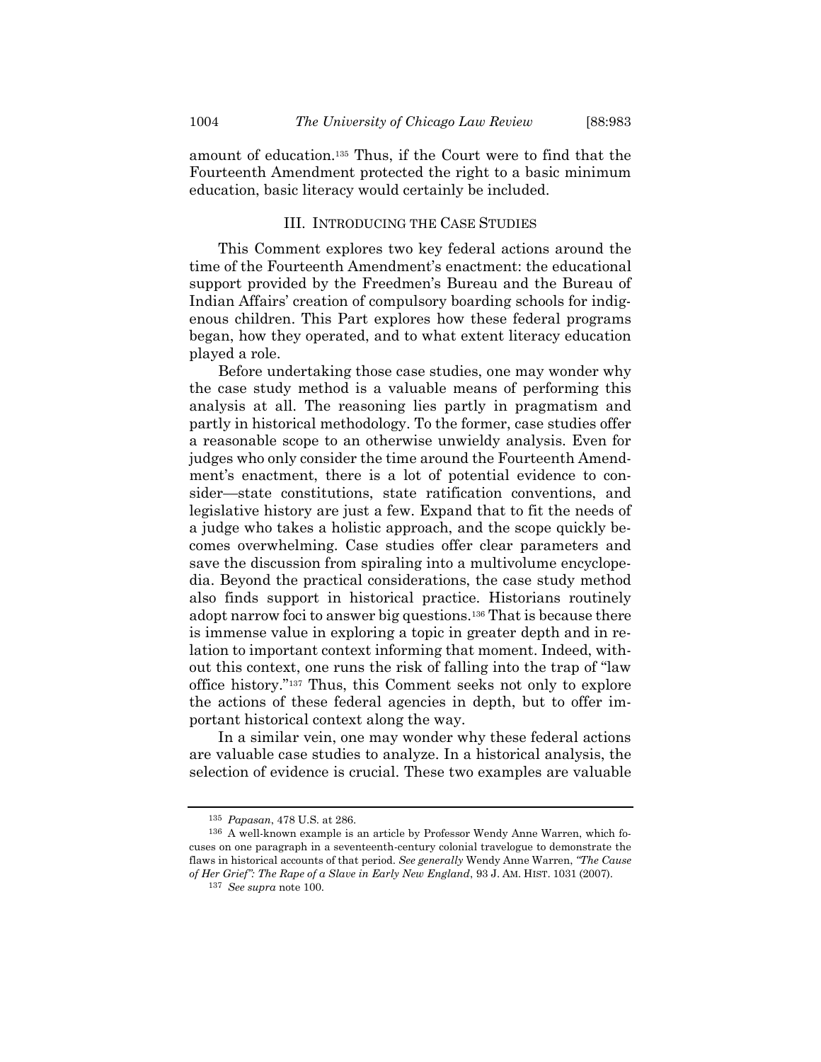amount of education.<sup>135</sup> Thus, if the Court were to find that the Fourteenth Amendment protected the right to a basic minimum education, basic literacy would certainly be included.

### III. INTRODUCING THE CASE STUDIES

This Comment explores two key federal actions around the time of the Fourteenth Amendment's enactment: the educational support provided by the Freedmen's Bureau and the Bureau of Indian Affairs' creation of compulsory boarding schools for indigenous children. This Part explores how these federal programs began, how they operated, and to what extent literacy education played a role.

Before undertaking those case studies, one may wonder why the case study method is a valuable means of performing this analysis at all. The reasoning lies partly in pragmatism and partly in historical methodology. To the former, case studies offer a reasonable scope to an otherwise unwieldy analysis. Even for judges who only consider the time around the Fourteenth Amendment's enactment, there is a lot of potential evidence to consider—state constitutions, state ratification conventions, and legislative history are just a few. Expand that to fit the needs of a judge who takes a holistic approach, and the scope quickly becomes overwhelming. Case studies offer clear parameters and save the discussion from spiraling into a multivolume encyclopedia. Beyond the practical considerations, the case study method also finds support in historical practice. Historians routinely adopt narrow foci to answer big questions.<sup>136</sup> That is because there is immense value in exploring a topic in greater depth and in relation to important context informing that moment. Indeed, without this context, one runs the risk of falling into the trap of "law office history."<sup>137</sup> Thus, this Comment seeks not only to explore the actions of these federal agencies in depth, but to offer important historical context along the way.

In a similar vein, one may wonder why these federal actions are valuable case studies to analyze. In a historical analysis, the selection of evidence is crucial. These two examples are valuable

<sup>135</sup> *Papasan*, 478 U.S. at 286.

<sup>136</sup> A well-known example is an article by Professor Wendy Anne Warren, which focuses on one paragraph in a seventeenth-century colonial travelogue to demonstrate the flaws in historical accounts of that period. *See generally* Wendy Anne Warren, *"The Cause of Her Grief": The Rape of a Slave in Early New England*, 93 J. AM. HIST. 1031 (2007).

<sup>137</sup> *See supra* not[e 100.](#page-16-0)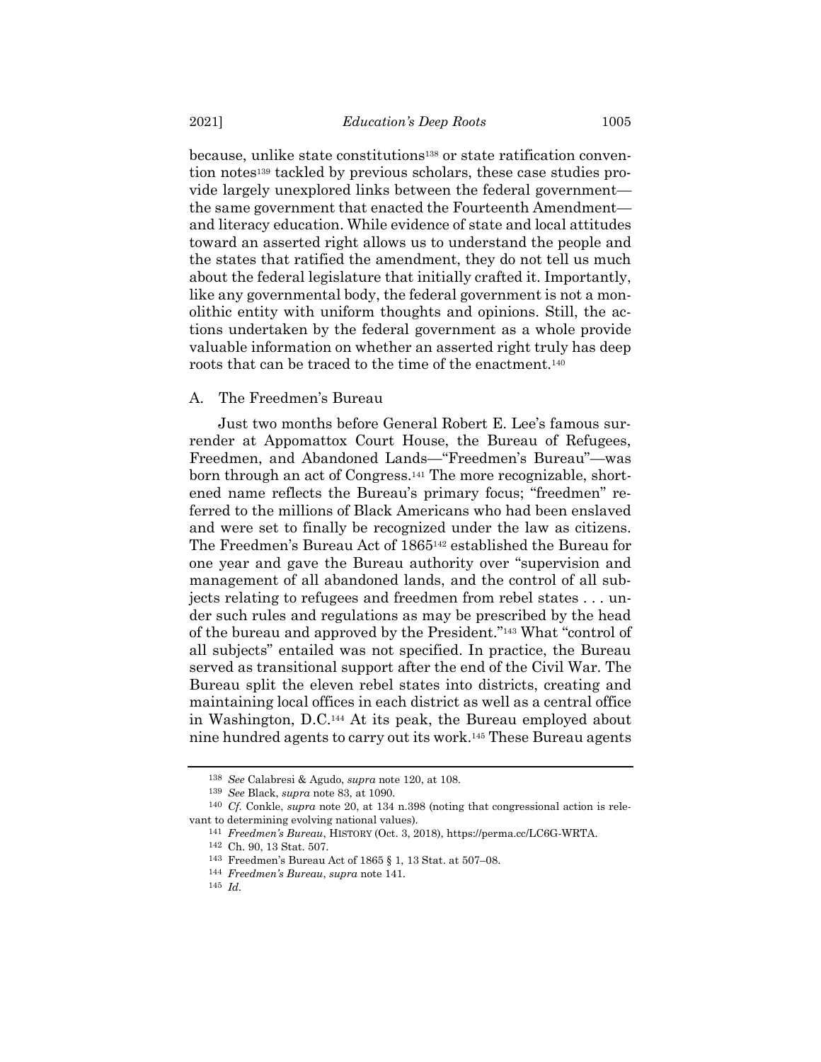because, unlike state constitutions<sup>138</sup> or state ratification convention notes<sup>139</sup> tackled by previous scholars, these case studies provide largely unexplored links between the federal government the same government that enacted the Fourteenth Amendment and literacy education. While evidence of state and local attitudes toward an asserted right allows us to understand the people and the states that ratified the amendment, they do not tell us much about the federal legislature that initially crafted it. Importantly, like any governmental body, the federal government is not a monolithic entity with uniform thoughts and opinions. Still, the actions undertaken by the federal government as a whole provide valuable information on whether an asserted right truly has deep roots that can be traced to the time of the enactment.<sup>140</sup>

# A. The Freedmen's Bureau

<span id="page-24-0"></span>Just two months before General Robert E. Lee's famous surrender at Appomattox Court House, the Bureau of Refugees, Freedmen, and Abandoned Lands—"Freedmen's Bureau"—was born through an act of Congress.<sup>141</sup> The more recognizable, shortened name reflects the Bureau's primary focus; "freedmen" referred to the millions of Black Americans who had been enslaved and were set to finally be recognized under the law as citizens. The Freedmen's Bureau Act of 1865<sup>142</sup> established the Bureau for one year and gave the Bureau authority over "supervision and management of all abandoned lands, and the control of all subjects relating to refugees and freedmen from rebel states . . . under such rules and regulations as may be prescribed by the head of the bureau and approved by the President."<sup>143</sup> What "control of all subjects" entailed was not specified. In practice, the Bureau served as transitional support after the end of the Civil War. The Bureau split the eleven rebel states into districts, creating and maintaining local offices in each district as well as a central office in Washington, D.C.<sup>144</sup> At its peak, the Bureau employed about nine hundred agents to carry out its work.<sup>145</sup> These Bureau agents

<sup>138</sup> *See* Calabresi & Agudo, *supra* note [120,](#page-20-0) at 108.

<sup>139</sup> *See* Black, *supra* note [83,](#page-13-0) at 1090.

<sup>140</sup> *Cf.* Conkle, *supra* note [20,](#page-4-0) at 134 n.398 (noting that congressional action is relevant to determining evolving national values).

<sup>141</sup> *Freedmen's Bureau*, HISTORY (Oct. 3, 2018), https://perma.cc/LC6G-WRTA.

<sup>142</sup> Ch. 90, 13 Stat. 507.

<sup>143</sup> Freedmen's Bureau Act of 1865 § 1, 13 Stat. at 507–08.

<sup>144</sup> *Freedmen's Bureau*, *supra* note [141.](#page-24-0)

<sup>145</sup> *Id.*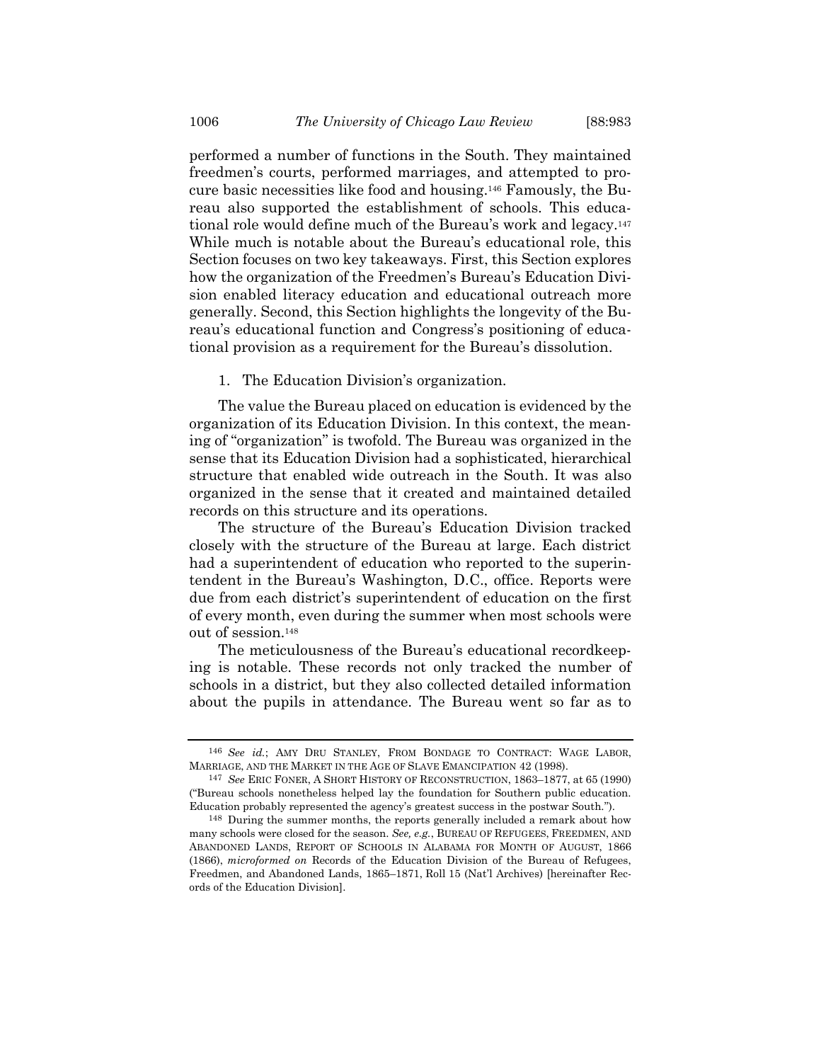<span id="page-25-0"></span>performed a number of functions in the South. They maintained freedmen's courts, performed marriages, and attempted to procure basic necessities like food and housing.<sup>146</sup> Famously, the Bureau also supported the establishment of schools. This educational role would define much of the Bureau's work and legacy.<sup>147</sup> While much is notable about the Bureau's educational role, this Section focuses on two key takeaways. First, this Section explores how the organization of the Freedmen's Bureau's Education Division enabled literacy education and educational outreach more generally. Second, this Section highlights the longevity of the Bureau's educational function and Congress's positioning of educational provision as a requirement for the Bureau's dissolution.

1. The Education Division's organization.

The value the Bureau placed on education is evidenced by the organization of its Education Division. In this context, the meaning of "organization" is twofold. The Bureau was organized in the sense that its Education Division had a sophisticated, hierarchical structure that enabled wide outreach in the South. It was also organized in the sense that it created and maintained detailed records on this structure and its operations.

The structure of the Bureau's Education Division tracked closely with the structure of the Bureau at large. Each district had a superintendent of education who reported to the superintendent in the Bureau's Washington, D.C., office. Reports were due from each district's superintendent of education on the first of every month, even during the summer when most schools were out of session.<sup>148</sup>

The meticulousness of the Bureau's educational recordkeeping is notable. These records not only tracked the number of schools in a district, but they also collected detailed information about the pupils in attendance. The Bureau went so far as to

<sup>146</sup> *See id.*; AMY DRU STANLEY, FROM BONDAGE TO CONTRACT: WAGE LABOR, MARRIAGE, AND THE MARKET IN THE AGE OF SLAVE EMANCIPATION 42 (1998).

<sup>147</sup> *See* ERIC FONER, A SHORT HISTORY OF RECONSTRUCTION, 1863–1877, at 65 (1990) ("Bureau schools nonetheless helped lay the foundation for Southern public education. Education probably represented the agency's greatest success in the postwar South.").

<sup>148</sup> During the summer months, the reports generally included a remark about how many schools were closed for the season. *See, e.g.*, BUREAU OF REFUGEES, FREEDMEN, AND ABANDONED LANDS, REPORT OF SCHOOLS IN ALABAMA FOR MONTH OF AUGUST, 1866 (1866), *microformed on* Records of the Education Division of the Bureau of Refugees, Freedmen, and Abandoned Lands, 1865–1871, Roll 15 (Nat'l Archives) [hereinafter Records of the Education Division].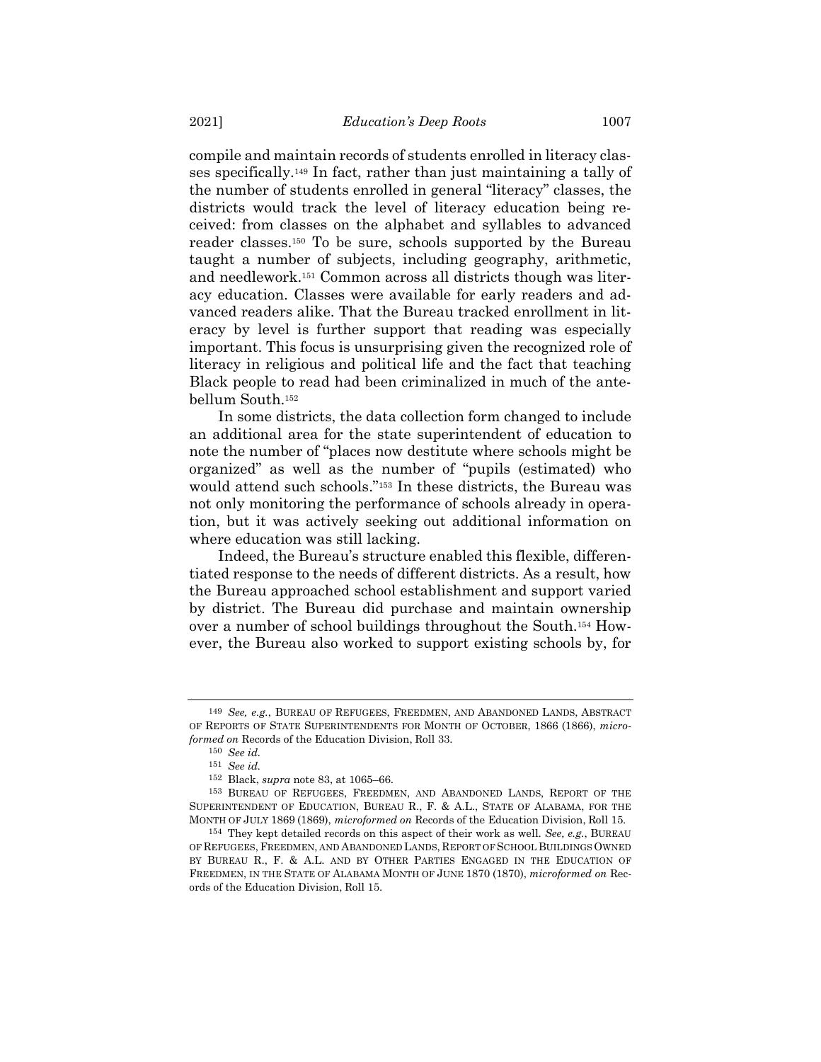compile and maintain records of students enrolled in literacy classes specifically.<sup>149</sup> In fact, rather than just maintaining a tally of the number of students enrolled in general "literacy" classes, the districts would track the level of literacy education being received: from classes on the alphabet and syllables to advanced reader classes.<sup>150</sup> To be sure, schools supported by the Bureau taught a number of subjects, including geography, arithmetic, and needlework.<sup>151</sup> Common across all districts though was literacy education. Classes were available for early readers and advanced readers alike. That the Bureau tracked enrollment in literacy by level is further support that reading was especially important. This focus is unsurprising given the recognized role of literacy in religious and political life and the fact that teaching Black people to read had been criminalized in much of the antebellum South.<sup>152</sup>

In some districts, the data collection form changed to include an additional area for the state superintendent of education to note the number of "places now destitute where schools might be organized" as well as the number of "pupils (estimated) who would attend such schools."<sup>153</sup> In these districts, the Bureau was not only monitoring the performance of schools already in operation, but it was actively seeking out additional information on where education was still lacking.

Indeed, the Bureau's structure enabled this flexible, differentiated response to the needs of different districts. As a result, how the Bureau approached school establishment and support varied by district. The Bureau did purchase and maintain ownership over a number of school buildings throughout the South.<sup>154</sup> However, the Bureau also worked to support existing schools by, for

<sup>149</sup> *See, e.g.*, BUREAU OF REFUGEES, FREEDMEN, AND ABANDONED LANDS, ABSTRACT OF REPORTS OF STATE SUPERINTENDENTS FOR MONTH OF OCTOBER, 1866 (1866), *microformed on* Records of the Education Division, Roll 33.

<sup>150</sup> *See id.*

<sup>151</sup> *See id.*

<sup>152</sup> Black, *supra* note [83,](#page-13-0) at 1065–66.

<sup>153</sup> BUREAU OF REFUGEES, FREEDMEN, AND ABANDONED LANDS, REPORT OF THE SUPERINTENDENT OF EDUCATION, BUREAU R., F. & A.L., STATE OF ALABAMA, FOR THE MONTH OF JULY 1869 (1869), *microformed on* Records of the Education Division, Roll 15.

<sup>154</sup> They kept detailed records on this aspect of their work as well. *See, e.g.*, BUREAU OF REFUGEES, FREEDMEN, AND ABANDONED LANDS, REPORT OF SCHOOL BUILDINGS OWNED BY BUREAU R., F. & A.L. AND BY OTHER PARTIES ENGAGED IN THE EDUCATION OF FREEDMEN, IN THE STATE OF ALABAMA MONTH OF JUNE 1870 (1870), *microformed on* Records of the Education Division, Roll 15.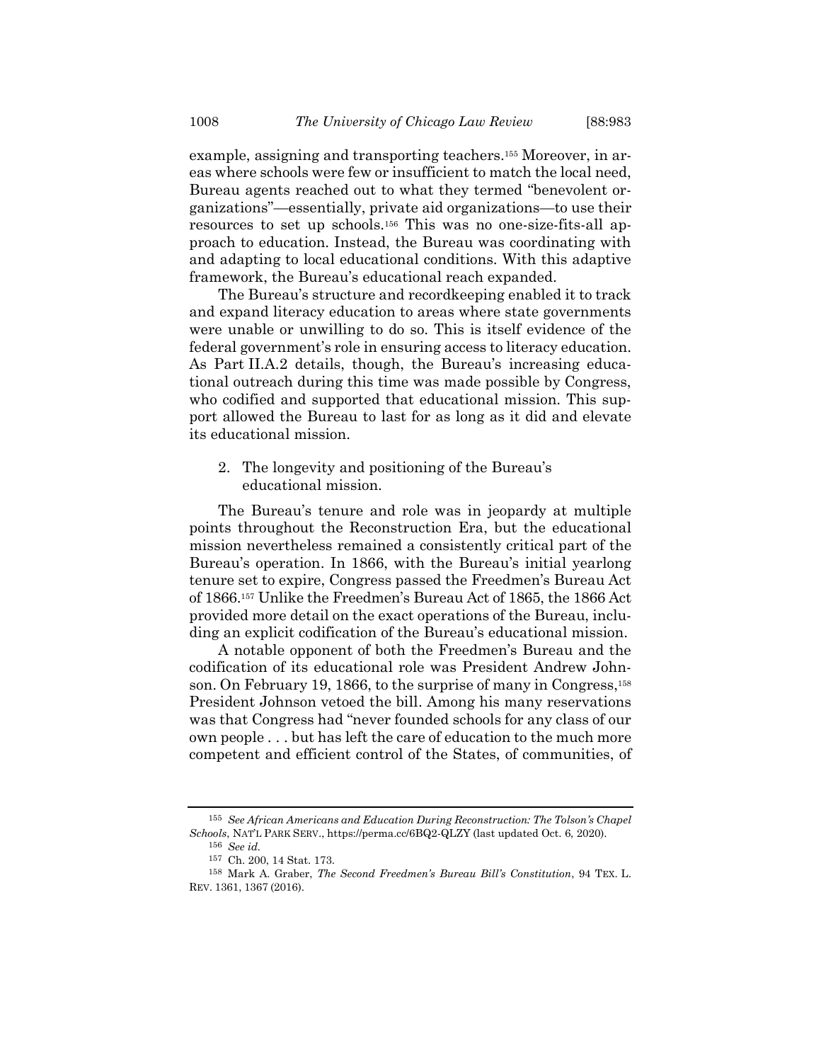example, assigning and transporting teachers.<sup>155</sup> Moreover, in areas where schools were few or insufficient to match the local need, Bureau agents reached out to what they termed "benevolent organizations"—essentially, private aid organizations—to use their resources to set up schools.<sup>156</sup> This was no one-size-fits-all approach to education. Instead, the Bureau was coordinating with and adapting to local educational conditions. With this adaptive framework, the Bureau's educational reach expanded.

The Bureau's structure and recordkeeping enabled it to track and expand literacy education to areas where state governments were unable or unwilling to do so. This is itself evidence of the federal government's role in ensuring access to literacy education. As Part II.A.2 details, though, the Bureau's increasing educational outreach during this time was made possible by Congress, who codified and supported that educational mission. This support allowed the Bureau to last for as long as it did and elevate its educational mission.

2. The longevity and positioning of the Bureau's educational mission.

The Bureau's tenure and role was in jeopardy at multiple points throughout the Reconstruction Era, but the educational mission nevertheless remained a consistently critical part of the Bureau's operation. In 1866, with the Bureau's initial yearlong tenure set to expire, Congress passed the Freedmen's Bureau Act of 1866.<sup>157</sup> Unlike the Freedmen's Bureau Act of 1865, the 1866 Act provided more detail on the exact operations of the Bureau, including an explicit codification of the Bureau's educational mission.

A notable opponent of both the Freedmen's Bureau and the codification of its educational role was President Andrew Johnson. On February 19, 1866, to the surprise of many in Congress,<sup>158</sup> President Johnson vetoed the bill. Among his many reservations was that Congress had "never founded schools for any class of our own people . . . but has left the care of education to the much more competent and efficient control of the States, of communities, of

156 *See id.*

<sup>155</sup> *See African Americans and Education During Reconstruction: The Tolson's Chapel Schools*, NAT'L PARK SERV., https://perma.cc/6BQ2-QLZY (last updated Oct. 6, 2020).

<sup>157</sup> Ch. 200, 14 Stat. 173.

<sup>158</sup> Mark A. Graber, *The Second Freedmen's Bureau Bill's Constitution*, 94 TEX. L. REV. 1361, 1367 (2016).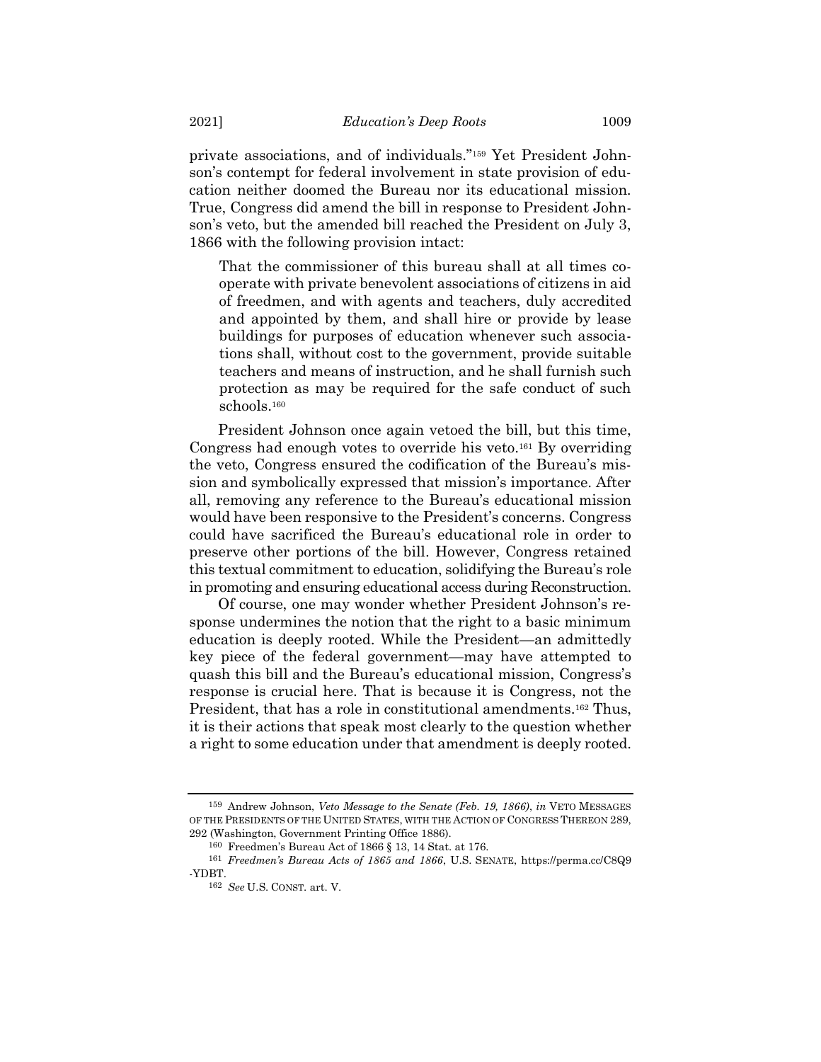private associations, and of individuals."<sup>159</sup> Yet President Johnson's contempt for federal involvement in state provision of education neither doomed the Bureau nor its educational mission. True, Congress did amend the bill in response to President Johnson's veto, but the amended bill reached the President on July 3, 1866 with the following provision intact:

That the commissioner of this bureau shall at all times cooperate with private benevolent associations of citizens in aid of freedmen, and with agents and teachers, duly accredited and appointed by them, and shall hire or provide by lease buildings for purposes of education whenever such associations shall, without cost to the government, provide suitable teachers and means of instruction, and he shall furnish such protection as may be required for the safe conduct of such schools.<sup>160</sup>

President Johnson once again vetoed the bill, but this time, Congress had enough votes to override his veto.<sup>161</sup> By overriding the veto, Congress ensured the codification of the Bureau's mission and symbolically expressed that mission's importance. After all, removing any reference to the Bureau's educational mission would have been responsive to the President's concerns. Congress could have sacrificed the Bureau's educational role in order to preserve other portions of the bill. However, Congress retained this textual commitment to education, solidifying the Bureau's role in promoting and ensuring educational access during Reconstruction.

Of course, one may wonder whether President Johnson's response undermines the notion that the right to a basic minimum education is deeply rooted. While the President—an admittedly key piece of the federal government—may have attempted to quash this bill and the Bureau's educational mission, Congress's response is crucial here. That is because it is Congress, not the President, that has a role in constitutional amendments.<sup>162</sup> Thus, it is their actions that speak most clearly to the question whether a right to some education under that amendment is deeply rooted.

<sup>159</sup> Andrew Johnson, *Veto Message to the Senate (Feb. 19, 1866)*, *in* VETO MESSAGES OF THE PRESIDENTS OF THE UNITED STATES, WITH THE ACTION OF CONGRESS THEREON 289, 292 (Washington, Government Printing Office 1886).

<sup>160</sup> Freedmen's Bureau Act of 1866 § 13, 14 Stat. at 176.

<sup>161</sup> *Freedmen's Bureau Acts of 1865 and 1866*, U.S. SENATE, https://perma.cc/C8Q9 -YDBT.

<sup>162</sup> *See* U.S. CONST. art. V.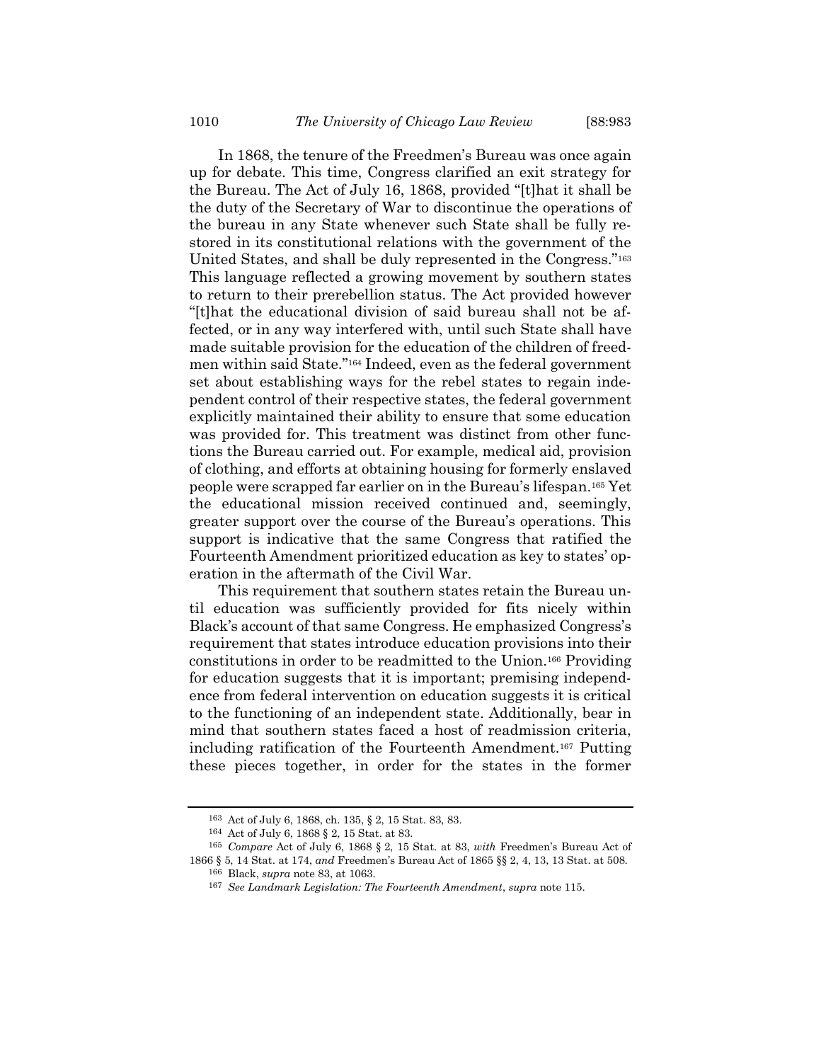In 1868, the tenure of the Freedmen's Bureau was once again up for debate. This time, Congress clarified an exit strategy for the Bureau. The Act of July 16, 1868, provided "[t]hat it shall be the duty of the Secretary of War to discontinue the operations of the bureau in any State whenever such State shall be fully restored in its constitutional relations with the government of the United States, and shall be duly represented in the Congress."<sup>163</sup> This language reflected a growing movement by southern states to return to their prerebellion status. The Act provided however "[t]hat the educational division of said bureau shall not be affected, or in any way interfered with, until such State shall have made suitable provision for the education of the children of freedmen within said State."<sup>164</sup> Indeed, even as the federal government set about establishing ways for the rebel states to regain independent control of their respective states, the federal government explicitly maintained their ability to ensure that some education was provided for. This treatment was distinct from other functions the Bureau carried out. For example, medical aid, provision of clothing, and efforts at obtaining housing for formerly enslaved people were scrapped far earlier on in the Bureau's lifespan.<sup>165</sup> Yet the educational mission received continued and, seemingly, greater support over the course of the Bureau's operations. This support is indicative that the same Congress that ratified the Fourteenth Amendment prioritized education as key to states' operation in the aftermath of the Civil War.

This requirement that southern states retain the Bureau until education was sufficiently provided for fits nicely within Black's account of that same Congress. He emphasized Congress's requirement that states introduce education provisions into their constitutions in order to be readmitted to the Union.<sup>166</sup> Providing for education suggests that it is important; premising independence from federal intervention on education suggests it is critical to the functioning of an independent state. Additionally, bear in mind that southern states faced a host of readmission criteria, including ratification of the Fourteenth Amendment.<sup>167</sup> Putting these pieces together, in order for the states in the former

167 *See Landmark Legislation: The Fourteenth Amendment*, *supra* note [115.](#page-18-0)

<sup>163</sup> Act of July 6, 1868, ch. 135, § 2, 15 Stat. 83, 83.

<sup>164</sup> Act of July 6, 1868 § 2, 15 Stat. at 83.

<sup>165</sup> *Compare* Act of July 6, 1868 § 2, 15 Stat. at 83, *with* Freedmen's Bureau Act of 1866 § 5, 14 Stat. at 174, *and* Freedmen's Bureau Act of 1865 §§ 2, 4, 13, 13 Stat. at 508. 166 Black, *supra* note [83,](#page-13-0) at 1063.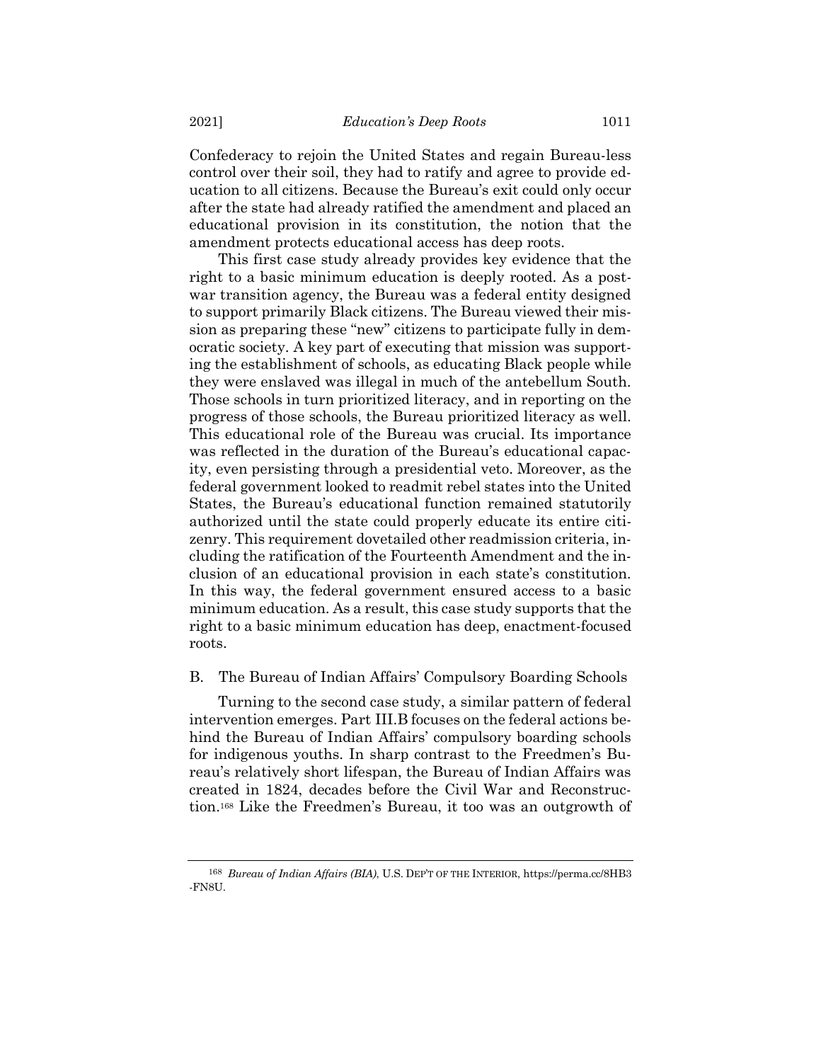Confederacy to rejoin the United States and regain Bureau-less control over their soil, they had to ratify and agree to provide education to all citizens. Because the Bureau's exit could only occur after the state had already ratified the amendment and placed an educational provision in its constitution, the notion that the amendment protects educational access has deep roots.

This first case study already provides key evidence that the right to a basic minimum education is deeply rooted. As a postwar transition agency, the Bureau was a federal entity designed to support primarily Black citizens. The Bureau viewed their mission as preparing these "new" citizens to participate fully in democratic society. A key part of executing that mission was supporting the establishment of schools, as educating Black people while they were enslaved was illegal in much of the antebellum South. Those schools in turn prioritized literacy, and in reporting on the progress of those schools, the Bureau prioritized literacy as well. This educational role of the Bureau was crucial. Its importance was reflected in the duration of the Bureau's educational capacity, even persisting through a presidential veto. Moreover, as the federal government looked to readmit rebel states into the United States, the Bureau's educational function remained statutorily authorized until the state could properly educate its entire citizenry. This requirement dovetailed other readmission criteria, including the ratification of the Fourteenth Amendment and the inclusion of an educational provision in each state's constitution. In this way, the federal government ensured access to a basic minimum education. As a result, this case study supports that the right to a basic minimum education has deep, enactment-focused roots.

### B. The Bureau of Indian Affairs' Compulsory Boarding Schools

Turning to the second case study, a similar pattern of federal intervention emerges. Part III.B focuses on the federal actions behind the Bureau of Indian Affairs' compulsory boarding schools for indigenous youths. In sharp contrast to the Freedmen's Bureau's relatively short lifespan, the Bureau of Indian Affairs was created in 1824, decades before the Civil War and Reconstruction. <sup>168</sup> Like the Freedmen's Bureau, it too was an outgrowth of

<sup>168</sup> *Bureau of Indian Affairs (BIA)*, U.S. DEP'T OF THE INTERIOR, https://perma.cc/8HB3 -FN8U.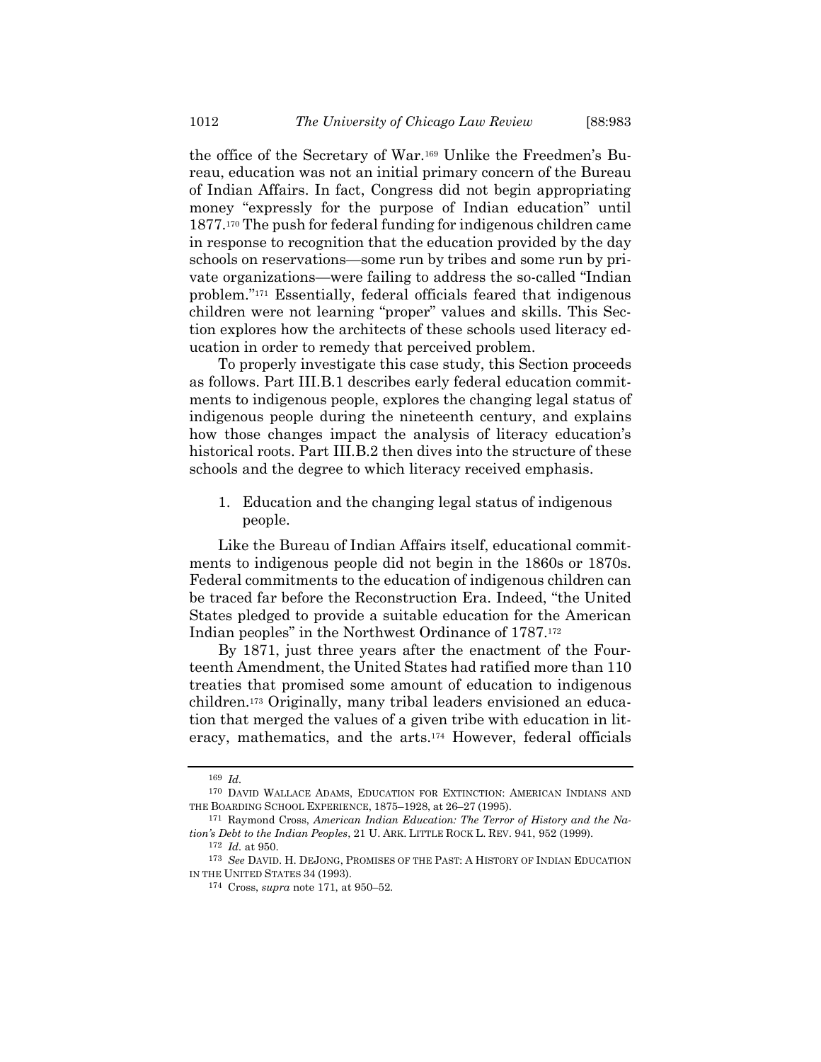<span id="page-31-1"></span>the office of the Secretary of War.<sup>169</sup> Unlike the Freedmen's Bureau, education was not an initial primary concern of the Bureau of Indian Affairs. In fact, Congress did not begin appropriating money "expressly for the purpose of Indian education" until 1877.<sup>170</sup> The push for federal funding for indigenous children came in response to recognition that the education provided by the day schools on reservations—some run by tribes and some run by private organizations—were failing to address the so-called "Indian problem."<sup>171</sup> Essentially, federal officials feared that indigenous children were not learning "proper" values and skills. This Section explores how the architects of these schools used literacy education in order to remedy that perceived problem.

<span id="page-31-0"></span>To properly investigate this case study, this Section proceeds as follows. Part III.B.1 describes early federal education commitments to indigenous people, explores the changing legal status of indigenous people during the nineteenth century, and explains how those changes impact the analysis of literacy education's historical roots. Part III.B.2 then dives into the structure of these schools and the degree to which literacy received emphasis.

1. Education and the changing legal status of indigenous people.

Like the Bureau of Indian Affairs itself, educational commitments to indigenous people did not begin in the 1860s or 1870s. Federal commitments to the education of indigenous children can be traced far before the Reconstruction Era. Indeed, "the United States pledged to provide a suitable education for the American Indian peoples" in the Northwest Ordinance of 1787.<sup>172</sup>

By 1871, just three years after the enactment of the Fourteenth Amendment, the United States had ratified more than 110 treaties that promised some amount of education to indigenous children.<sup>173</sup> Originally, many tribal leaders envisioned an education that merged the values of a given tribe with education in literacy, mathematics, and the arts.<sup>174</sup> However, federal officials

<sup>169</sup> *Id.*

<sup>170</sup> DAVID WALLACE ADAMS, EDUCATION FOR EXTINCTION: AMERICAN INDIANS AND THE BOARDING SCHOOL EXPERIENCE, 1875–1928, at 26–27 (1995).

<sup>171</sup> Raymond Cross, *American Indian Education: The Terror of History and the Nation's Debt to the Indian Peoples*, 21 U. ARK. LITTLE ROCK L. REV. 941, 952 (1999).

<sup>172</sup> *Id.* at 950.

<sup>173</sup> *See* DAVID. H. DEJONG, PROMISES OF THE PAST: A HISTORY OF INDIAN EDUCATION IN THE UNITED STATES 34 (1993).

<sup>174</sup> Cross, *supra* not[e 171,](#page-31-0) at 950–52.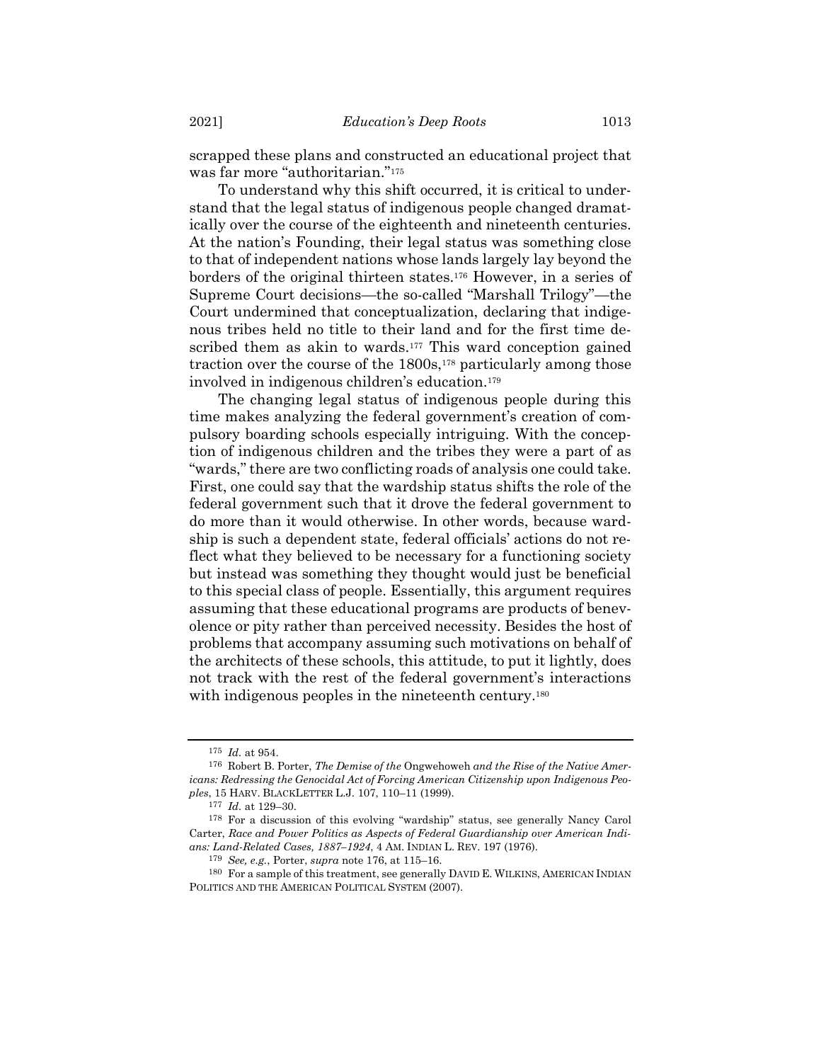scrapped these plans and constructed an educational project that was far more "authoritarian."<sup>175</sup>

<span id="page-32-0"></span>To understand why this shift occurred, it is critical to understand that the legal status of indigenous people changed dramatically over the course of the eighteenth and nineteenth centuries. At the nation's Founding, their legal status was something close to that of independent nations whose lands largely lay beyond the borders of the original thirteen states.<sup>176</sup> However, in a series of Supreme Court decisions—the so-called "Marshall Trilogy"—the Court undermined that conceptualization, declaring that indigenous tribes held no title to their land and for the first time described them as akin to wards.<sup>177</sup> This ward conception gained traction over the course of the 1800s,<sup>178</sup> particularly among those involved in indigenous children's education.<sup>179</sup>

The changing legal status of indigenous people during this time makes analyzing the federal government's creation of compulsory boarding schools especially intriguing. With the conception of indigenous children and the tribes they were a part of as "wards," there are two conflicting roads of analysis one could take. First, one could say that the wardship status shifts the role of the federal government such that it drove the federal government to do more than it would otherwise. In other words, because wardship is such a dependent state, federal officials' actions do not reflect what they believed to be necessary for a functioning society but instead was something they thought would just be beneficial to this special class of people. Essentially, this argument requires assuming that these educational programs are products of benevolence or pity rather than perceived necessity. Besides the host of problems that accompany assuming such motivations on behalf of the architects of these schools, this attitude, to put it lightly, does not track with the rest of the federal government's interactions with indigenous peoples in the nineteenth century.<sup>180</sup>

<sup>175</sup> *Id.* at 954.

<sup>176</sup> Robert B. Porter, *The Demise of the* Ongwehoweh *and the Rise of the Native Americans: Redressing the Genocidal Act of Forcing American Citizenship upon Indigenous Peoples*, 15 HARV. BLACKLETTER L.J. 107, 110–11 (1999).

<sup>177</sup> *Id.* at 129–30.

<sup>178</sup> For a discussion of this evolving "wardship" status, see generally Nancy Carol Carter, *Race and Power Politics as Aspects of Federal Guardianship over American Indians: Land-Related Cases, 1887–1924*, 4 AM. INDIAN L. REV. 197 (1976).

<sup>179</sup> *See, e.g.*, Porter, *supra* note [176,](#page-32-0) at 115–16.

<sup>180</sup> For a sample of this treatment, see generally DAVID E. WILKINS, AMERICAN INDIAN POLITICS AND THE AMERICAN POLITICAL SYSTEM (2007).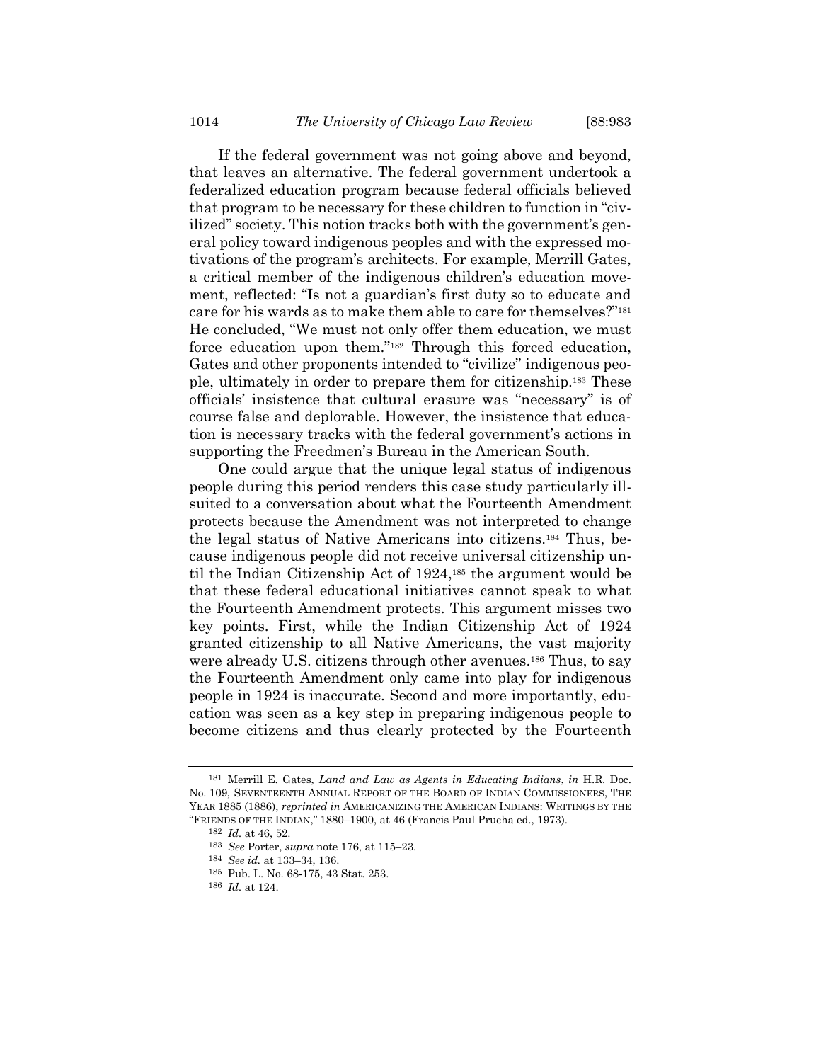<span id="page-33-0"></span>If the federal government was not going above and beyond, that leaves an alternative. The federal government undertook a federalized education program because federal officials believed that program to be necessary for these children to function in "civilized" society. This notion tracks both with the government's general policy toward indigenous peoples and with the expressed motivations of the program's architects. For example, Merrill Gates, a critical member of the indigenous children's education movement, reflected: "Is not a guardian's first duty so to educate and care for his wards as to make them able to care for themselves?"<sup>181</sup> He concluded, "We must not only offer them education, we must force education upon them."<sup>182</sup> Through this forced education, Gates and other proponents intended to "civilize" indigenous people, ultimately in order to prepare them for citizenship.<sup>183</sup> These officials' insistence that cultural erasure was "necessary" is of course false and deplorable. However, the insistence that education is necessary tracks with the federal government's actions in supporting the Freedmen's Bureau in the American South.

One could argue that the unique legal status of indigenous people during this period renders this case study particularly illsuited to a conversation about what the Fourteenth Amendment protects because the Amendment was not interpreted to change the legal status of Native Americans into citizens.<sup>184</sup> Thus, because indigenous people did not receive universal citizenship until the Indian Citizenship Act of 1924,<sup>185</sup> the argument would be that these federal educational initiatives cannot speak to what the Fourteenth Amendment protects. This argument misses two key points. First, while the Indian Citizenship Act of 1924 granted citizenship to all Native Americans, the vast majority were already U.S. citizens through other avenues.<sup>186</sup> Thus, to say the Fourteenth Amendment only came into play for indigenous people in 1924 is inaccurate. Second and more importantly, education was seen as a key step in preparing indigenous people to become citizens and thus clearly protected by the Fourteenth

<sup>181</sup> Merrill E. Gates, *Land and Law as Agents in Educating Indians*, *in* H.R. Doc. No. 109, SEVENTEENTH ANNUAL REPORT OF THE BOARD OF INDIAN COMMISSIONERS, THE YEAR 1885 (1886), *reprinted in* AMERICANIZING THE AMERICAN INDIANS: WRITINGS BY THE "FRIENDS OF THE INDIAN," 1880–1900, at 46 (Francis Paul Prucha ed., 1973).

<sup>182</sup> *Id.* at 46, 52.

<sup>183</sup> *See* Porter, *supra* note [176,](#page-32-0) at 115–23.

<sup>184</sup> *See id.* at 133–34, 136.

<sup>185</sup> Pub. L. No. 68-175, 43 Stat. 253.

<sup>186</sup> *Id.* at 124.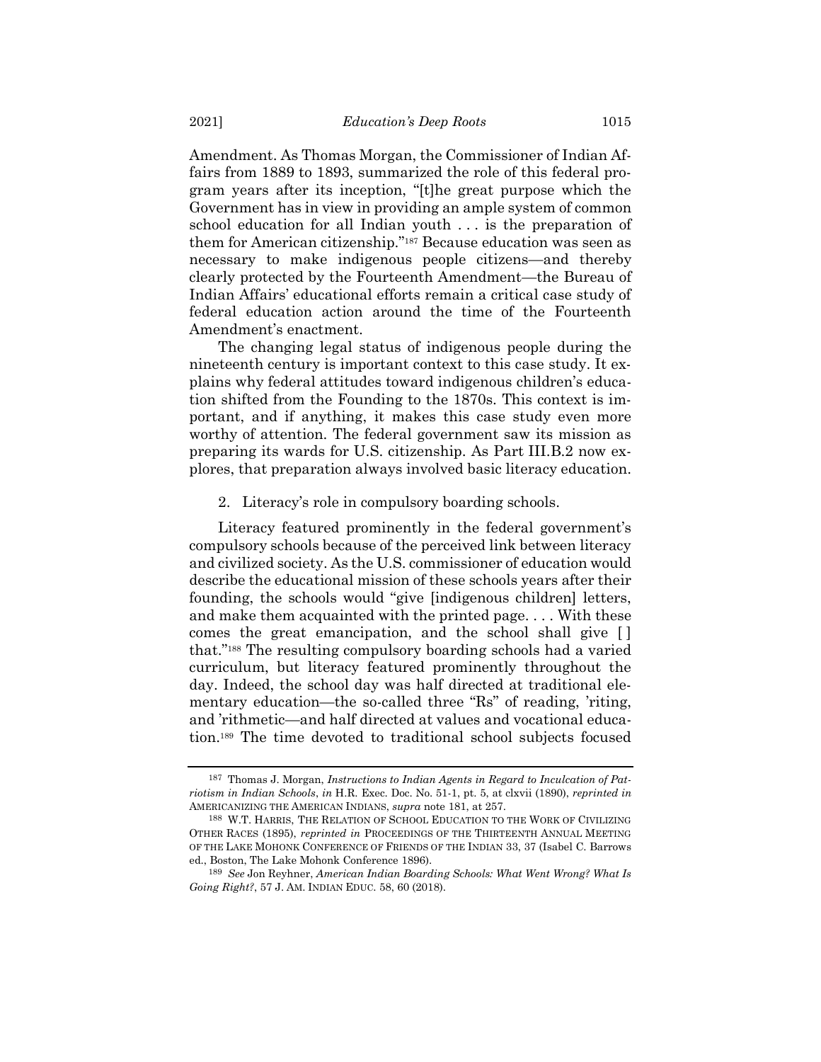Amendment. As Thomas Morgan, the Commissioner of Indian Affairs from 1889 to 1893, summarized the role of this federal program years after its inception, "[t]he great purpose which the Government has in view in providing an ample system of common school education for all Indian youth . . . is the preparation of them for American citizenship."<sup>187</sup> Because education was seen as necessary to make indigenous people citizens—and thereby clearly protected by the Fourteenth Amendment—the Bureau of Indian Affairs' educational efforts remain a critical case study of federal education action around the time of the Fourteenth Amendment's enactment.

The changing legal status of indigenous people during the nineteenth century is important context to this case study. It explains why federal attitudes toward indigenous children's education shifted from the Founding to the 1870s. This context is important, and if anything, it makes this case study even more worthy of attention. The federal government saw its mission as preparing its wards for U.S. citizenship. As Part III.B.2 now explores, that preparation always involved basic literacy education.

#### 2. Literacy's role in compulsory boarding schools.

Literacy featured prominently in the federal government's compulsory schools because of the perceived link between literacy and civilized society. As the U.S. commissioner of education would describe the educational mission of these schools years after their founding, the schools would "give [indigenous children] letters, and make them acquainted with the printed page. . . . With these comes the great emancipation, and the school shall give [ ] that."<sup>188</sup> The resulting compulsory boarding schools had a varied curriculum, but literacy featured prominently throughout the day. Indeed, the school day was half directed at traditional elementary education—the so-called three "Rs" of reading, 'riting, and 'rithmetic—and half directed at values and vocational education.<sup>189</sup> The time devoted to traditional school subjects focused

<span id="page-34-0"></span><sup>187</sup> Thomas J. Morgan, *Instructions to Indian Agents in Regard to Inculcation of Patriotism in Indian Schools*, *in* H.R. Exec. Doc. No. 51-1, pt. 5, at clxvii (1890), *reprinted in* AMERICANIZING THE AMERICAN INDIANS, *supra* note [181,](#page-33-0) at 257.

<sup>188</sup> W.T. HARRIS, THE RELATION OF SCHOOL EDUCATION TO THE WORK OF CIVILIZING OTHER RACES (1895), *reprinted in* PROCEEDINGS OF THE THIRTEENTH ANNUAL MEETING OF THE LAKE MOHONK CONFERENCE OF FRIENDS OF THE INDIAN 33, 37 (Isabel C. Barrows ed., Boston, The Lake Mohonk Conference 1896).

<sup>189</sup> *See* Jon Reyhner, *American Indian Boarding Schools: What Went Wrong? What Is Going Right?*, 57 J. AM. INDIAN EDUC. 58, 60 (2018).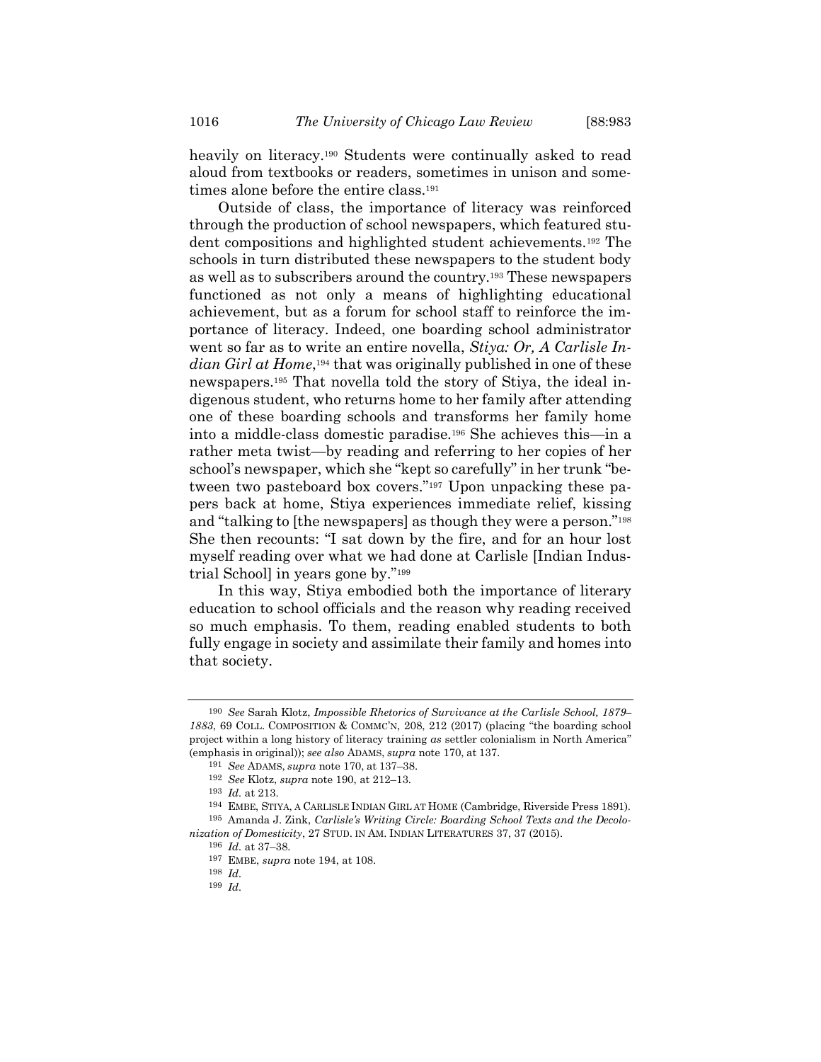<span id="page-35-0"></span>heavily on literacy.<sup>190</sup> Students were continually asked to read aloud from textbooks or readers, sometimes in unison and sometimes alone before the entire class.<sup>191</sup>

<span id="page-35-1"></span>Outside of class, the importance of literacy was reinforced through the production of school newspapers, which featured student compositions and highlighted student achievements.<sup>192</sup> The schools in turn distributed these newspapers to the student body as well as to subscribers around the country.<sup>193</sup> These newspapers functioned as not only a means of highlighting educational achievement, but as a forum for school staff to reinforce the importance of literacy. Indeed, one boarding school administrator went so far as to write an entire novella, *Stiya: Or, A Carlisle Indian Girl at Home*, <sup>194</sup> that was originally published in one of these newspapers.<sup>195</sup> That novella told the story of Stiya, the ideal indigenous student, who returns home to her family after attending one of these boarding schools and transforms her family home into a middle-class domestic paradise.<sup>196</sup> She achieves this—in a rather meta twist—by reading and referring to her copies of her school's newspaper, which she "kept so carefully" in her trunk "between two pasteboard box covers."<sup>197</sup> Upon unpacking these papers back at home, Stiya experiences immediate relief, kissing and "talking to [the newspapers] as though they were a person."<sup>198</sup> She then recounts: "I sat down by the fire, and for an hour lost myself reading over what we had done at Carlisle [Indian Industrial School] in years gone by."<sup>199</sup>

In this way, Stiya embodied both the importance of literary education to school officials and the reason why reading received so much emphasis. To them, reading enabled students to both fully engage in society and assimilate their family and homes into that society.

<sup>190</sup> *See* Sarah Klotz, *Impossible Rhetorics of Survivance at the Carlisle School, 1879– 1883*, 69 COLL. COMPOSITION & COMMC'N, 208, 212 (2017) (placing "the boarding school project within a long history of literacy training *as* settler colonialism in North America" (emphasis in original)); *see also* ADAMS, *supra* note [170,](#page-31-1) at 137.

<sup>191</sup> *See* ADAMS, *supra* note [170,](#page-31-1) at 137–38.

<sup>192</sup> *See* Klotz, *supra* note [190,](#page-35-0) at 212–13.

<sup>193</sup> *Id.* at 213.

<sup>194</sup> EMBE, STIYA, A CARLISLE INDIAN GIRL AT HOME (Cambridge, Riverside Press 1891). 195 Amanda J. Zink, *Carlisle's Writing Circle: Boarding School Texts and the Decolonization of Domesticity*, 27 STUD. IN AM. INDIAN LITERATURES 37, 37 (2015).

<sup>196</sup> *Id.* at 37–38.

<sup>197</sup> EMBE, *supra* note [194,](#page-35-1) at 108.

<sup>198</sup> *Id.*

<sup>199</sup> *Id.*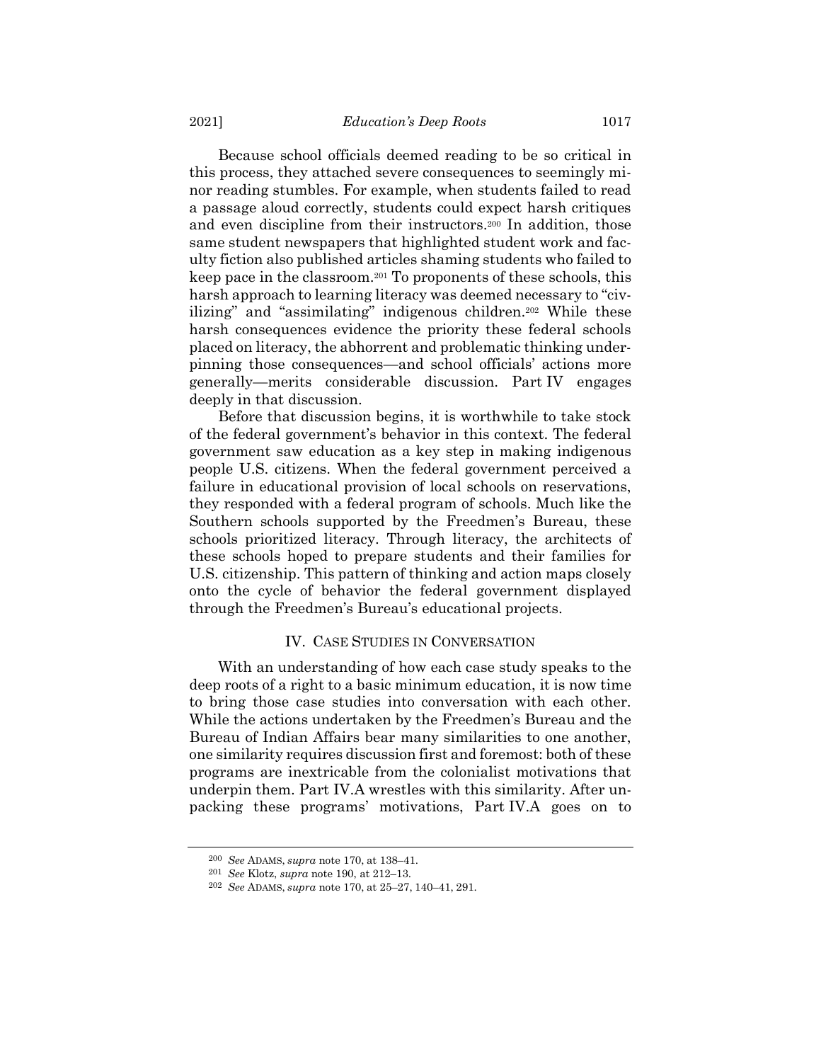Because school officials deemed reading to be so critical in this process, they attached severe consequences to seemingly minor reading stumbles. For example, when students failed to read a passage aloud correctly, students could expect harsh critiques and even discipline from their instructors.<sup>200</sup> In addition, those same student newspapers that highlighted student work and faculty fiction also published articles shaming students who failed to keep pace in the classroom.<sup>201</sup> To proponents of these schools, this harsh approach to learning literacy was deemed necessary to "civilizing" and "assimilating" indigenous children.<sup>202</sup> While these harsh consequences evidence the priority these federal schools placed on literacy, the abhorrent and problematic thinking underpinning those consequences—and school officials' actions more generally—merits considerable discussion. Part IV engages deeply in that discussion.

Before that discussion begins, it is worthwhile to take stock of the federal government's behavior in this context. The federal government saw education as a key step in making indigenous people U.S. citizens. When the federal government perceived a failure in educational provision of local schools on reservations, they responded with a federal program of schools. Much like the Southern schools supported by the Freedmen's Bureau, these schools prioritized literacy. Through literacy, the architects of these schools hoped to prepare students and their families for U.S. citizenship. This pattern of thinking and action maps closely onto the cycle of behavior the federal government displayed through the Freedmen's Bureau's educational projects.

# IV. CASE STUDIES IN CONVERSATION

With an understanding of how each case study speaks to the deep roots of a right to a basic minimum education, it is now time to bring those case studies into conversation with each other. While the actions undertaken by the Freedmen's Bureau and the Bureau of Indian Affairs bear many similarities to one another, one similarity requires discussion first and foremost: both of these programs are inextricable from the colonialist motivations that underpin them. Part IV.A wrestles with this similarity. After unpacking these programs' motivations, Part IV.A goes on to

<sup>200</sup> *See* ADAMS, *supra* note [170,](#page-31-1) at 138–41.

<sup>201</sup> *See* Klotz, *supra* note [190,](#page-35-0) at 212–13.

<sup>202</sup> *See* ADAMS, *supra* note [170,](#page-31-1) at 25–27, 140–41, 291.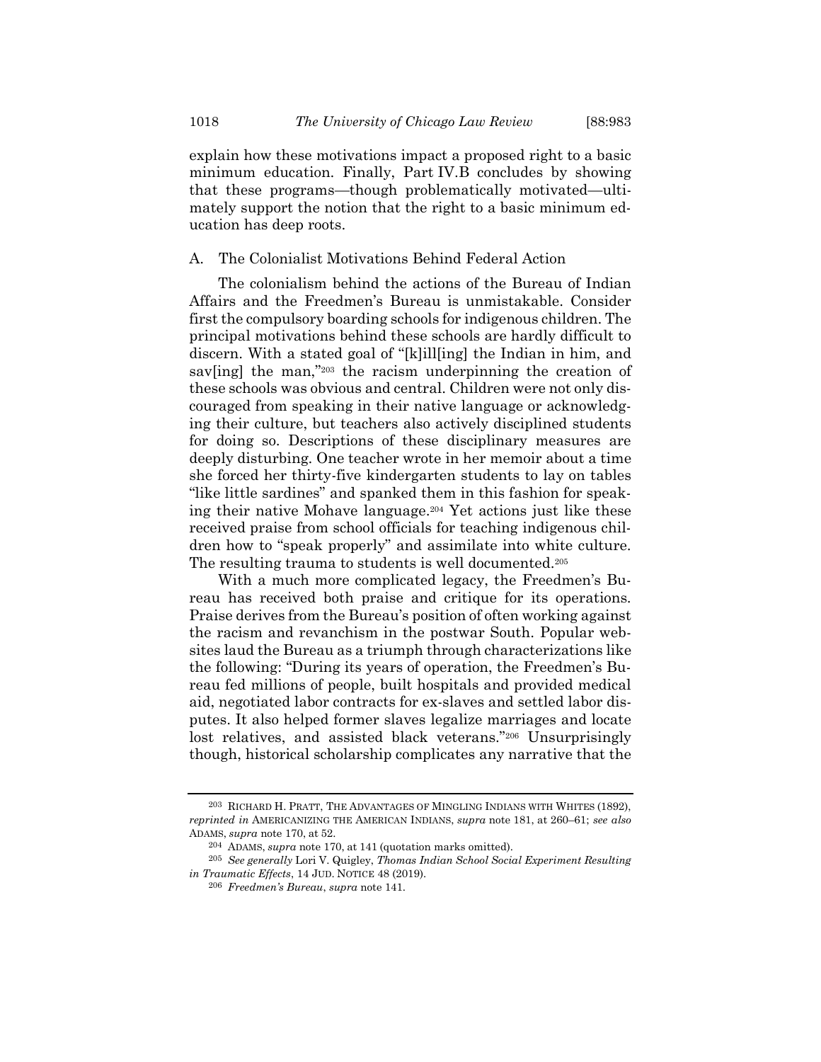explain how these motivations impact a proposed right to a basic minimum education. Finally, Part IV.B concludes by showing that these programs—though problematically motivated—ultimately support the notion that the right to a basic minimum education has deep roots.

# A. The Colonialist Motivations Behind Federal Action

The colonialism behind the actions of the Bureau of Indian Affairs and the Freedmen's Bureau is unmistakable. Consider first the compulsory boarding schools for indigenous children. The principal motivations behind these schools are hardly difficult to discern. With a stated goal of "[k]ill[ing] the Indian in him, and sav[ing] the man,"203 the racism underpinning the creation of these schools was obvious and central. Children were not only discouraged from speaking in their native language or acknowledging their culture, but teachers also actively disciplined students for doing so. Descriptions of these disciplinary measures are deeply disturbing. One teacher wrote in her memoir about a time she forced her thirty-five kindergarten students to lay on tables "like little sardines" and spanked them in this fashion for speaking their native Mohave language.<sup>204</sup> Yet actions just like these received praise from school officials for teaching indigenous children how to "speak properly" and assimilate into white culture. The resulting trauma to students is well documented.<sup>205</sup>

With a much more complicated legacy, the Freedmen's Bureau has received both praise and critique for its operations. Praise derives from the Bureau's position of often working against the racism and revanchism in the postwar South. Popular websites laud the Bureau as a triumph through characterizations like the following: "During its years of operation, the Freedmen's Bureau fed millions of people, built hospitals and provided medical aid, negotiated labor contracts for ex-slaves and settled labor disputes. It also helped former slaves legalize marriages and locate lost relatives, and assisted black veterans."<sup>206</sup> Unsurprisingly though, historical scholarship complicates any narrative that the

<sup>203</sup> RICHARD H. PRATT, THE ADVANTAGES OF MINGLING INDIANS WITH WHITES (1892), *reprinted in* AMERICANIZING THE AMERICAN INDIANS, *supra* note [181,](#page-33-0) at 260–61; *see also* ADAMS, *supra* note [170,](#page-31-1) at 52.

<sup>204</sup> ADAMS, *supra* note [170,](#page-31-1) at 141 (quotation marks omitted).

<sup>205</sup> *See generally* Lori V. Quigley, *Thomas Indian School Social Experiment Resulting in Traumatic Effects*, 14 JUD. NOTICE 48 (2019).

<sup>206</sup> *Freedmen's Bureau*, *supra* note [141.](#page-24-0)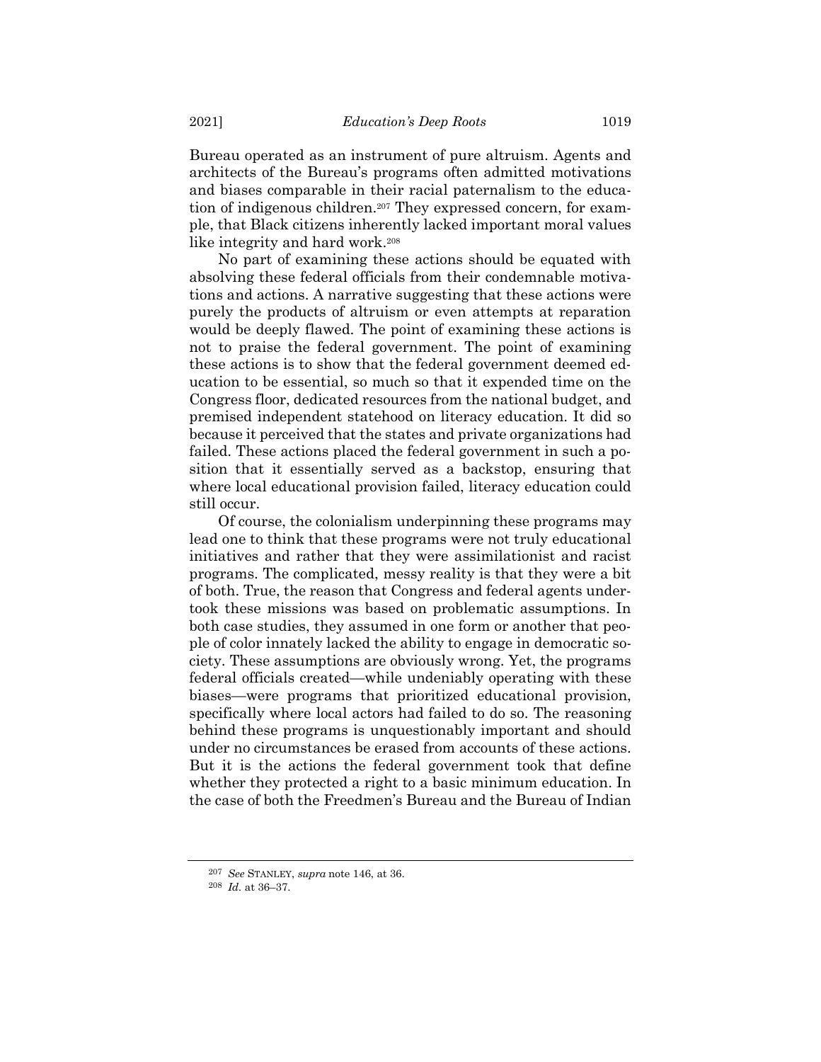Bureau operated as an instrument of pure altruism. Agents and architects of the Bureau's programs often admitted motivations and biases comparable in their racial paternalism to the education of indigenous children.<sup>207</sup> They expressed concern, for example, that Black citizens inherently lacked important moral values like integrity and hard work.<sup>208</sup>

No part of examining these actions should be equated with absolving these federal officials from their condemnable motivations and actions. A narrative suggesting that these actions were purely the products of altruism or even attempts at reparation would be deeply flawed. The point of examining these actions is not to praise the federal government. The point of examining these actions is to show that the federal government deemed education to be essential, so much so that it expended time on the Congress floor, dedicated resources from the national budget, and premised independent statehood on literacy education. It did so because it perceived that the states and private organizations had failed. These actions placed the federal government in such a position that it essentially served as a backstop, ensuring that where local educational provision failed, literacy education could still occur.

Of course, the colonialism underpinning these programs may lead one to think that these programs were not truly educational initiatives and rather that they were assimilationist and racist programs. The complicated, messy reality is that they were a bit of both. True, the reason that Congress and federal agents undertook these missions was based on problematic assumptions. In both case studies, they assumed in one form or another that people of color innately lacked the ability to engage in democratic society. These assumptions are obviously wrong. Yet, the programs federal officials created—while undeniably operating with these biases—were programs that prioritized educational provision, specifically where local actors had failed to do so. The reasoning behind these programs is unquestionably important and should under no circumstances be erased from accounts of these actions. But it is the actions the federal government took that define whether they protected a right to a basic minimum education. In the case of both the Freedmen's Bureau and the Bureau of Indian

<sup>207</sup> *See* STANLEY, *supra* note [146,](#page-25-0) at 36.

<sup>208</sup> *Id.* at 36–37.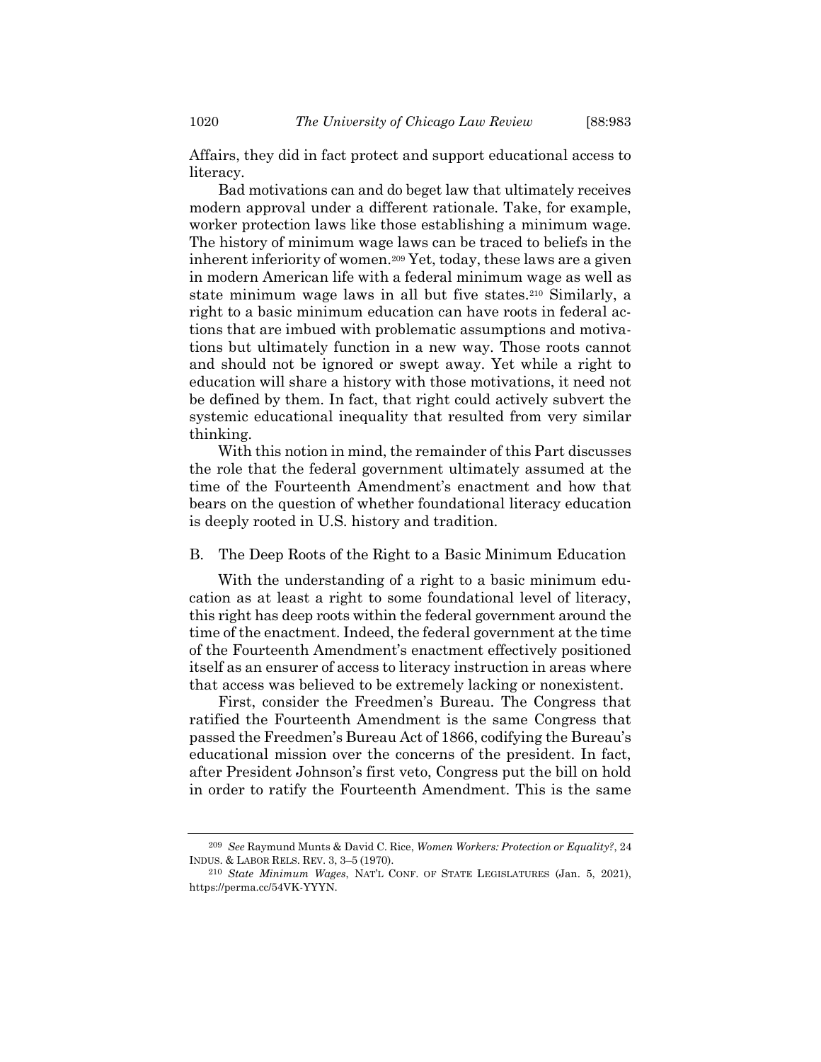Affairs, they did in fact protect and support educational access to literacy.

Bad motivations can and do beget law that ultimately receives modern approval under a different rationale. Take, for example, worker protection laws like those establishing a minimum wage. The history of minimum wage laws can be traced to beliefs in the inherent inferiority of women.<sup>209</sup> Yet, today, these laws are a given in modern American life with a federal minimum wage as well as state minimum wage laws in all but five states.<sup>210</sup> Similarly, a right to a basic minimum education can have roots in federal actions that are imbued with problematic assumptions and motivations but ultimately function in a new way. Those roots cannot and should not be ignored or swept away. Yet while a right to education will share a history with those motivations, it need not be defined by them. In fact, that right could actively subvert the systemic educational inequality that resulted from very similar thinking.

With this notion in mind, the remainder of this Part discusses the role that the federal government ultimately assumed at the time of the Fourteenth Amendment's enactment and how that bears on the question of whether foundational literacy education is deeply rooted in U.S. history and tradition.

B. The Deep Roots of the Right to a Basic Minimum Education

With the understanding of a right to a basic minimum education as at least a right to some foundational level of literacy, this right has deep roots within the federal government around the time of the enactment. Indeed, the federal government at the time of the Fourteenth Amendment's enactment effectively positioned itself as an ensurer of access to literacy instruction in areas where that access was believed to be extremely lacking or nonexistent.

First, consider the Freedmen's Bureau. The Congress that ratified the Fourteenth Amendment is the same Congress that passed the Freedmen's Bureau Act of 1866, codifying the Bureau's educational mission over the concerns of the president. In fact, after President Johnson's first veto, Congress put the bill on hold in order to ratify the Fourteenth Amendment. This is the same

<sup>209</sup> *See* Raymund Munts & David C. Rice, *Women Workers: Protection or Equality?*, 24 INDUS. & LABOR RELS. REV. 3, 3–5 (1970).

<sup>210</sup> *State Minimum Wages*, NAT'L CONF. OF STATE LEGISLATURES (Jan. 5, 2021), https://perma.cc/54VK-YYYN.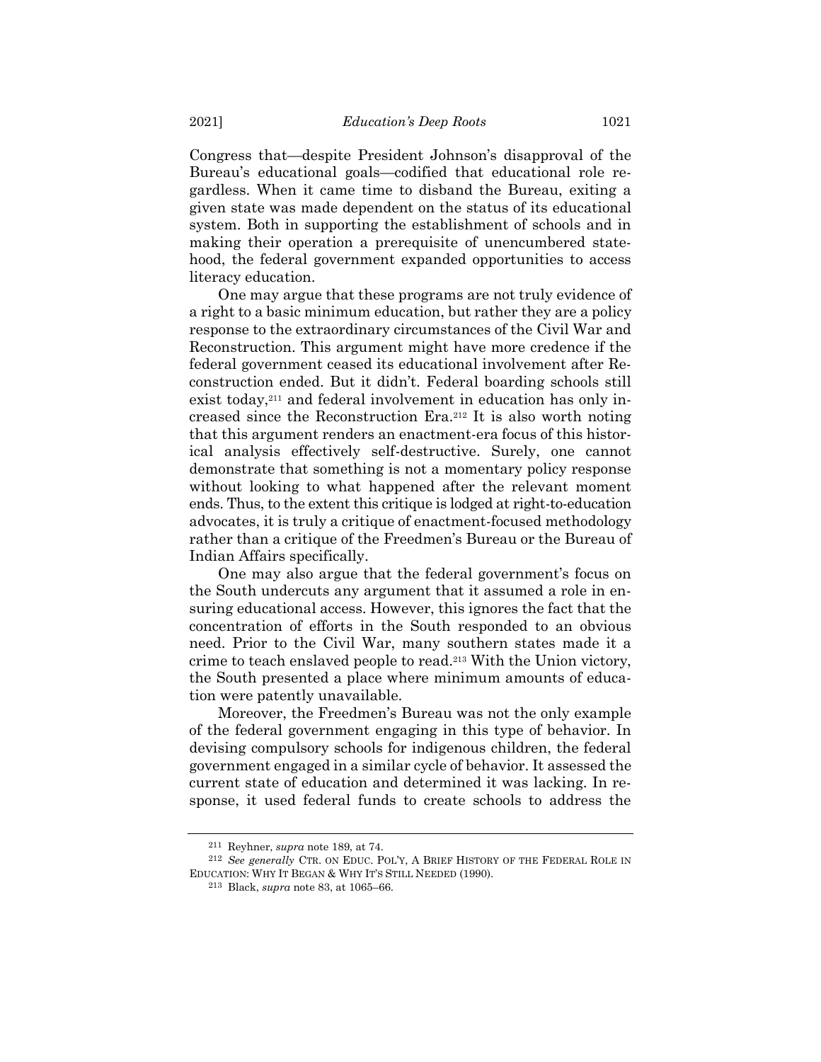Congress that—despite President Johnson's disapproval of the Bureau's educational goals—codified that educational role regardless. When it came time to disband the Bureau, exiting a given state was made dependent on the status of its educational system. Both in supporting the establishment of schools and in making their operation a prerequisite of unencumbered statehood, the federal government expanded opportunities to access literacy education.

One may argue that these programs are not truly evidence of a right to a basic minimum education, but rather they are a policy response to the extraordinary circumstances of the Civil War and Reconstruction. This argument might have more credence if the federal government ceased its educational involvement after Reconstruction ended. But it didn't. Federal boarding schools still exist today,<sup>211</sup> and federal involvement in education has only increased since the Reconstruction Era.<sup>212</sup> It is also worth noting that this argument renders an enactment-era focus of this historical analysis effectively self-destructive. Surely, one cannot demonstrate that something is not a momentary policy response without looking to what happened after the relevant moment ends. Thus, to the extent this critique is lodged at right-to-education advocates, it is truly a critique of enactment-focused methodology rather than a critique of the Freedmen's Bureau or the Bureau of Indian Affairs specifically.

One may also argue that the federal government's focus on the South undercuts any argument that it assumed a role in ensuring educational access. However, this ignores the fact that the concentration of efforts in the South responded to an obvious need. Prior to the Civil War, many southern states made it a crime to teach enslaved people to read.<sup>213</sup> With the Union victory, the South presented a place where minimum amounts of education were patently unavailable.

Moreover, the Freedmen's Bureau was not the only example of the federal government engaging in this type of behavior. In devising compulsory schools for indigenous children, the federal government engaged in a similar cycle of behavior. It assessed the current state of education and determined it was lacking. In response, it used federal funds to create schools to address the

<sup>211</sup> Reyhner, *supra* note [189,](#page-34-0) at 74.

<sup>212</sup> *See generally* CTR. ON EDUC. POL'Y, A BRIEF HISTORY OF THE FEDERAL ROLE IN EDUCATION: WHY IT BEGAN & WHY IT'S STILL NEEDED (1990).

<sup>213</sup> Black, *supra* note [83,](#page-13-0) at 1065–66.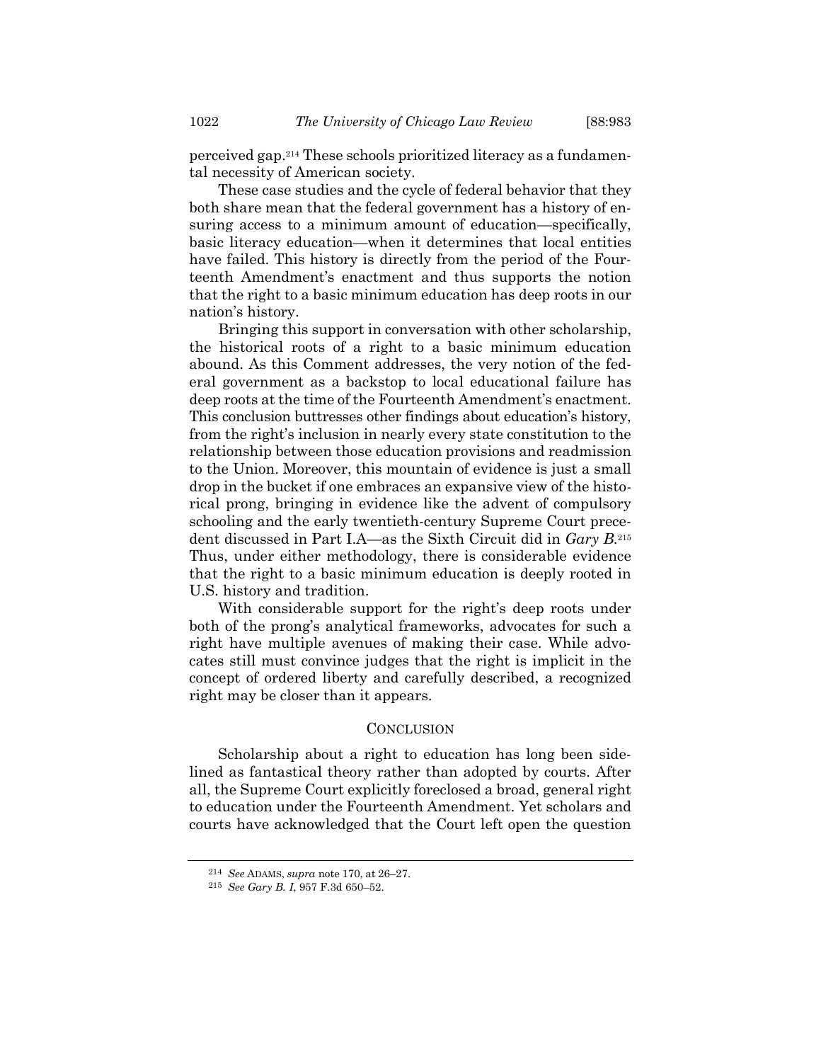perceived gap.<sup>214</sup> These schools prioritized literacy as a fundamental necessity of American society.

These case studies and the cycle of federal behavior that they both share mean that the federal government has a history of ensuring access to a minimum amount of education—specifically, basic literacy education—when it determines that local entities have failed. This history is directly from the period of the Fourteenth Amendment's enactment and thus supports the notion that the right to a basic minimum education has deep roots in our nation's history.

Bringing this support in conversation with other scholarship, the historical roots of a right to a basic minimum education abound. As this Comment addresses, the very notion of the federal government as a backstop to local educational failure has deep roots at the time of the Fourteenth Amendment's enactment. This conclusion buttresses other findings about education's history, from the right's inclusion in nearly every state constitution to the relationship between those education provisions and readmission to the Union. Moreover, this mountain of evidence is just a small drop in the bucket if one embraces an expansive view of the historical prong, bringing in evidence like the advent of compulsory schooling and the early twentieth-century Supreme Court precedent discussed in Part I.A—as the Sixth Circuit did in *Gary B.*<sup>215</sup> Thus, under either methodology, there is considerable evidence that the right to a basic minimum education is deeply rooted in U.S. history and tradition.

With considerable support for the right's deep roots under both of the prong's analytical frameworks, advocates for such a right have multiple avenues of making their case. While advocates still must convince judges that the right is implicit in the concept of ordered liberty and carefully described, a recognized right may be closer than it appears.

# **CONCLUSION**

Scholarship about a right to education has long been sidelined as fantastical theory rather than adopted by courts. After all, the Supreme Court explicitly foreclosed a broad, general right to education under the Fourteenth Amendment. Yet scholars and courts have acknowledged that the Court left open the question

<sup>214</sup> *See* ADAMS, *supra* note [170,](#page-31-1) at 26–27.

<sup>215</sup> *See Gary B. I*, 957 F.3d 650–52.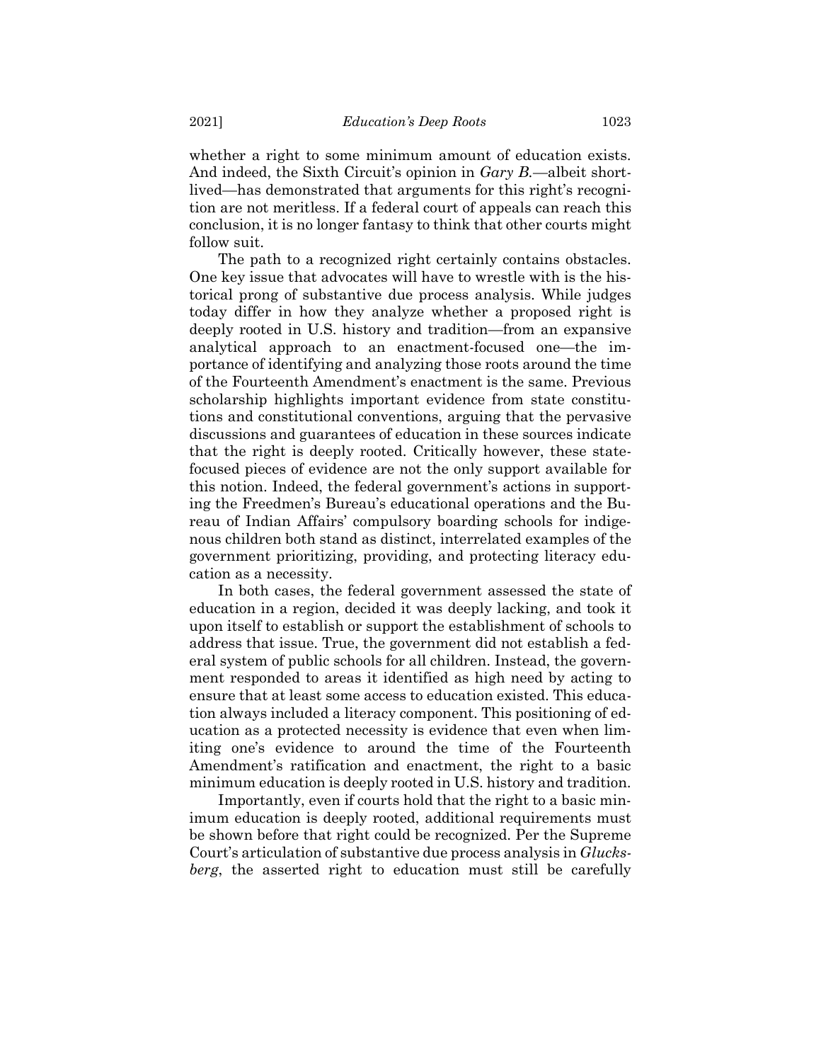whether a right to some minimum amount of education exists. And indeed, the Sixth Circuit's opinion in *Gary B.*—albeit shortlived—has demonstrated that arguments for this right's recognition are not meritless. If a federal court of appeals can reach this conclusion, it is no longer fantasy to think that other courts might follow suit.

The path to a recognized right certainly contains obstacles. One key issue that advocates will have to wrestle with is the historical prong of substantive due process analysis. While judges today differ in how they analyze whether a proposed right is deeply rooted in U.S. history and tradition—from an expansive analytical approach to an enactment-focused one—the importance of identifying and analyzing those roots around the time of the Fourteenth Amendment's enactment is the same. Previous scholarship highlights important evidence from state constitutions and constitutional conventions, arguing that the pervasive discussions and guarantees of education in these sources indicate that the right is deeply rooted. Critically however, these statefocused pieces of evidence are not the only support available for this notion. Indeed, the federal government's actions in supporting the Freedmen's Bureau's educational operations and the Bureau of Indian Affairs' compulsory boarding schools for indigenous children both stand as distinct, interrelated examples of the government prioritizing, providing, and protecting literacy education as a necessity.

In both cases, the federal government assessed the state of education in a region, decided it was deeply lacking, and took it upon itself to establish or support the establishment of schools to address that issue. True, the government did not establish a federal system of public schools for all children. Instead, the government responded to areas it identified as high need by acting to ensure that at least some access to education existed. This education always included a literacy component. This positioning of education as a protected necessity is evidence that even when limiting one's evidence to around the time of the Fourteenth Amendment's ratification and enactment, the right to a basic minimum education is deeply rooted in U.S. history and tradition.

Importantly, even if courts hold that the right to a basic minimum education is deeply rooted, additional requirements must be shown before that right could be recognized. Per the Supreme Court's articulation of substantive due process analysis in *Glucksberg*, the asserted right to education must still be carefully